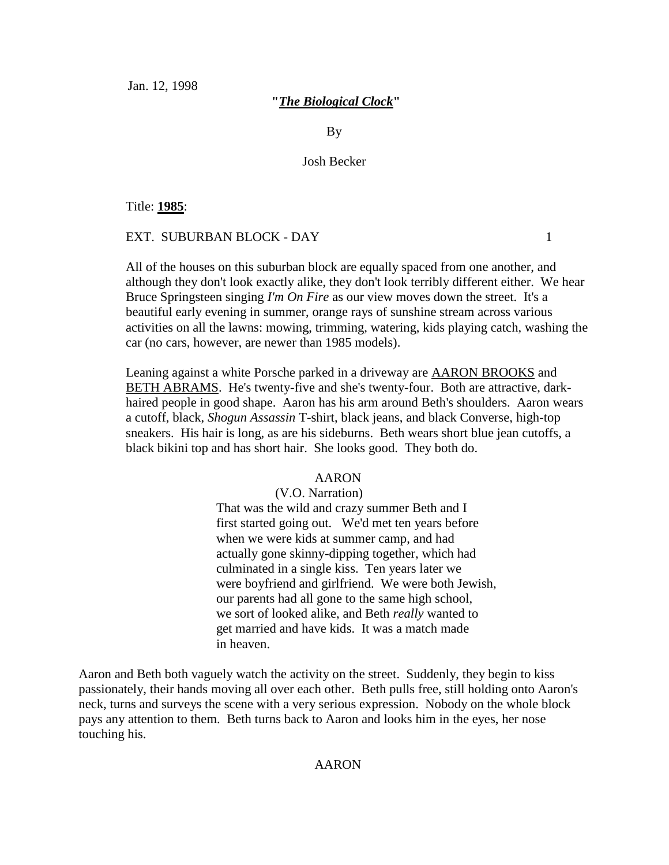Jan. 12, 1998

# **"***The Biological Clock***"**

By

# Josh Becker

Title: **1985**:

# EXT. SUBURBAN BLOCK - DAY 1

All of the houses on this suburban block are equally spaced from one another, and although they don't look exactly alike, they don't look terribly different either. We hear Bruce Springsteen singing *I'm On Fire* as our view moves down the street. It's a beautiful early evening in summer, orange rays of sunshine stream across various activities on all the lawns: mowing, trimming, watering, kids playing catch, washing the car (no cars, however, are newer than 1985 models).

Leaning against a white Porsche parked in a driveway are AARON BROOKS and BETH ABRAMS. He's twenty-five and she's twenty-four. Both are attractive, darkhaired people in good shape. Aaron has his arm around Beth's shoulders. Aaron wears a cutoff, black, *Shogun Assassin* T-shirt, black jeans, and black Converse, high-top sneakers. His hair is long, as are his sideburns. Beth wears short blue jean cutoffs, a black bikini top and has short hair. She looks good. They both do.

# AARON

# (V.O. Narration)

That was the wild and crazy summer Beth and I first started going out. We'd met ten years before when we were kids at summer camp, and had actually gone skinny-dipping together, which had culminated in a single kiss. Ten years later we were boyfriend and girlfriend. We were both Jewish, our parents had all gone to the same high school, we sort of looked alike, and Beth *really* wanted to get married and have kids. It was a match made in heaven.

Aaron and Beth both vaguely watch the activity on the street. Suddenly, they begin to kiss passionately, their hands moving all over each other. Beth pulls free, still holding onto Aaron's neck, turns and surveys the scene with a very serious expression. Nobody on the whole block pays any attention to them. Beth turns back to Aaron and looks him in the eyes, her nose touching his.

# AARON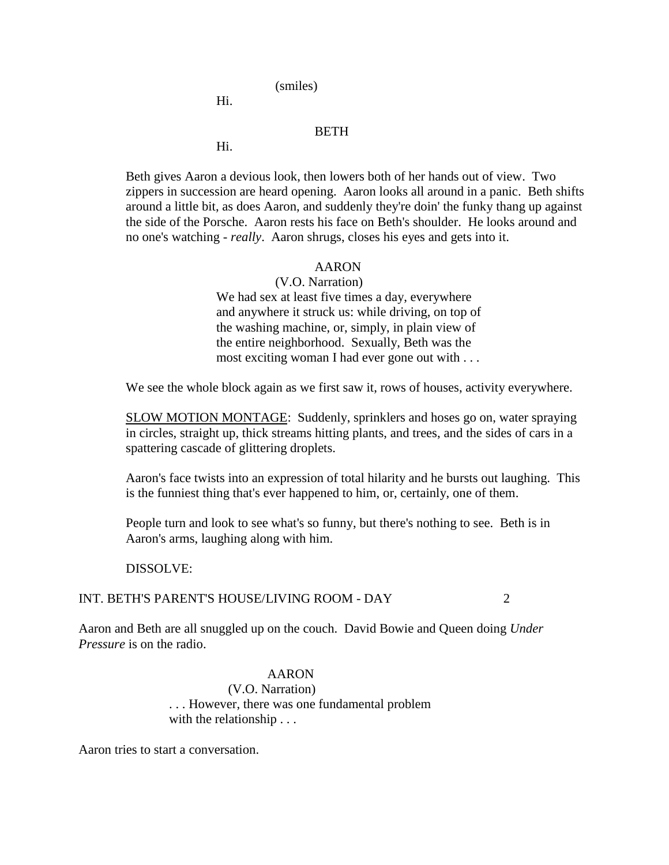(smiles)

Hi.

# BETH

Hi.

Beth gives Aaron a devious look, then lowers both of her hands out of view. Two zippers in succession are heard opening. Aaron looks all around in a panic. Beth shifts around a little bit, as does Aaron, and suddenly they're doin' the funky thang up against the side of the Porsche. Aaron rests his face on Beth's shoulder. He looks around and no one's watching - *really*. Aaron shrugs, closes his eyes and gets into it.

## AARON

(V.O. Narration) We had sex at least five times a day, everywhere and anywhere it struck us: while driving, on top of the washing machine, or, simply, in plain view of the entire neighborhood. Sexually, Beth was the most exciting woman I had ever gone out with . . .

We see the whole block again as we first saw it, rows of houses, activity everywhere.

SLOW MOTION MONTAGE: Suddenly, sprinklers and hoses go on, water spraying in circles, straight up, thick streams hitting plants, and trees, and the sides of cars in a spattering cascade of glittering droplets.

Aaron's face twists into an expression of total hilarity and he bursts out laughing. This is the funniest thing that's ever happened to him, or, certainly, one of them.

People turn and look to see what's so funny, but there's nothing to see. Beth is in Aaron's arms, laughing along with him.

#### DISSOLVE:

# INT. BETH'S PARENT'S HOUSE/LIVING ROOM - DAY 2

Aaron and Beth are all snuggled up on the couch. David Bowie and Queen doing *Under Pressure* is on the radio.

# AARON

(V.O. Narration) . . . However, there was one fundamental problem with the relationship . . .

Aaron tries to start a conversation.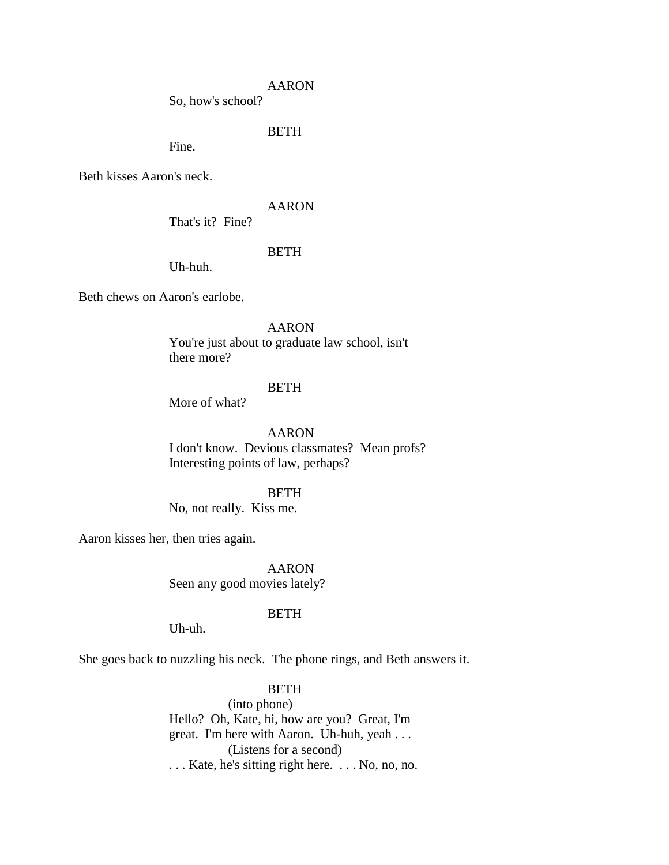So, how's school?

# BETH

Fine.

Beth kisses Aaron's neck.

# AARON

That's it? Fine?

# BETH

Uh-huh.

Beth chews on Aaron's earlobe.

AARON

You're just about to graduate law school, isn't there more?

# **BETH**

More of what?

AARON I don't know. Devious classmates? Mean profs? Interesting points of law, perhaps?

# **BETH**

No, not really. Kiss me.

Aaron kisses her, then tries again.

AARON Seen any good movies lately?

# BETH

Uh-uh.

She goes back to nuzzling his neck. The phone rings, and Beth answers it.

# BETH

(into phone) Hello? Oh, Kate, hi, how are you? Great, I'm great. I'm here with Aaron. Uh-huh, yeah . . . (Listens for a second) . . . Kate, he's sitting right here. . . . No, no, no.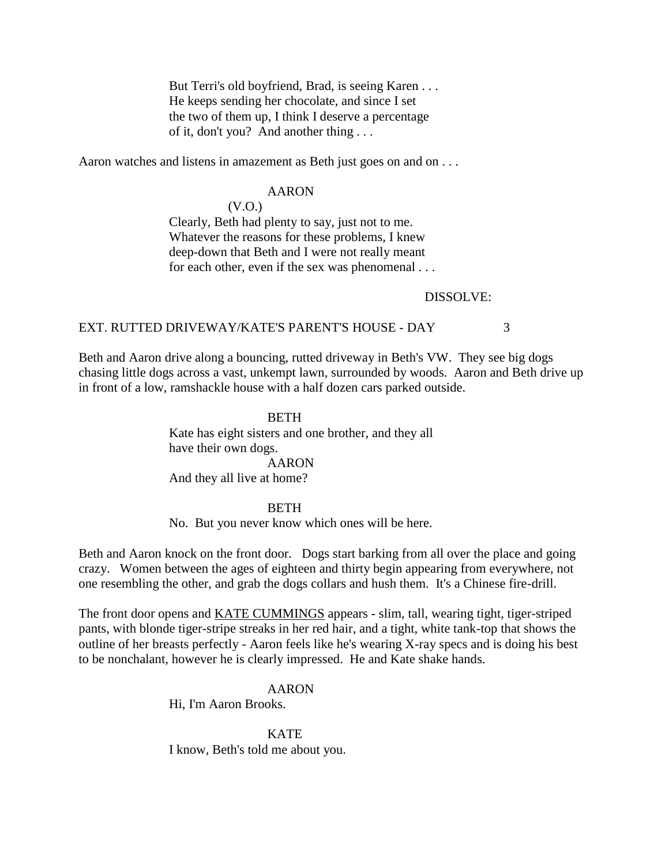But Terri's old boyfriend, Brad, is seeing Karen . . . He keeps sending her chocolate, and since I set the two of them up, I think I deserve a percentage of it, don't you? And another thing . . .

Aaron watches and listens in amazement as Beth just goes on and on . . .

# AARON

(V.O.)

Clearly, Beth had plenty to say, just not to me. Whatever the reasons for these problems, I knew deep-down that Beth and I were not really meant for each other, even if the sex was phenomenal . . .

#### DISSOLVE:

## EXT. RUTTED DRIVEWAY/KATE'S PARENT'S HOUSE - DAY 3

Beth and Aaron drive along a bouncing, rutted driveway in Beth's VW. They see big dogs chasing little dogs across a vast, unkempt lawn, surrounded by woods. Aaron and Beth drive up in front of a low, ramshackle house with a half dozen cars parked outside.

#### **BETH**

Kate has eight sisters and one brother, and they all have their own dogs. AARON And they all live at home?

#### BETH

No. But you never know which ones will be here.

Beth and Aaron knock on the front door. Dogs start barking from all over the place and going crazy. Women between the ages of eighteen and thirty begin appearing from everywhere, not one resembling the other, and grab the dogs collars and hush them. It's a Chinese fire-drill.

The front door opens and KATE CUMMINGS appears - slim, tall, wearing tight, tiger-striped pants, with blonde tiger-stripe streaks in her red hair, and a tight, white tank-top that shows the outline of her breasts perfectly - Aaron feels like he's wearing X-ray specs and is doing his best to be nonchalant, however he is clearly impressed. He and Kate shake hands.

> AARON Hi, I'm Aaron Brooks.

KATE I know, Beth's told me about you.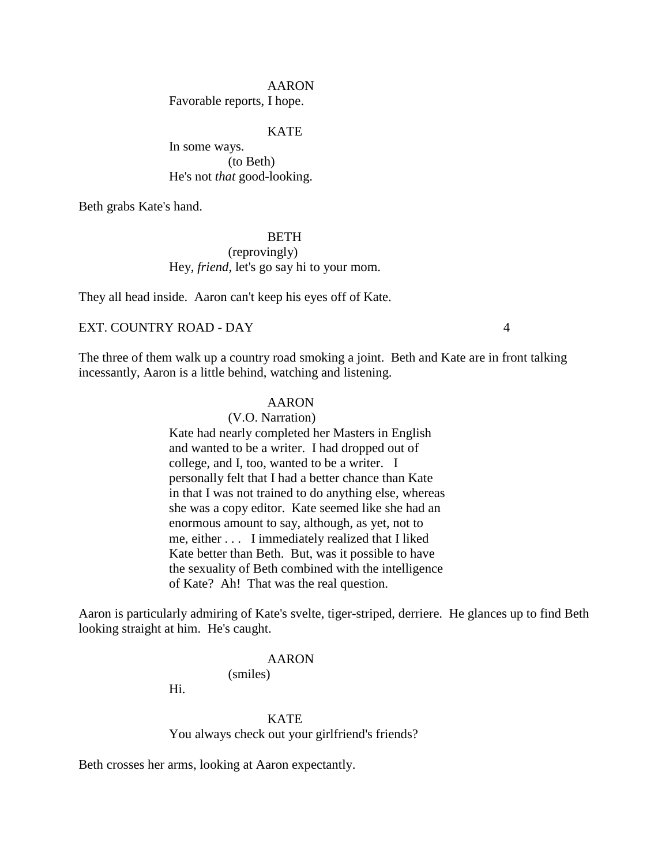Favorable reports, I hope.

## KATE

In some ways. (to Beth) He's not *that* good-looking.

Beth grabs Kate's hand.

# **BETH**

(reprovingly) Hey, *friend*, let's go say hi to your mom.

They all head inside. Aaron can't keep his eyes off of Kate.

# EXT. COUNTRY ROAD - DAY 4

The three of them walk up a country road smoking a joint. Beth and Kate are in front talking incessantly, Aaron is a little behind, watching and listening.

# AARON

(V.O. Narration) Kate had nearly completed her Masters in English and wanted to be a writer. I had dropped out of college, and I, too, wanted to be a writer. I personally felt that I had a better chance than Kate in that I was not trained to do anything else, whereas she was a copy editor. Kate seemed like she had an enormous amount to say, although, as yet, not to me, either . . . I immediately realized that I liked Kate better than Beth. But, was it possible to have the sexuality of Beth combined with the intelligence of Kate? Ah! That was the real question.

Aaron is particularly admiring of Kate's svelte, tiger-striped, derriere. He glances up to find Beth looking straight at him. He's caught.

#### AARON

(smiles)

Hi.

#### **KATE**

You always check out your girlfriend's friends?

Beth crosses her arms, looking at Aaron expectantly.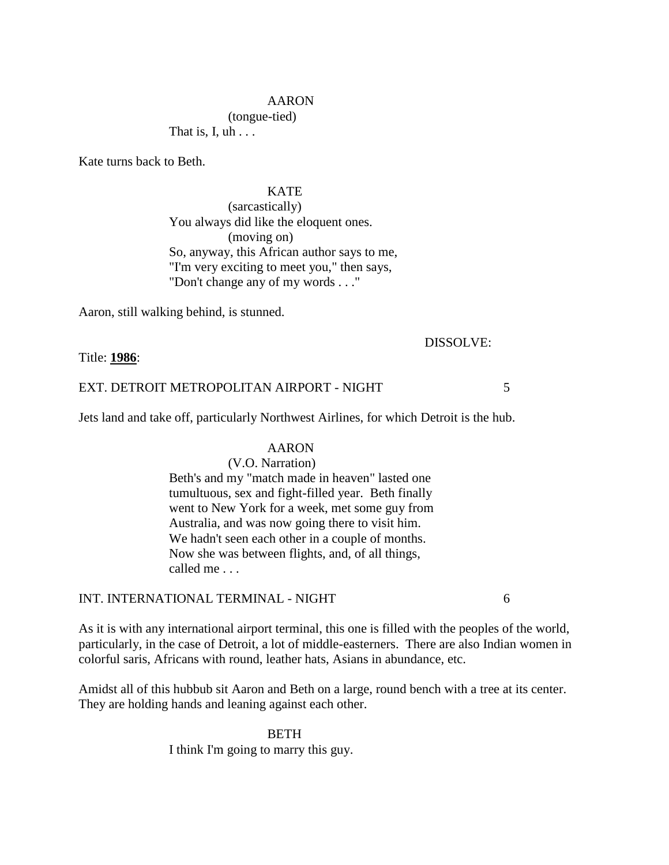(tongue-tied)

That is, I,  $uh \ldots$ 

Kate turns back to Beth.

## KATE

(sarcastically) You always did like the eloquent ones. (moving on) So, anyway, this African author says to me, "I'm very exciting to meet you," then says, "Don't change any of my words . . ."

Aaron, still walking behind, is stunned.

# DISSOLVE:

Title: **1986**:

# EXT. DETROIT METROPOLITAN AIRPORT - NIGHT 5

Jets land and take off, particularly Northwest Airlines, for which Detroit is the hub.

# AARON

(V.O. Narration)

Beth's and my "match made in heaven" lasted one tumultuous, sex and fight-filled year. Beth finally went to New York for a week, met some guy from Australia, and was now going there to visit him. We hadn't seen each other in a couple of months. Now she was between flights, and, of all things, called me . . .

# INT. INTERNATIONAL TERMINAL - NIGHT 6

As it is with any international airport terminal, this one is filled with the peoples of the world, particularly, in the case of Detroit, a lot of middle-easterners. There are also Indian women in colorful saris, Africans with round, leather hats, Asians in abundance, etc.

Amidst all of this hubbub sit Aaron and Beth on a large, round bench with a tree at its center. They are holding hands and leaning against each other.

> BETH I think I'm going to marry this guy.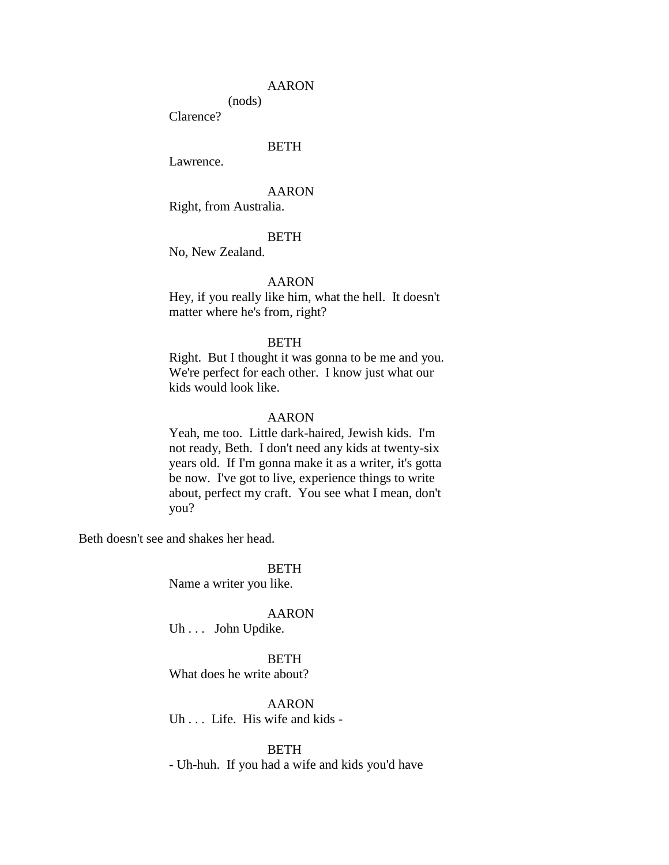(nods)

Clarence?

# **BETH**

Lawrence.

### AARON

Right, from Australia.

# **BETH**

No, New Zealand.

# AARON

Hey, if you really like him, what the hell. It doesn't matter where he's from, right?

## BETH

Right. But I thought it was gonna to be me and you. We're perfect for each other. I know just what our kids would look like.

# AARON

Yeah, me too. Little dark-haired, Jewish kids. I'm not ready, Beth. I don't need any kids at twenty-six years old. If I'm gonna make it as a writer, it's gotta be now. I've got to live, experience things to write about, perfect my craft. You see what I mean, don't you?

Beth doesn't see and shakes her head.

BETH

Name a writer you like.

#### AARON

Uh . . . John Updike.

BETH What does he write about?

AARON Uh . . . Life. His wife and kids -

BETH

- Uh-huh. If you had a wife and kids you'd have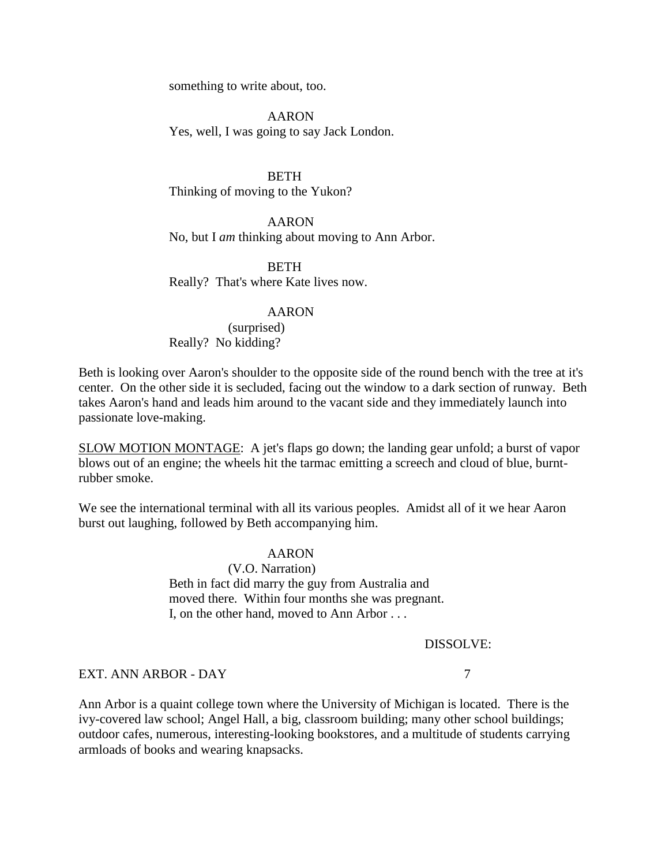something to write about, too.

AARON Yes, well, I was going to say Jack London.

**BETH** Thinking of moving to the Yukon?

AARON No, but I *am* thinking about moving to Ann Arbor.

**BETH** Really? That's where Kate lives now.

#### AARON

(surprised) Really? No kidding?

Beth is looking over Aaron's shoulder to the opposite side of the round bench with the tree at it's center. On the other side it is secluded, facing out the window to a dark section of runway. Beth takes Aaron's hand and leads him around to the vacant side and they immediately launch into passionate love-making.

SLOW MOTION MONTAGE: A jet's flaps go down; the landing gear unfold; a burst of vapor blows out of an engine; the wheels hit the tarmac emitting a screech and cloud of blue, burntrubber smoke.

We see the international terminal with all its various peoples. Amidst all of it we hear Aaron burst out laughing, followed by Beth accompanying him.

#### AARON

(V.O. Narration) Beth in fact did marry the guy from Australia and moved there. Within four months she was pregnant. I, on the other hand, moved to Ann Arbor . . .

#### DISSOLVE:

# EXT. ANN ARBOR - DAY 7

Ann Arbor is a quaint college town where the University of Michigan is located. There is the ivy-covered law school; Angel Hall, a big, classroom building; many other school buildings; outdoor cafes, numerous, interesting-looking bookstores, and a multitude of students carrying armloads of books and wearing knapsacks.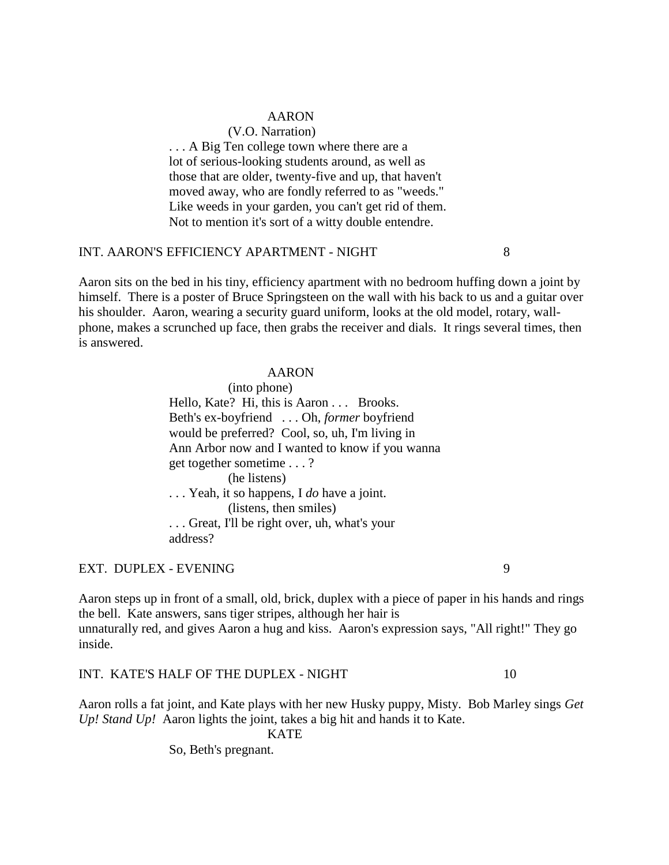# (V.O. Narration)

... A Big Ten college town where there are a lot of serious-looking students around, as well as those that are older, twenty-five and up, that haven't moved away, who are fondly referred to as "weeds." Like weeds in your garden, you can't get rid of them. Not to mention it's sort of a witty double entendre.

# INT. AARON'S EFFICIENCY APARTMENT - NIGHT 8

Aaron sits on the bed in his tiny, efficiency apartment with no bedroom huffing down a joint by himself. There is a poster of Bruce Springsteen on the wall with his back to us and a guitar over his shoulder. Aaron, wearing a security guard uniform, looks at the old model, rotary, wallphone, makes a scrunched up face, then grabs the receiver and dials. It rings several times, then is answered.

#### AARON

(into phone) Hello, Kate? Hi, this is Aaron . . . Brooks. Beth's ex-boyfriend . . . Oh, *former* boyfriend would be preferred? Cool, so, uh, I'm living in Ann Arbor now and I wanted to know if you wanna get together sometime . . . ? (he listens) . . . Yeah, it so happens, I *do* have a joint. (listens, then smiles) . . . Great, I'll be right over, uh, what's your address?

# EXT. DUPLEX - EVENING 9

Aaron steps up in front of a small, old, brick, duplex with a piece of paper in his hands and rings the bell. Kate answers, sans tiger stripes, although her hair is unnaturally red, and gives Aaron a hug and kiss. Aaron's expression says, "All right!" They go inside.

# INT. KATE'S HALF OF THE DUPLEX - NIGHT 10

Aaron rolls a fat joint, and Kate plays with her new Husky puppy, Misty. Bob Marley sings *Get Up! Stand Up!* Aaron lights the joint, takes a big hit and hands it to Kate.

KATE

So, Beth's pregnant.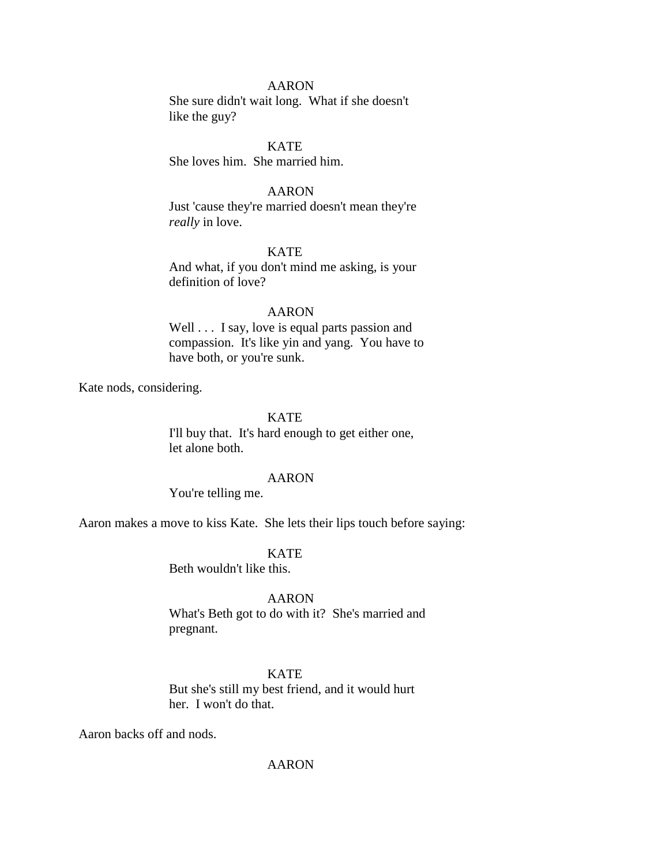She sure didn't wait long. What if she doesn't like the guy?

**KATE** 

She loves him. She married him.

# AARON

Just 'cause they're married doesn't mean they're *really* in love.

# KATE

And what, if you don't mind me asking, is your definition of love?

#### AARON

Well . . . I say, love is equal parts passion and compassion. It's like yin and yang. You have to have both, or you're sunk.

Kate nods, considering.

# **KATE**

I'll buy that. It's hard enough to get either one, let alone both.

#### AARON

You're telling me.

Aaron makes a move to kiss Kate. She lets their lips touch before saying:

KATE

Beth wouldn't like this.

## AARON

What's Beth got to do with it? She's married and pregnant.

KATE

But she's still my best friend, and it would hurt her. I won't do that.

Aaron backs off and nods.

# AARON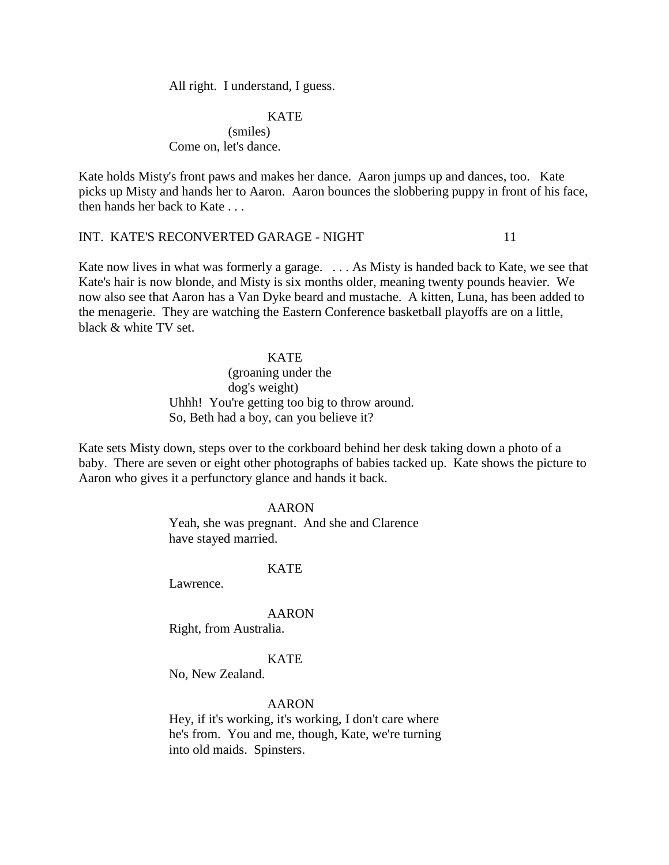All right. I understand, I guess.

# **KATE**

(smiles) Come on, let's dance.

Kate holds Misty's front paws and makes her dance. Aaron jumps up and dances, too. Kate picks up Misty and hands her to Aaron. Aaron bounces the slobbering puppy in front of his face, then hands her back to Kate . . .

# INT. KATE'S RECONVERTED GARAGE - NIGHT 11

Kate now lives in what was formerly a garage. . . . As Misty is handed back to Kate, we see that Kate's hair is now blonde, and Misty is six months older, meaning twenty pounds heavier. We now also see that Aaron has a Van Dyke beard and mustache. A kitten, Luna, has been added to the menagerie. They are watching the Eastern Conference basketball playoffs are on a little, black & white TV set.

#### **KATE**

(groaning under the dog's weight) Uhhh! You're getting too big to throw around. So, Beth had a boy, can you believe it?

Kate sets Misty down, steps over to the corkboard behind her desk taking down a photo of a baby. There are seven or eight other photographs of babies tacked up. Kate shows the picture to Aaron who gives it a perfunctory glance and hands it back.

# AARON

Yeah, she was pregnant. And she and Clarence have stayed married.

#### **KATE**

Lawrence.

#### AARON

Right, from Australia.

## KATE

No, New Zealand.

## AARON

Hey, if it's working, it's working, I don't care where he's from. You and me, though, Kate, we're turning into old maids. Spinsters.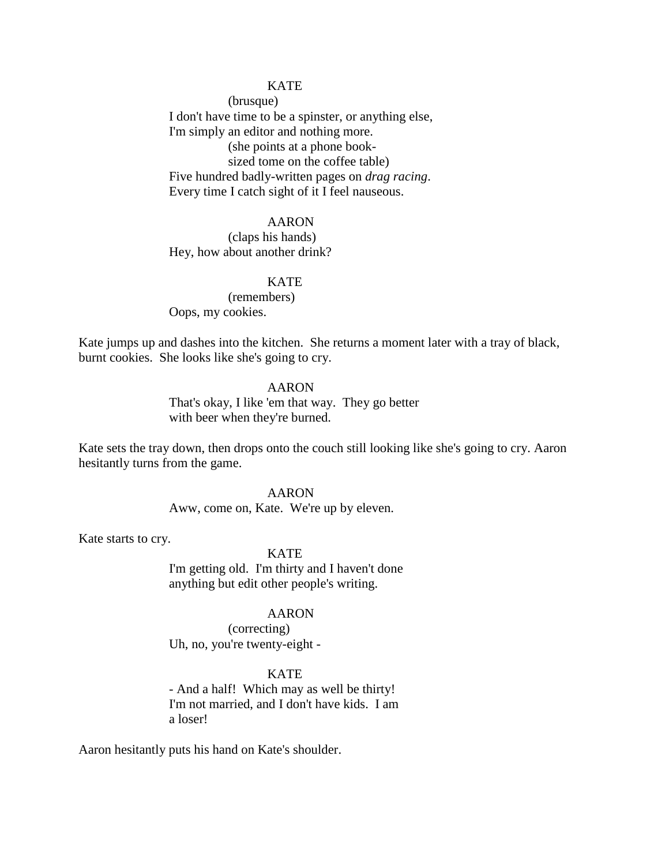# **KATE**

(brusque) I don't have time to be a spinster, or anything else, I'm simply an editor and nothing more. (she points at a phone booksized tome on the coffee table) Five hundred badly-written pages on *drag racing*. Every time I catch sight of it I feel nauseous.

# AARON

(claps his hands) Hey, how about another drink?

# KATE

(remembers) Oops, my cookies.

Kate jumps up and dashes into the kitchen. She returns a moment later with a tray of black, burnt cookies. She looks like she's going to cry.

# AARON

That's okay, I like 'em that way. They go better with beer when they're burned.

Kate sets the tray down, then drops onto the couch still looking like she's going to cry. Aaron hesitantly turns from the game.

#### AARON

Aww, come on, Kate. We're up by eleven.

Kate starts to cry.

## KATE

I'm getting old. I'm thirty and I haven't done anything but edit other people's writing.

## AARON

(correcting) Uh, no, you're twenty-eight -

# KATE

- And a half! Which may as well be thirty! I'm not married, and I don't have kids. I am a loser!

Aaron hesitantly puts his hand on Kate's shoulder.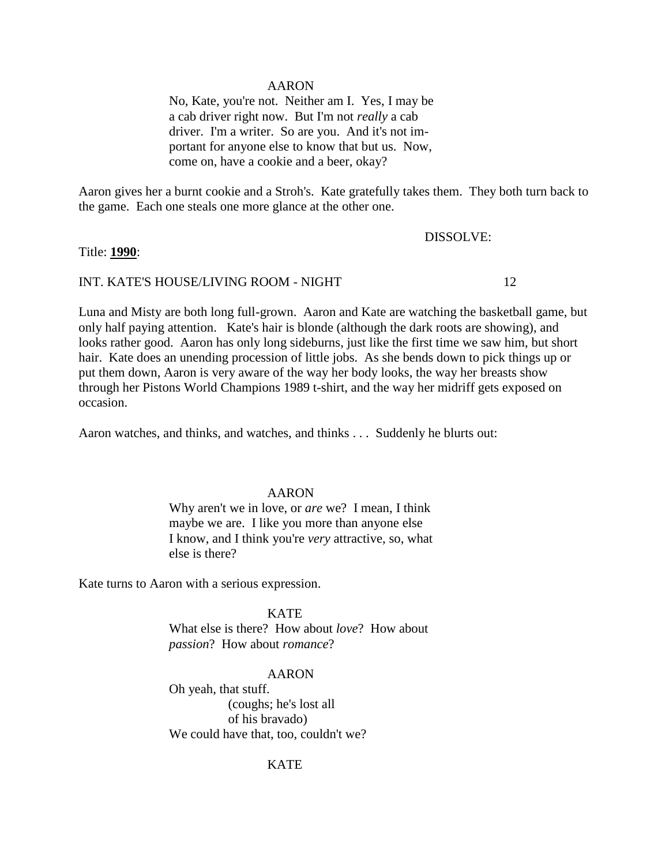No, Kate, you're not. Neither am I. Yes, I may be a cab driver right now. But I'm not *really* a cab driver. I'm a writer. So are you. And it's not important for anyone else to know that but us. Now, come on, have a cookie and a beer, okay?

Aaron gives her a burnt cookie and a Stroh's. Kate gratefully takes them. They both turn back to the game. Each one steals one more glance at the other one.

# DISSOLVE:

# Title: **1990**:

# INT. KATE'S HOUSE/LIVING ROOM - NIGHT 12

Luna and Misty are both long full-grown. Aaron and Kate are watching the basketball game, but only half paying attention. Kate's hair is blonde (although the dark roots are showing), and looks rather good. Aaron has only long sideburns, just like the first time we saw him, but short hair. Kate does an unending procession of little jobs. As she bends down to pick things up or put them down, Aaron is very aware of the way her body looks, the way her breasts show through her Pistons World Champions 1989 t-shirt, and the way her midriff gets exposed on occasion.

Aaron watches, and thinks, and watches, and thinks . . . Suddenly he blurts out:

## AARON

Why aren't we in love, or *are* we? I mean, I think maybe we are. I like you more than anyone else I know, and I think you're *very* attractive, so, what else is there?

Kate turns to Aaron with a serious expression.

KATE What else is there? How about *love*? How about *passion*? How about *romance*?

#### AARON

Oh yeah, that stuff. (coughs; he's lost all of his bravado) We could have that, too, couldn't we?

# KATE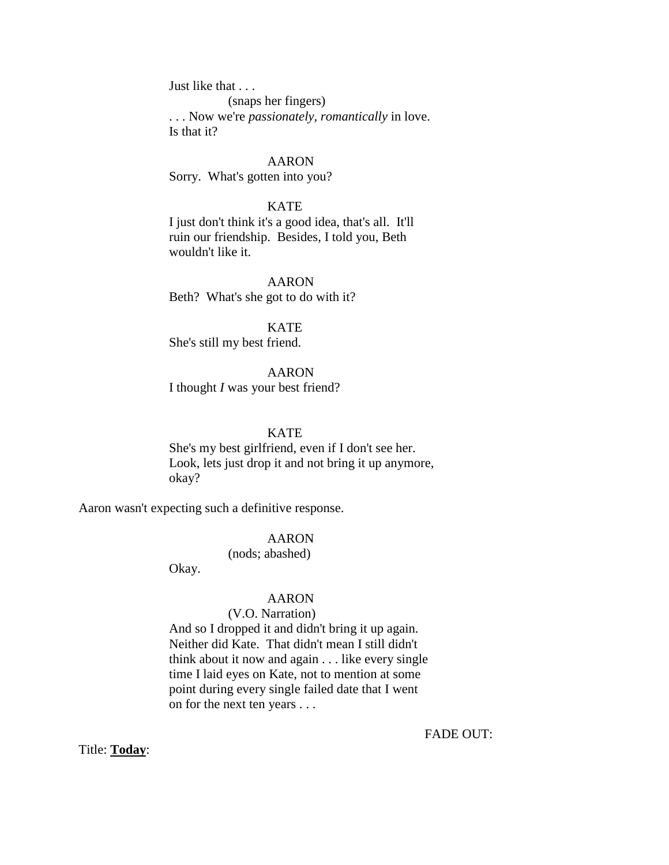Just like that . . . (snaps her fingers) . . . Now we're *passionately, romantically* in love. Is that it?

AARON Sorry. What's gotten into you?

**KATE** I just don't think it's a good idea, that's all. It'll ruin our friendship. Besides, I told you, Beth wouldn't like it.

AARON Beth? What's she got to do with it?

**KATE** She's still my best friend.

AARON I thought *I* was your best friend?

**KATE** 

She's my best girlfriend, even if I don't see her. Look, lets just drop it and not bring it up anymore, okay?

Aaron wasn't expecting such a definitive response.

# AARON

(nods; abashed)

Okay.

## AARON

# (V.O. Narration)

And so I dropped it and didn't bring it up again. Neither did Kate. That didn't mean I still didn't think about it now and again . . . like every single time I laid eyes on Kate, not to mention at some point during every single failed date that I went on for the next ten years . . .

FADE OUT:

Title: **Today**: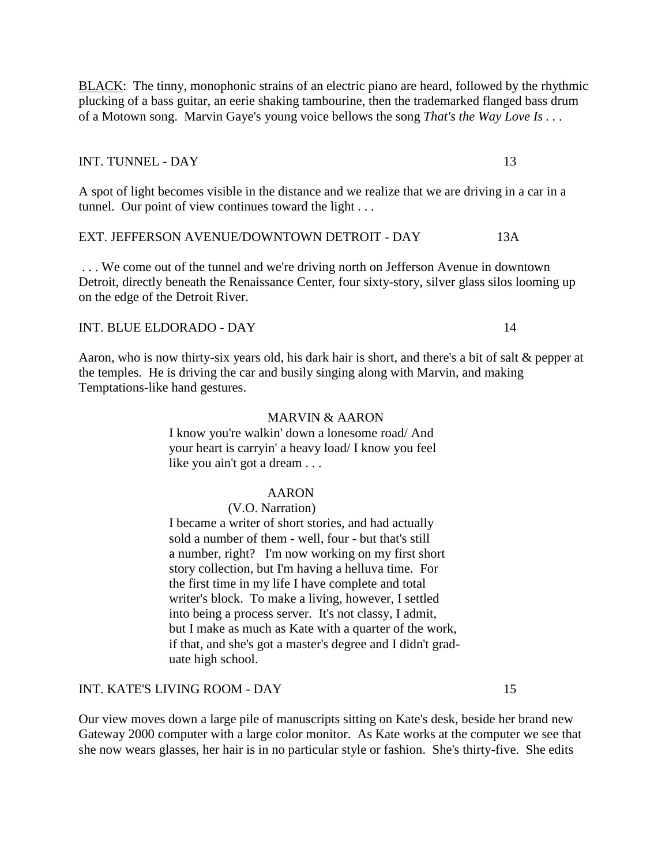BLACK: The tinny, monophonic strains of an electric piano are heard, followed by the rhythmic plucking of a bass guitar, an eerie shaking tambourine, then the trademarked flanged bass drum of a Motown song. Marvin Gaye's young voice bellows the song *That's the Way Love Is . . .* 

# INT. TUNNEL - DAY 13

A spot of light becomes visible in the distance and we realize that we are driving in a car in a tunnel. Our point of view continues toward the light . . .

# EXT. JEFFERSON AVENUE/DOWNTOWN DETROIT - DAY 13A

. . . We come out of the tunnel and we're driving north on Jefferson Avenue in downtown Detroit, directly beneath the Renaissance Center, four sixty-story, silver glass silos looming up on the edge of the Detroit River.

# INT. BLUE ELDORADO - DAY 14

Aaron, who is now thirty-six years old, his dark hair is short, and there's a bit of salt & pepper at the temples. He is driving the car and busily singing along with Marvin, and making Temptations-like hand gestures.

# MARVIN & AARON

I know you're walkin' down a lonesome road/ And your heart is carryin' a heavy load/ I know you feel like you ain't got a dream . . .

## AARON

## (V.O. Narration)

I became a writer of short stories, and had actually sold a number of them - well, four - but that's still a number, right? I'm now working on my first short story collection, but I'm having a helluva time. For the first time in my life I have complete and total writer's block. To make a living, however, I settled into being a process server. It's not classy, I admit, but I make as much as Kate with a quarter of the work, if that, and she's got a master's degree and I didn't graduate high school.

#### INT. KATE'S LIVING ROOM - DAY 15

Our view moves down a large pile of manuscripts sitting on Kate's desk, beside her brand new Gateway 2000 computer with a large color monitor. As Kate works at the computer we see that she now wears glasses, her hair is in no particular style or fashion. She's thirty-five. She edits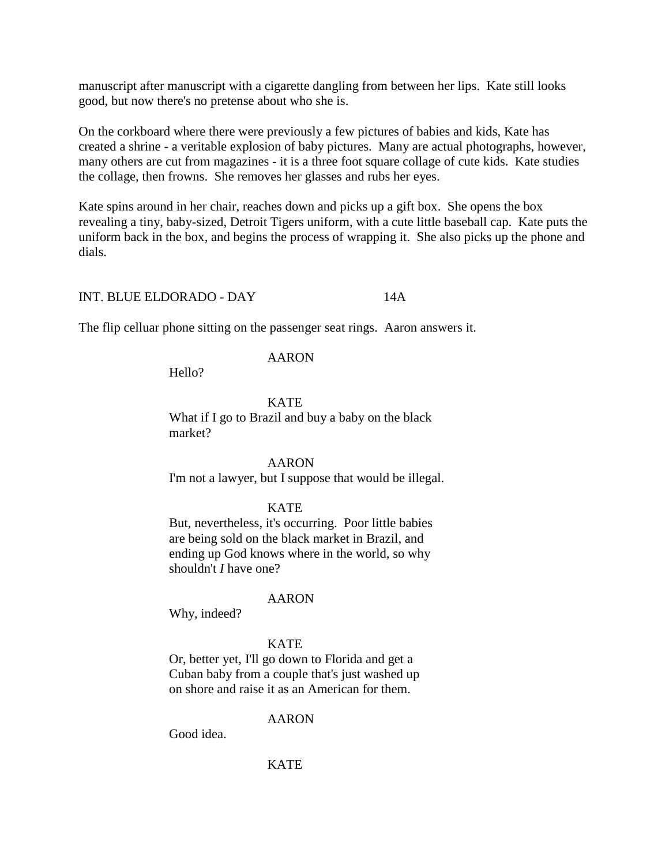manuscript after manuscript with a cigarette dangling from between her lips. Kate still looks good, but now there's no pretense about who she is.

On the corkboard where there were previously a few pictures of babies and kids, Kate has created a shrine - a veritable explosion of baby pictures. Many are actual photographs, however, many others are cut from magazines - it is a three foot square collage of cute kids. Kate studies the collage, then frowns. She removes her glasses and rubs her eyes.

Kate spins around in her chair, reaches down and picks up a gift box. She opens the box revealing a tiny, baby-sized, Detroit Tigers uniform, with a cute little baseball cap. Kate puts the uniform back in the box, and begins the process of wrapping it. She also picks up the phone and dials.

# INT. BLUE ELDORADO - DAY 14A

The flip celluar phone sitting on the passenger seat rings. Aaron answers it.

# AARON

Hello?

# **KATE**

What if I go to Brazil and buy a baby on the black market?

# AARON

I'm not a lawyer, but I suppose that would be illegal.

# KATE

But, nevertheless, it's occurring. Poor little babies are being sold on the black market in Brazil, and ending up God knows where in the world, so why shouldn't *I* have one?

# AARON

Why, indeed?

# **KATE**

Or, better yet, I'll go down to Florida and get a Cuban baby from a couple that's just washed up on shore and raise it as an American for them.

# AARON

Good idea.

# KATE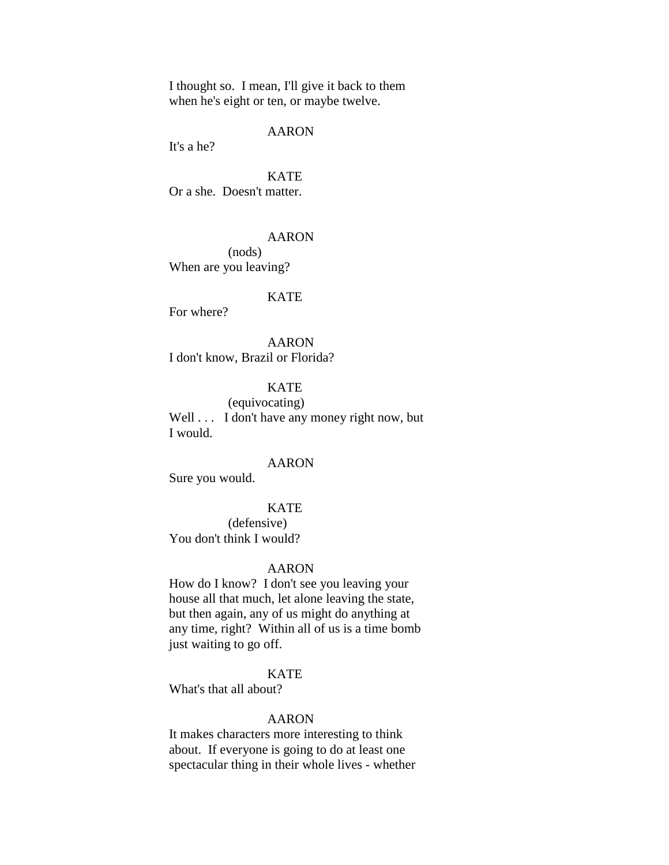I thought so. I mean, I'll give it back to them when he's eight or ten, or maybe twelve.

## AARON

It's a he?

**KATE** Or a she. Doesn't matter.

## AARON

(nods) When are you leaving?

#### **KATE**

For where?

AARON I don't know, Brazil or Florida?

# **KATE**

(equivocating) Well . . . I don't have any money right now, but I would.

## AARON

Sure you would.

#### KATE

(defensive) You don't think I would?

#### AARON

How do I know? I don't see you leaving your house all that much, let alone leaving the state, but then again, any of us might do anything at any time, right? Within all of us is a time bomb just waiting to go off.

# **KATE**

What's that all about?

#### AARON

It makes characters more interesting to think about. If everyone is going to do at least one spectacular thing in their whole lives - whether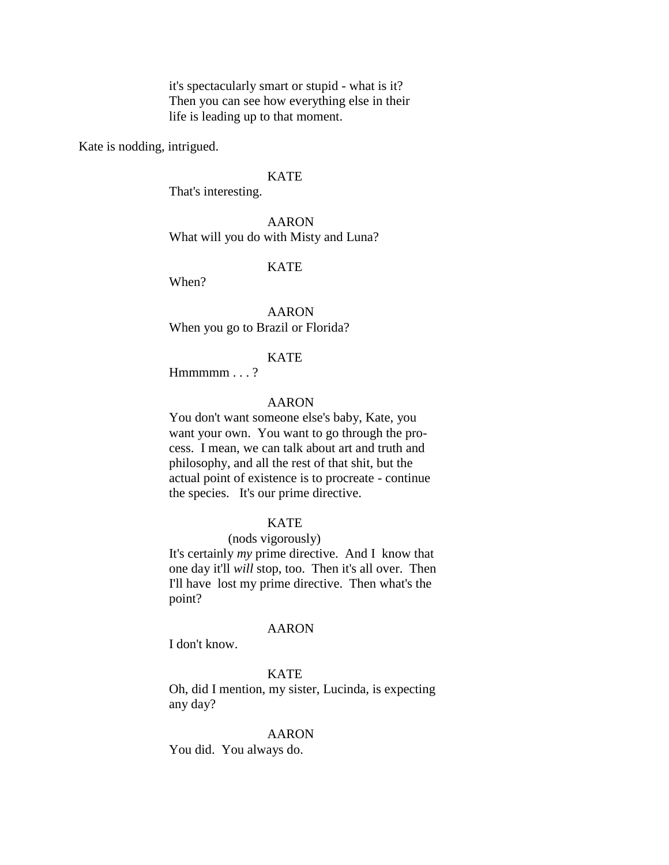it's spectacularly smart or stupid - what is it? Then you can see how everything else in their life is leading up to that moment.

Kate is nodding, intrigued.

# **KATE**

That's interesting.

AARON What will you do with Misty and Luna?

# **KATE**

When?

AARON When you go to Brazil or Florida?

## KATE

 $Hmmmmm...$ ?

# AARON

You don't want someone else's baby, Kate, you want your own. You want to go through the process. I mean, we can talk about art and truth and philosophy, and all the rest of that shit, but the actual point of existence is to procreate - continue the species. It's our prime directive.

#### KATE

#### (nods vigorously)

It's certainly *my* prime directive. And I know that one day it'll *will* stop, too. Then it's all over. Then I'll have lost my prime directive. Then what's the point?

#### AARON

I don't know.

# **KATE**

Oh, did I mention, my sister, Lucinda, is expecting any day?

#### AARON

You did. You always do.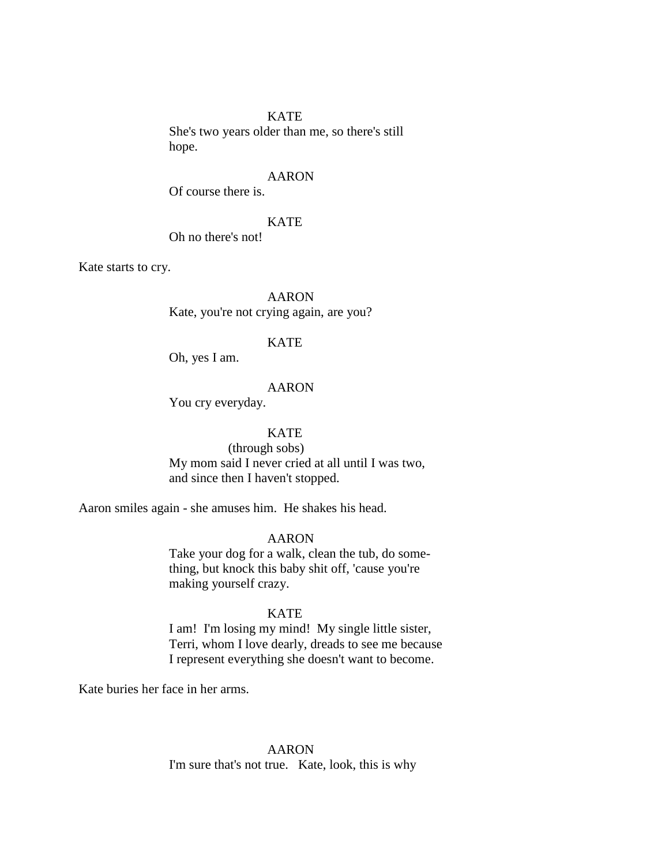## **KATE**

She's two years older than me, so there's still hope.

#### AARON

Of course there is.

#### KATE

Oh no there's not!

Kate starts to cry.

AARON Kate, you're not crying again, are you?

# KATE

Oh, yes I am.

## AARON

You cry everyday.

# KATE

(through sobs) My mom said I never cried at all until I was two, and since then I haven't stopped.

Aaron smiles again - she amuses him. He shakes his head.

# AARON

Take your dog for a walk, clean the tub, do something, but knock this baby shit off, 'cause you're making yourself crazy.

#### KATE

I am! I'm losing my mind! My single little sister, Terri, whom I love dearly, dreads to see me because I represent everything she doesn't want to become.

Kate buries her face in her arms.

# AARON I'm sure that's not true. Kate, look, this is why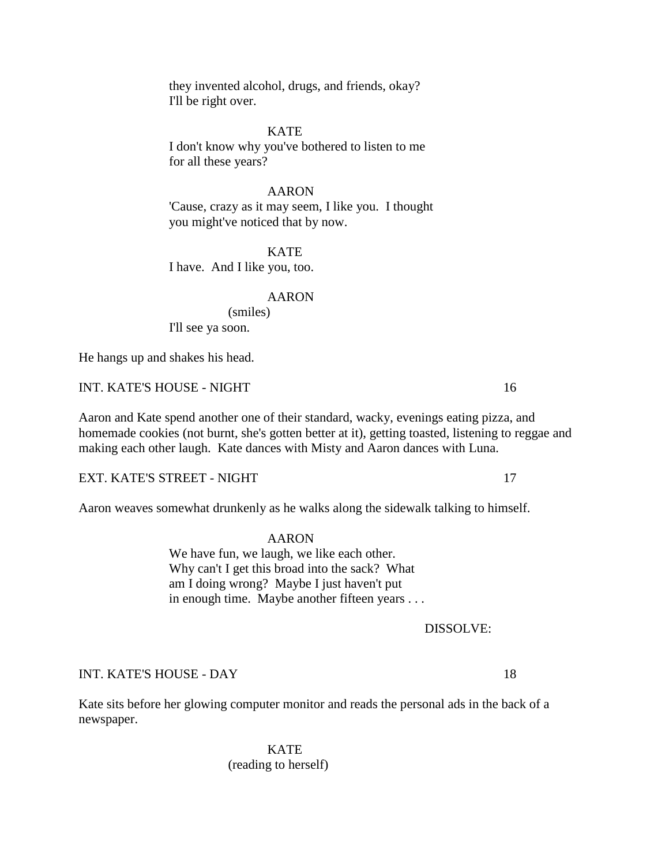they invented alcohol, drugs, and friends, okay? I'll be right over.

# **KATE**

I don't know why you've bothered to listen to me for all these years?

## AARON

'Cause, crazy as it may seem, I like you. I thought you might've noticed that by now.

**KATE** I have. And I like you, too.

#### AARON

(smiles) I'll see ya soon.

He hangs up and shakes his head.

INT. KATE'S HOUSE - NIGHT 16

Aaron and Kate spend another one of their standard, wacky, evenings eating pizza, and homemade cookies (not burnt, she's gotten better at it), getting toasted, listening to reggae and making each other laugh. Kate dances with Misty and Aaron dances with Luna.

EXT. KATE'S STREET - NIGHT 17

Aaron weaves somewhat drunkenly as he walks along the sidewalk talking to himself.

AARON

We have fun, we laugh, we like each other. Why can't I get this broad into the sack? What am I doing wrong? Maybe I just haven't put in enough time. Maybe another fifteen years . . .

DISSOLVE:

# INT. KATE'S HOUSE - DAY 18

Kate sits before her glowing computer monitor and reads the personal ads in the back of a newspaper.

> KATE (reading to herself)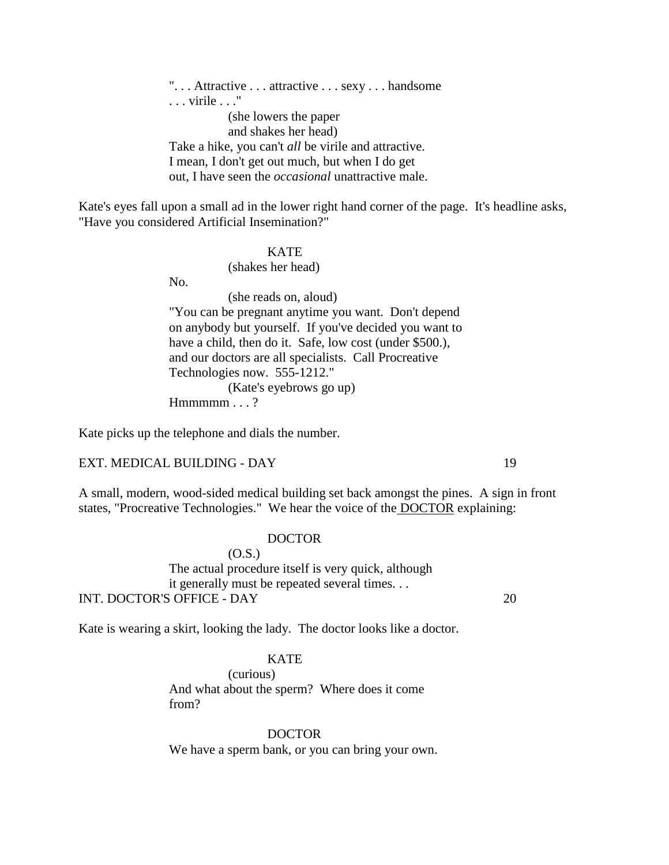". . . Attractive . . . attractive . . . sexy . . . handsome . . . virile . . ." (she lowers the paper and shakes her head) Take a hike, you can't *all* be virile and attractive. I mean, I don't get out much, but when I do get out, I have seen the *occasional* unattractive male.

Kate's eyes fall upon a small ad in the lower right hand corner of the page. It's headline asks, "Have you considered Artificial Insemination?"

#### **KATE**

(shakes her head)

No.

(she reads on, aloud) "You can be pregnant anytime you want. Don't depend on anybody but yourself. If you've decided you want to have a child, then do it. Safe, low cost (under \$500.), and our doctors are all specialists. Call Procreative Technologies now. 555-1212." (Kate's eyebrows go up)

Hmmmm . . . ?

Kate picks up the telephone and dials the number.

# EXT. MEDICAL BUILDING - DAY 19

A small, modern, wood-sided medical building set back amongst the pines. A sign in front states, "Procreative Technologies." We hear the voice of the DOCTOR explaining:

# DOCTOR

(O.S.) The actual procedure itself is very quick, although it generally must be repeated several times. . . INT. DOCTOR'S OFFICE - DAY 20

Kate is wearing a skirt, looking the lady. The doctor looks like a doctor.

# KATE

(curious) And what about the sperm? Where does it come from?

DOCTOR We have a sperm bank, or you can bring your own.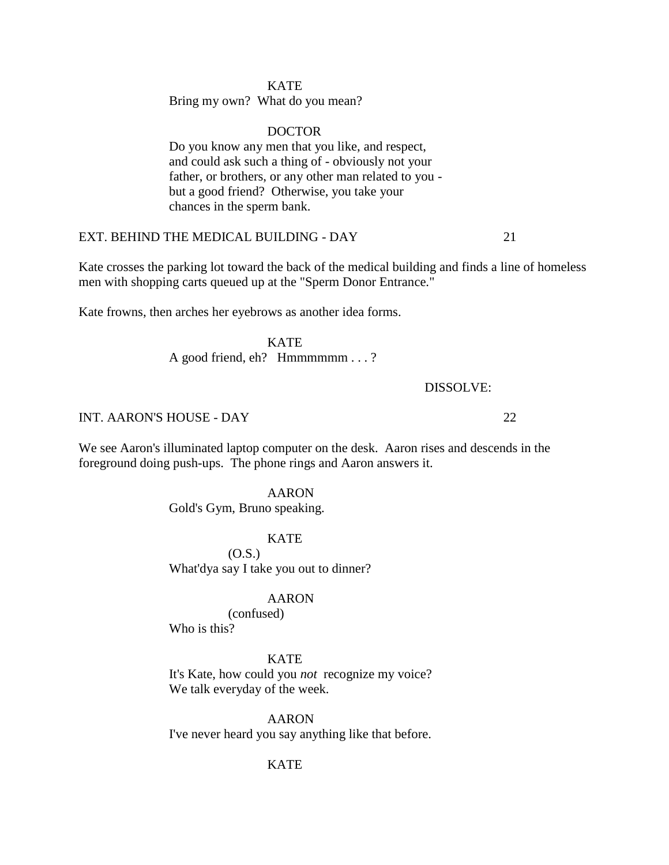# **KATE**

Bring my own? What do you mean?

# DOCTOR

Do you know any men that you like, and respect, and could ask such a thing of - obviously not your father, or brothers, or any other man related to you but a good friend? Otherwise, you take your chances in the sperm bank.

# EXT. BEHIND THE MEDICAL BUILDING - DAY 21

Kate crosses the parking lot toward the back of the medical building and finds a line of homeless men with shopping carts queued up at the "Sperm Donor Entrance."

Kate frowns, then arches her eyebrows as another idea forms.

KATE A good friend, eh? Hmmmmmm . . . ?

DISSOLVE:

# INT. AARON'S HOUSE - DAY 22

We see Aaron's illuminated laptop computer on the desk. Aaron rises and descends in the foreground doing push-ups. The phone rings and Aaron answers it.

## AARON

Gold's Gym, Bruno speaking.

#### **KATE**

(O.S.) What'dya say I take you out to dinner?

#### AARON

(confused)

Who is this?

# KATE

It's Kate, how could you *not* recognize my voice? We talk everyday of the week.

AARON I've never heard you say anything like that before.

# **KATE**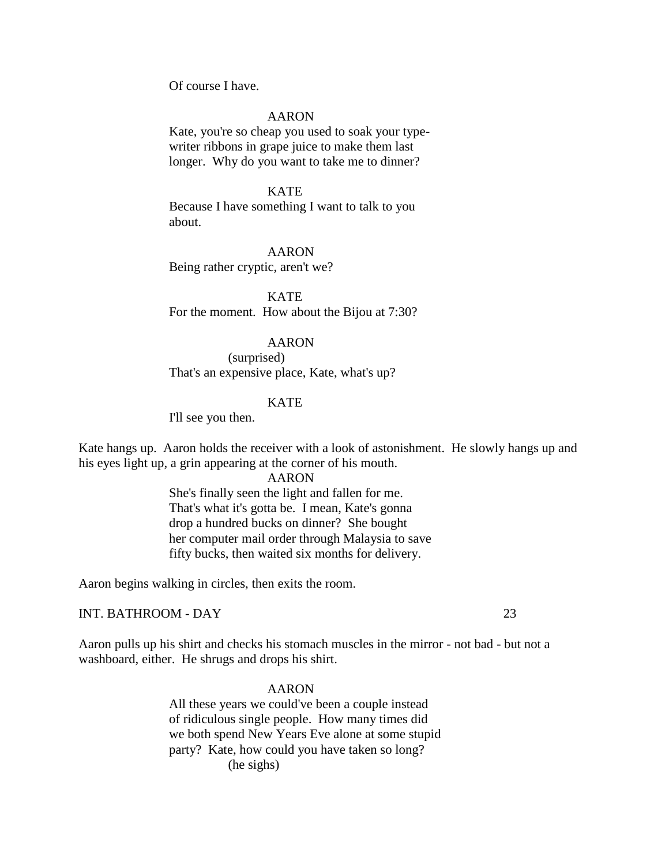Of course I have.

## AARON

Kate, you're so cheap you used to soak your typewriter ribbons in grape juice to make them last longer. Why do you want to take me to dinner?

## **KATE**

Because I have something I want to talk to you about.

#### AARON

Being rather cryptic, aren't we?

KATE For the moment. How about the Bijou at 7:30?

# AARON

(surprised) That's an expensive place, Kate, what's up?

# **KATE**

I'll see you then.

Kate hangs up. Aaron holds the receiver with a look of astonishment. He slowly hangs up and his eyes light up, a grin appearing at the corner of his mouth.

## AARON

She's finally seen the light and fallen for me. That's what it's gotta be. I mean, Kate's gonna drop a hundred bucks on dinner? She bought her computer mail order through Malaysia to save fifty bucks, then waited six months for delivery.

Aaron begins walking in circles, then exits the room.

# INT. BATHROOM - DAY 23

Aaron pulls up his shirt and checks his stomach muscles in the mirror - not bad - but not a washboard, either. He shrugs and drops his shirt.

#### AARON

All these years we could've been a couple instead of ridiculous single people. How many times did we both spend New Years Eve alone at some stupid party? Kate, how could you have taken so long? (he sighs)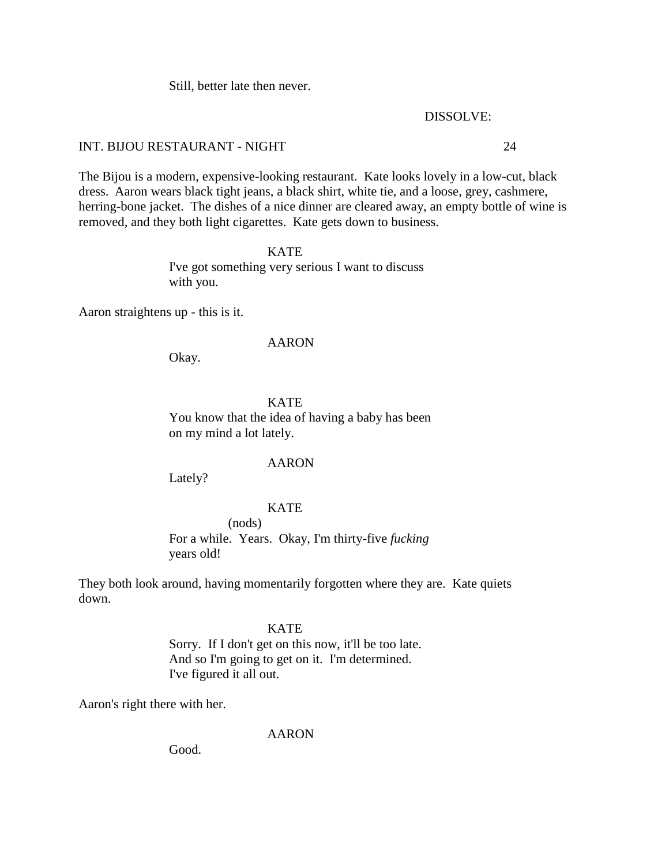Still, better late then never.

#### DISSOLVE:

# INT. BIJOU RESTAURANT - NIGHT 24

The Bijou is a modern, expensive-looking restaurant. Kate looks lovely in a low-cut, black dress. Aaron wears black tight jeans, a black shirt, white tie, and a loose, grey, cashmere, herring-bone jacket. The dishes of a nice dinner are cleared away, an empty bottle of wine is removed, and they both light cigarettes. Kate gets down to business.

# **KATE**

I've got something very serious I want to discuss with you.

Aaron straightens up - this is it.

# AARON

Okay.

**KATE** You know that the idea of having a baby has been on my mind a lot lately.

## AARON

Lately?

# KATE

(nods) For a while. Years. Okay, I'm thirty-five *fucking* years old!

They both look around, having momentarily forgotten where they are. Kate quiets down.

# **KATE**

Sorry. If I don't get on this now, it'll be too late. And so I'm going to get on it. I'm determined. I've figured it all out.

Aaron's right there with her.

AARON

Good.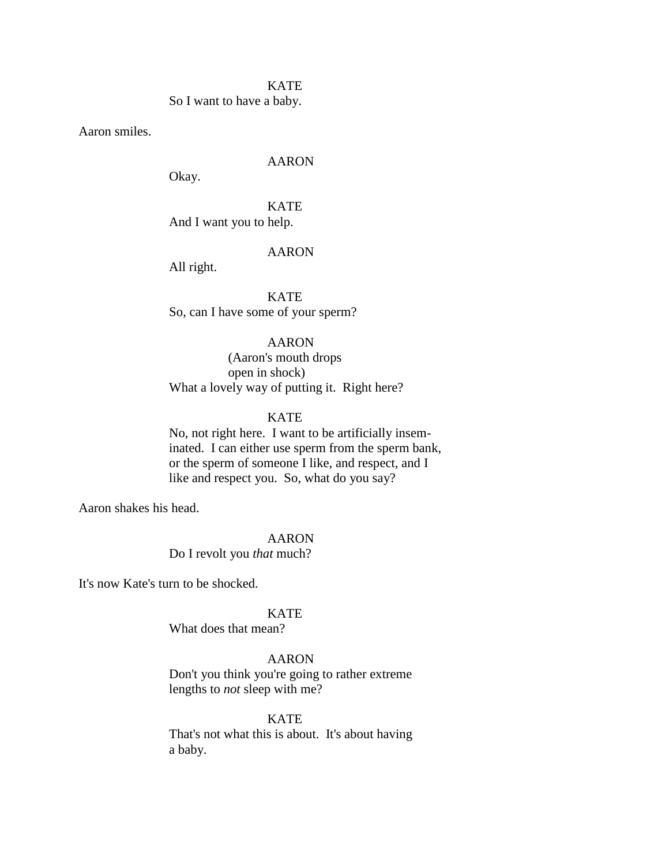#### **KATE**

So I want to have a baby.

Aaron smiles.

## AARON

Okay.

# KATE And I want you to help.

#### AARON

All right.

**KATE** So, can I have some of your sperm?

# AARON

(Aaron's mouth drops open in shock) What a lovely way of putting it. Right here?

# **KATE**

No, not right here. I want to be artificially inseminated. I can either use sperm from the sperm bank, or the sperm of someone I like, and respect, and I like and respect you. So, what do you say?

Aaron shakes his head.

#### AARON

Do I revolt you *that* much?

It's now Kate's turn to be shocked.

# KATE

What does that mean?

# AARON

Don't you think you're going to rather extreme lengths to *not* sleep with me?

## **KATE**

That's not what this is about. It's about having a baby.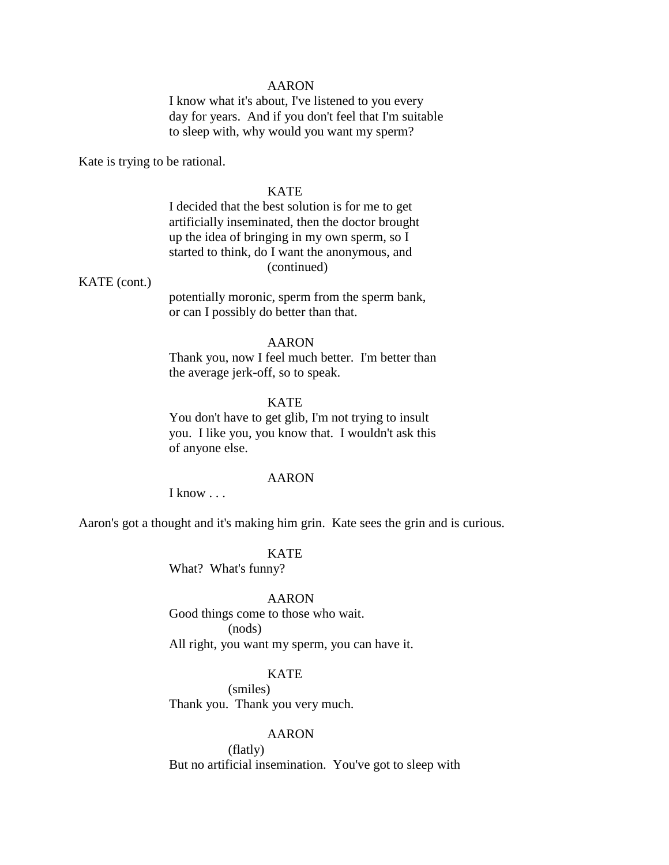I know what it's about, I've listened to you every day for years. And if you don't feel that I'm suitable to sleep with, why would you want my sperm?

Kate is trying to be rational.

## KATE

I decided that the best solution is for me to get artificially inseminated, then the doctor brought up the idea of bringing in my own sperm, so I started to think, do I want the anonymous, and (continued)

## KATE (cont.)

potentially moronic, sperm from the sperm bank, or can I possibly do better than that.

# AARON

Thank you, now I feel much better. I'm better than the average jerk-off, so to speak.

# **KATE**

You don't have to get glib, I'm not trying to insult you. I like you, you know that. I wouldn't ask this of anyone else.

#### AARON

I know . . .

Aaron's got a thought and it's making him grin. Kate sees the grin and is curious.

**KATE** What? What's funny?

## AARON

Good things come to those who wait. (nods) All right, you want my sperm, you can have it.

# **KATE**

(smiles) Thank you. Thank you very much.

## AARON

(flatly) But no artificial insemination. You've got to sleep with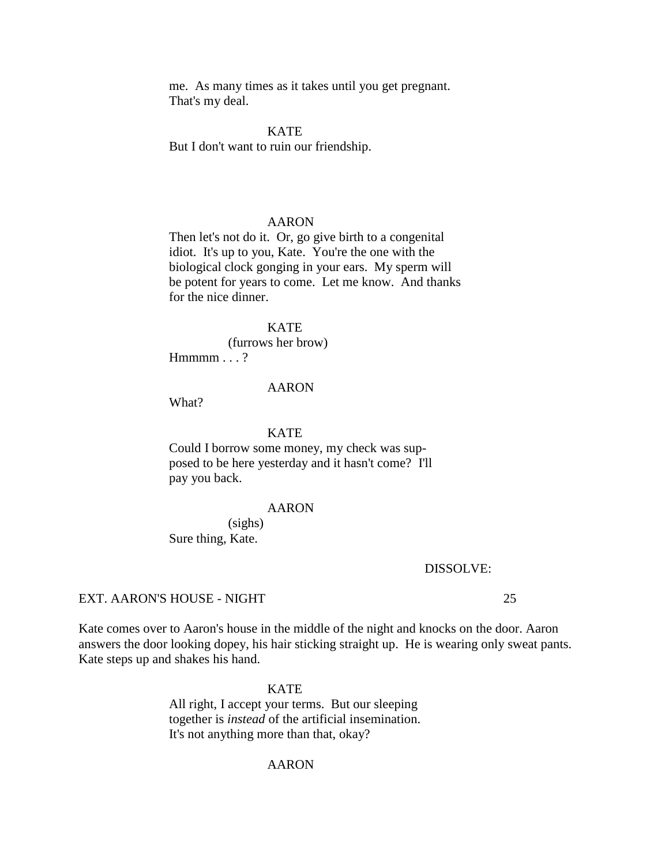me. As many times as it takes until you get pregnant. That's my deal.

**KATE** But I don't want to ruin our friendship.

#### AARON

Then let's not do it. Or, go give birth to a congenital idiot. It's up to you, Kate. You're the one with the biological clock gonging in your ears. My sperm will be potent for years to come. Let me know. And thanks for the nice dinner.

**KATE** (furrows her brow)  $Hmmm \dots ?$ 

#### AARON

What?

## KATE

Could I borrow some money, my check was supposed to be here yesterday and it hasn't come? I'll pay you back.

#### AARON

(sighs) Sure thing, Kate.

#### DISSOLVE:

#### EXT. AARON'S HOUSE - NIGHT 25

Kate comes over to Aaron's house in the middle of the night and knocks on the door. Aaron answers the door looking dopey, his hair sticking straight up. He is wearing only sweat pants. Kate steps up and shakes his hand.

#### KATE

All right, I accept your terms. But our sleeping together is *instead* of the artificial insemination. It's not anything more than that, okay?

## AARON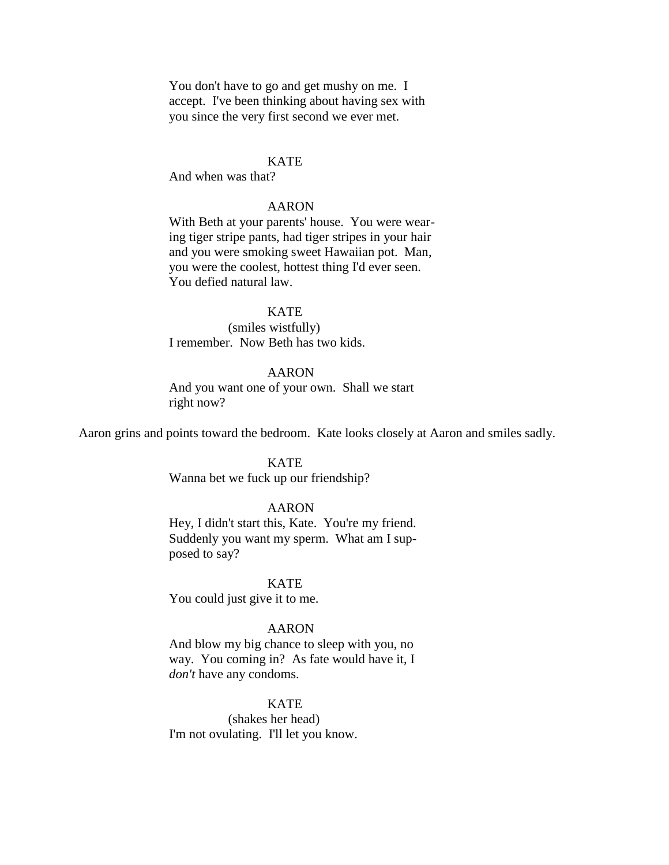You don't have to go and get mushy on me. I accept. I've been thinking about having sex with you since the very first second we ever met.

## **KATE**

And when was that?

## AARON

With Beth at your parents' house. You were wearing tiger stripe pants, had tiger stripes in your hair and you were smoking sweet Hawaiian pot. Man, you were the coolest, hottest thing I'd ever seen. You defied natural law.

## **KATE**

(smiles wistfully) I remember. Now Beth has two kids.

# AARON

And you want one of your own. Shall we start right now?

Aaron grins and points toward the bedroom. Kate looks closely at Aaron and smiles sadly.

### **KATE**

Wanna bet we fuck up our friendship?

#### AARON

Hey, I didn't start this, Kate. You're my friend. Suddenly you want my sperm. What am I supposed to say?

KATE

You could just give it to me.

#### AARON

And blow my big chance to sleep with you, no way. You coming in? As fate would have it, I *don't* have any condoms.

#### **KATE**

(shakes her head) I'm not ovulating. I'll let you know.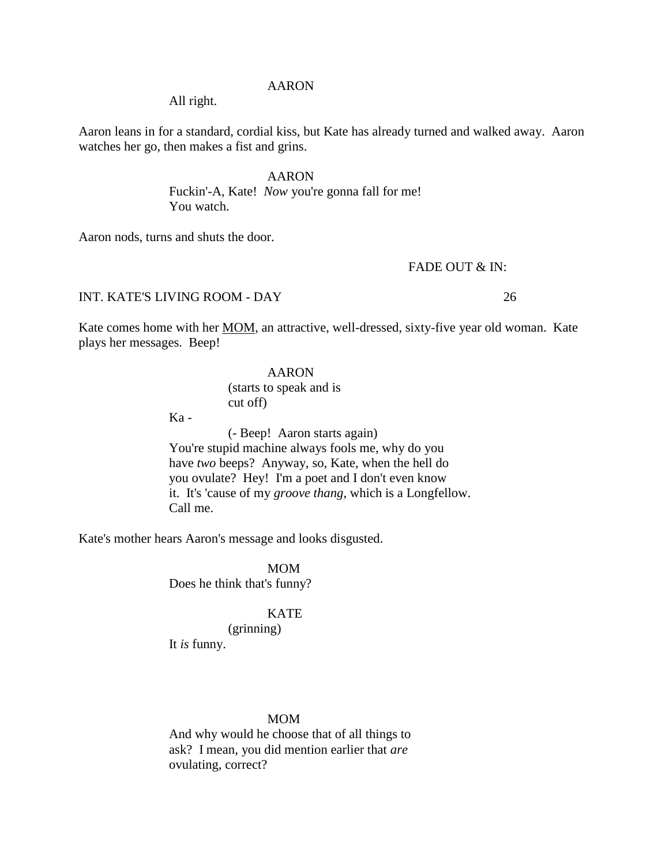All right.

Aaron leans in for a standard, cordial kiss, but Kate has already turned and walked away. Aaron watches her go, then makes a fist and grins.

> AARON Fuckin'-A, Kate! *Now* you're gonna fall for me! You watch.

Aaron nods, turns and shuts the door.

# FADE OUT & IN:

INT. KATE'S LIVING ROOM - DAY 26

Kate comes home with her MOM, an attractive, well-dressed, sixty-five year old woman. Kate plays her messages. Beep!

# AARON

(starts to speak and is cut off)

 $Ka -$ 

(- Beep! Aaron starts again) You're stupid machine always fools me, why do you have *two* beeps? Anyway, so, Kate, when the hell do you ovulate? Hey! I'm a poet and I don't even know it. It's 'cause of my *groove thang*, which is a Longfellow. Call me.

Kate's mother hears Aaron's message and looks disgusted.

MOM Does he think that's funny?

## KATE

(grinning) It *is* funny.

## MOM

And why would he choose that of all things to ask? I mean, you did mention earlier that *are* ovulating, correct?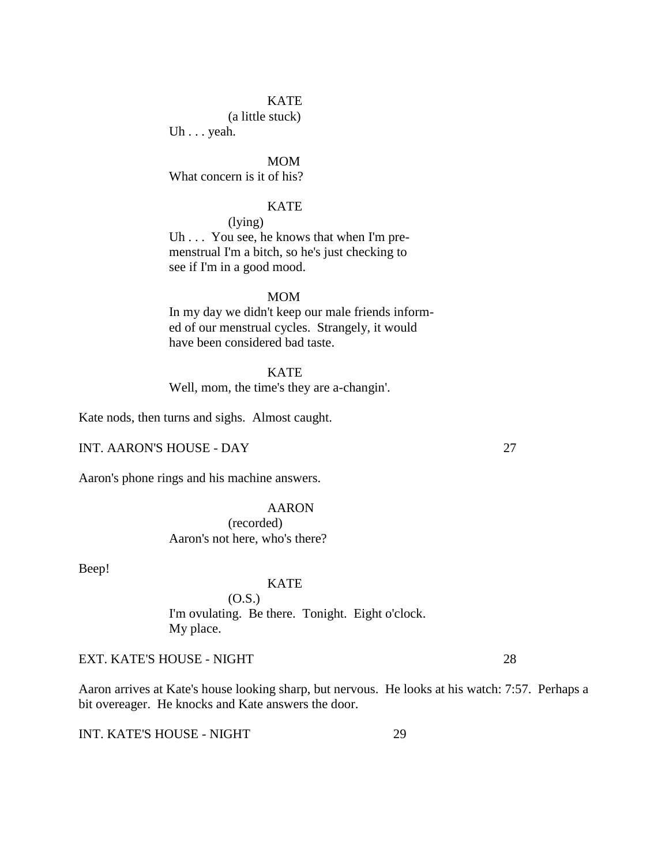# **KATE**

(a little stuck)

Uh . . . yeah.

MOM What concern is it of his?

# **KATE**

(lying)

Uh . . . You see, he knows that when I'm premenstrual I'm a bitch, so he's just checking to see if I'm in a good mood.

#### MOM

In my day we didn't keep our male friends informed of our menstrual cycles. Strangely, it would have been considered bad taste.

**KATE** Well, mom, the time's they are a-changin'.

Kate nods, then turns and sighs. Almost caught.

INT. AARON'S HOUSE - DAY 27

Aaron's phone rings and his machine answers.

# AARON (recorded) Aaron's not here, who's there?

Beep!

# KATE

(O.S.) I'm ovulating. Be there. Tonight. Eight o'clock. My place.

EXT. KATE'S HOUSE - NIGHT 28

Aaron arrives at Kate's house looking sharp, but nervous. He looks at his watch: 7:57. Perhaps a bit overeager. He knocks and Kate answers the door.

INT. KATE'S HOUSE - NIGHT 29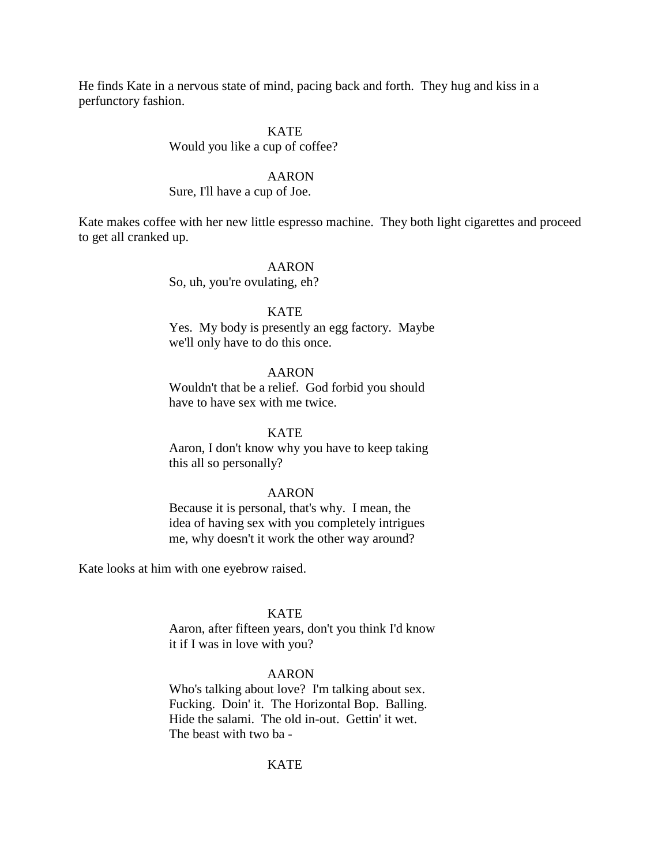He finds Kate in a nervous state of mind, pacing back and forth. They hug and kiss in a perfunctory fashion.

# KATE

# Would you like a cup of coffee?

#### AARON

## Sure, I'll have a cup of Joe.

Kate makes coffee with her new little espresso machine. They both light cigarettes and proceed to get all cranked up.

## AARON

So, uh, you're ovulating, eh?

## **KATE**

Yes. My body is presently an egg factory. Maybe we'll only have to do this once.

# AARON

Wouldn't that be a relief. God forbid you should have to have sex with me twice.

#### KATE

Aaron, I don't know why you have to keep taking this all so personally?

#### AARON

Because it is personal, that's why. I mean, the idea of having sex with you completely intrigues me, why doesn't it work the other way around?

Kate looks at him with one eyebrow raised.

## KATE

Aaron, after fifteen years, don't you think I'd know it if I was in love with you?

# AARON

Who's talking about love? I'm talking about sex. Fucking. Doin' it. The Horizontal Bop. Balling. Hide the salami. The old in-out. Gettin' it wet. The beast with two ba -

# KATE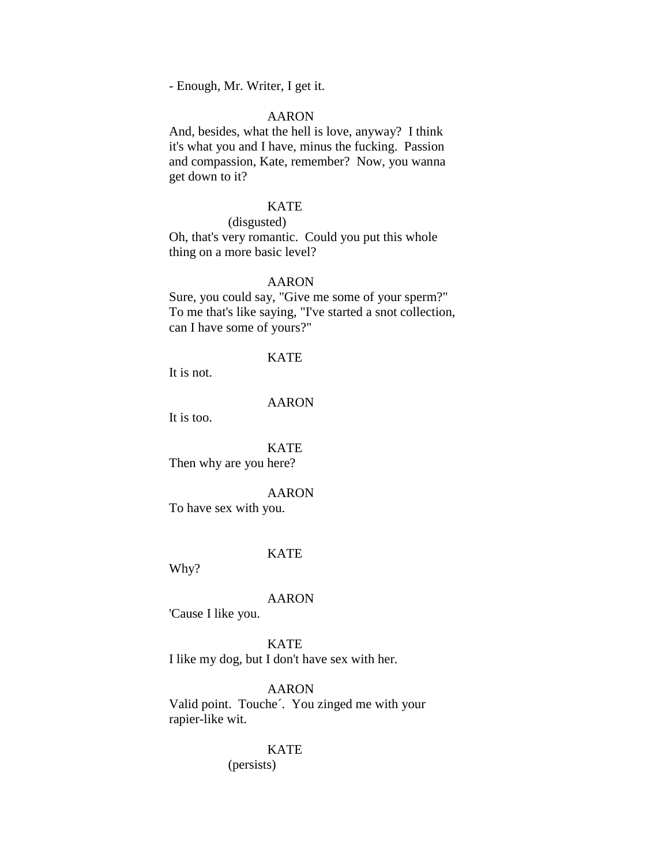- Enough, Mr. Writer, I get it.

# AARON

And, besides, what the hell is love, anyway? I think it's what you and I have, minus the fucking. Passion and compassion, Kate, remember? Now, you wanna get down to it?

# KATE

(disgusted)

Oh, that's very romantic. Could you put this whole thing on a more basic level?

# AARON

Sure, you could say, "Give me some of your sperm?" To me that's like saying, "I've started a snot collection, can I have some of yours?"

#### KATE

It is not.

# AARON

It is too.

KATE Then why are you here?

#### AARON

To have sex with you.

#### KATE

Why?

#### AARON

'Cause I like you.

**KATE** I like my dog, but I don't have sex with her.

AARON Valid point. Touche´. You zinged me with your rapier-like wit.

#### KATE

(persists)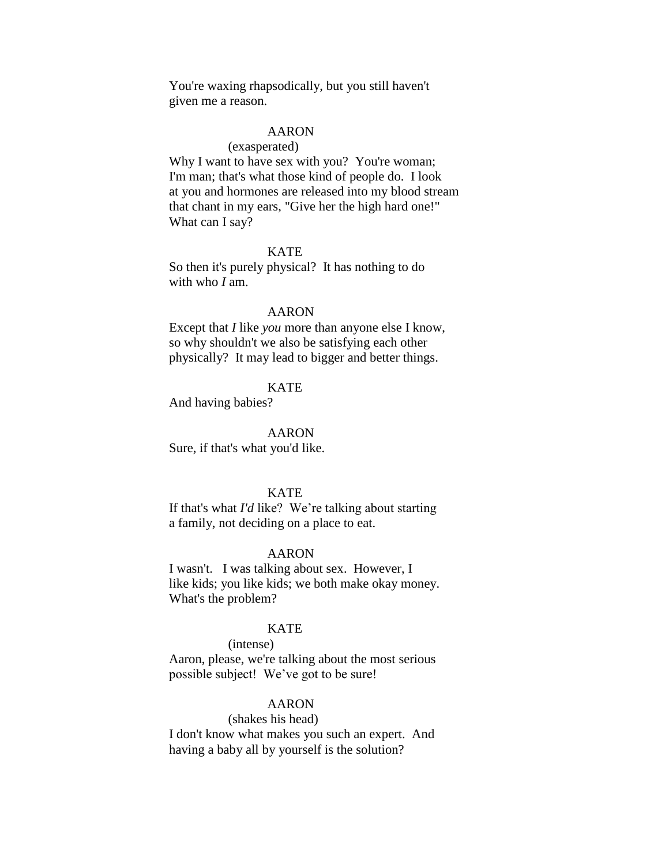You're waxing rhapsodically, but you still haven't given me a reason.

# AARON

#### (exasperated)

Why I want to have sex with you? You're woman; I'm man; that's what those kind of people do. I look at you and hormones are released into my blood stream that chant in my ears, "Give her the high hard one!" What can I say?

## KATE

So then it's purely physical? It has nothing to do with who *I* am.

#### AARON

Except that *I* like *you* more than anyone else I know, so why shouldn't we also be satisfying each other physically? It may lead to bigger and better things.

# **KATE**

And having babies?

AARON

Sure, if that's what you'd like.

## **KATE**

If that's what *I'd* like? We're talking about starting a family, not deciding on a place to eat.

## AARON

I wasn't. I was talking about sex. However, I like kids; you like kids; we both make okay money. What's the problem?

# **KATE**

#### (intense)

Aaron, please, we're talking about the most serious possible subject! We've got to be sure!

## AARON

## (shakes his head)

I don't know what makes you such an expert. And having a baby all by yourself is the solution?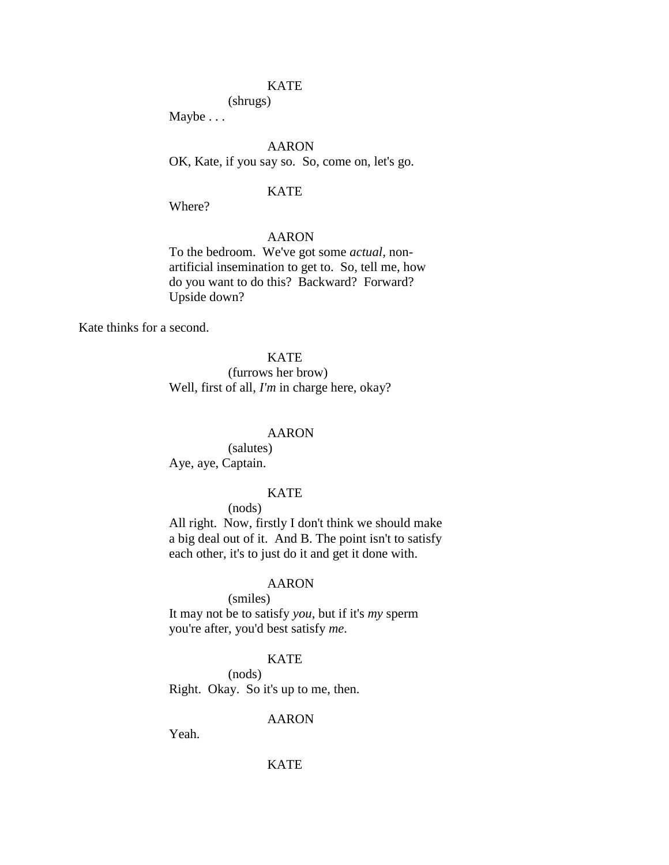# **KATE**

# (shrugs)

Maybe . . .

AARON OK, Kate, if you say so. So, come on, let's go.

### KATE

Where?

# AARON

To the bedroom. We've got some *actual,* nonartificial insemination to get to. So, tell me, how do you want to do this? Backward? Forward? Upside down?

Kate thinks for a second.

**KATE** (furrows her brow) Well, first of all, *I'm* in charge here, okay?

## AARON

(salutes) Aye, aye, Captain.

# **KATE**

# (nods)

All right. Now, firstly I don't think we should make a big deal out of it. And B. The point isn't to satisfy each other, it's to just do it and get it done with.

## AARON

#### (smiles)

It may not be to satisfy *you*, but if it's *my* sperm you're after, you'd best satisfy *me*.

#### KATE

(nods)

Right. Okay. So it's up to me, then.

## AARON

Yeah.

# **KATE**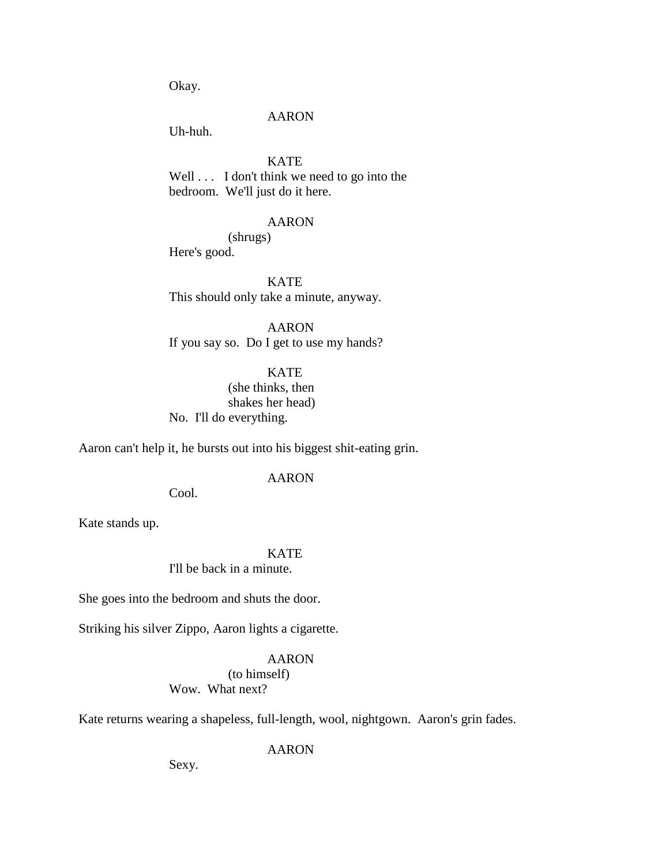Okay.

#### AARON

Uh-huh.

# **KATE**

Well . . . I don't think we need to go into the bedroom. We'll just do it here.

## AARON

# (shrugs)

Here's good.

KATE This should only take a minute, anyway.

AARON If you say so. Do I get to use my hands?

KATE (she thinks, then shakes her head) No. I'll do everything.

Aaron can't help it, he bursts out into his biggest shit-eating grin.

## AARON

Cool.

Kate stands up.

# KATE

I'll be back in a minute.

She goes into the bedroom and shuts the door.

Striking his silver Zippo, Aaron lights a cigarette.

#### AARON

# (to himself)

Wow. What next?

Kate returns wearing a shapeless, full-length, wool, nightgown. Aaron's grin fades.

#### AARON

Sexy.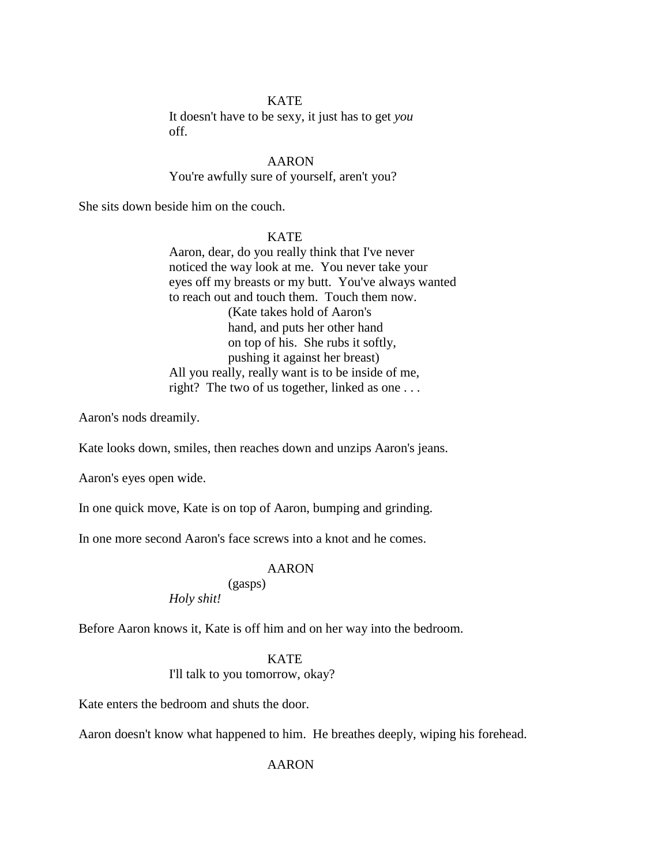## **KATE**

It doesn't have to be sexy, it just has to get *you* off.

AARON You're awfully sure of yourself, aren't you?

She sits down beside him on the couch.

# **KATE**

Aaron, dear, do you really think that I've never noticed the way look at me. You never take your eyes off my breasts or my butt. You've always wanted to reach out and touch them. Touch them now. (Kate takes hold of Aaron's hand, and puts her other hand on top of his. She rubs it softly, pushing it against her breast) All you really, really want is to be inside of me, right? The two of us together, linked as one . . .

Aaron's nods dreamily.

Kate looks down, smiles, then reaches down and unzips Aaron's jeans.

Aaron's eyes open wide.

In one quick move, Kate is on top of Aaron, bumping and grinding.

In one more second Aaron's face screws into a knot and he comes.

# AARON

# (gasps) *Holy shit!*

Before Aaron knows it, Kate is off him and on her way into the bedroom.

# KATE

I'll talk to you tomorrow, okay?

Kate enters the bedroom and shuts the door.

Aaron doesn't know what happened to him. He breathes deeply, wiping his forehead.

AARON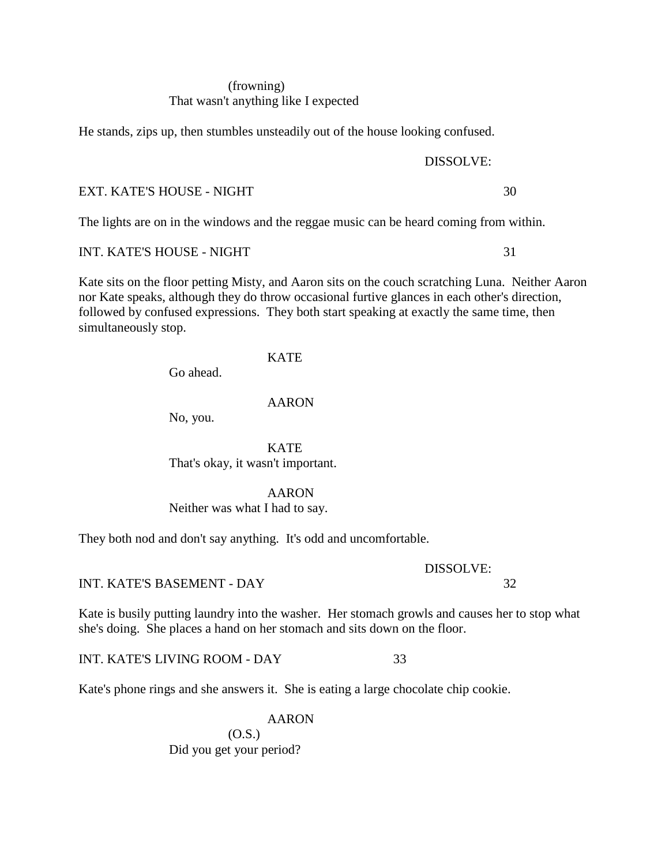# (frowning) That wasn't anything like I expected

He stands, zips up, then stumbles unsteadily out of the house looking confused.

# EXT. KATE'S HOUSE - NIGHT 30

The lights are on in the windows and the reggae music can be heard coming from within.

# INT. KATE'S HOUSE - NIGHT 31

Kate sits on the floor petting Misty, and Aaron sits on the couch scratching Luna. Neither Aaron nor Kate speaks, although they do throw occasional furtive glances in each other's direction, followed by confused expressions. They both start speaking at exactly the same time, then simultaneously stop.

# KATE

Go ahead.

# AARON

No, you.

**KATE** That's okay, it wasn't important.

# AARON

Neither was what I had to say.

They both nod and don't say anything. It's odd and uncomfortable.

INT. KATE'S BASEMENT - DAY 32

Kate is busily putting laundry into the washer. Her stomach growls and causes her to stop what she's doing. She places a hand on her stomach and sits down on the floor.

INT. KATE'S LIVING ROOM - DAY 33

Kate's phone rings and she answers it. She is eating a large chocolate chip cookie.

AARON (O.S.) Did you get your period?

# DISSOLVE:

DISSOLVE: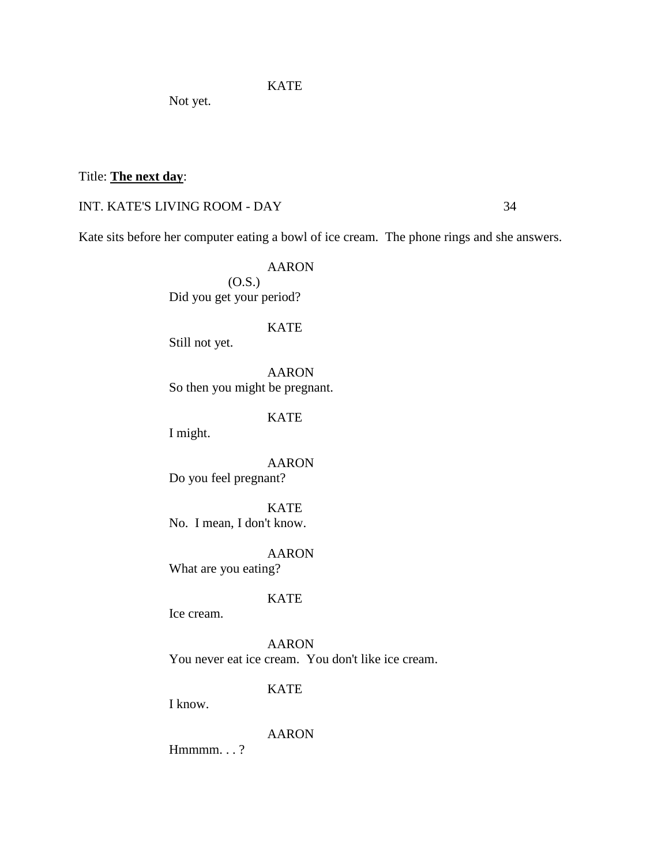**KATE** 

Not yet.

# Title: **The next day**:

# INT. KATE'S LIVING ROOM - DAY 34

Kate sits before her computer eating a bowl of ice cream. The phone rings and she answers.

AARON (O.S.) Did you get your period?

KATE

Still not yet.

AARON So then you might be pregnant.

**KATE** 

I might.

AARON Do you feel pregnant?

KATE No. I mean, I don't know.

AARON What are you eating?

# KATE

Ice cream.

AARON You never eat ice cream. You don't like ice cream.

KATE

I know.

AARON

Hmmmm.  $\ldots$  ?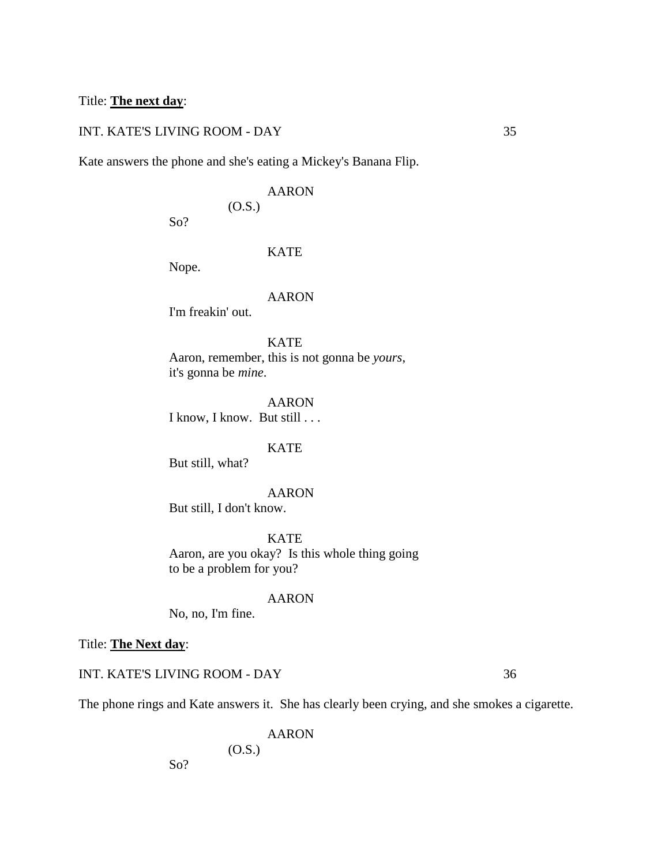# Title: **The next day**:

# INT. KATE'S LIVING ROOM - DAY 35

Kate answers the phone and she's eating a Mickey's Banana Flip.

# AARON

(O.S.)

# KATE

Nope.

So?

#### AARON

I'm freakin' out.

# **KATE**

Aaron, remember, this is not gonna be *yours*, it's gonna be *mine*.

AARON I know, I know. But still . . .

### **KATE**

But still, what?

# AARON

But still, I don't know.

**KATE** Aaron, are you okay? Is this whole thing going to be a problem for you?

#### AARON

No, no, I'm fine.

Title: **The Next day**:

INT. KATE'S LIVING ROOM - DAY 36

So?

The phone rings and Kate answers it. She has clearly been crying, and she smokes a cigarette.

AARON (O.S.)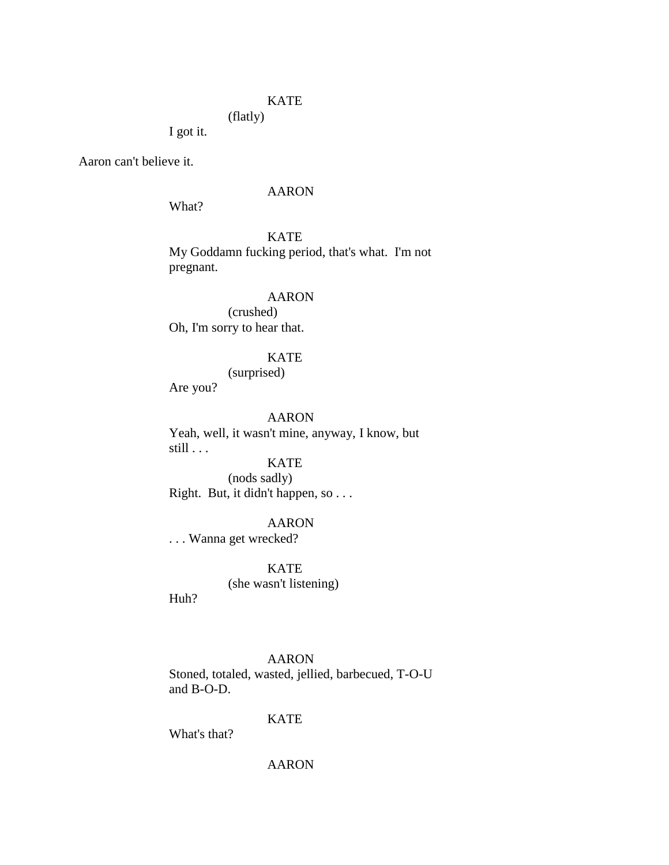# KATE

(flatly)

I got it.

Aaron can't believe it.

### AARON

What?

**KATE** My Goddamn fucking period, that's what. I'm not pregnant.

# AARON

(crushed) Oh, I'm sorry to hear that.

# KATE

(surprised)

Are you?

# AARON

Yeah, well, it wasn't mine, anyway, I know, but still . . .

# KATE

(nods sadly) Right. But, it didn't happen, so . . .

# AARON

. . . Wanna get wrecked?

**KATE** (she wasn't listening)

Huh?

# AARON

Stoned, totaled, wasted, jellied, barbecued, T-O-U and B-O-D.

# KATE

What's that?

AARON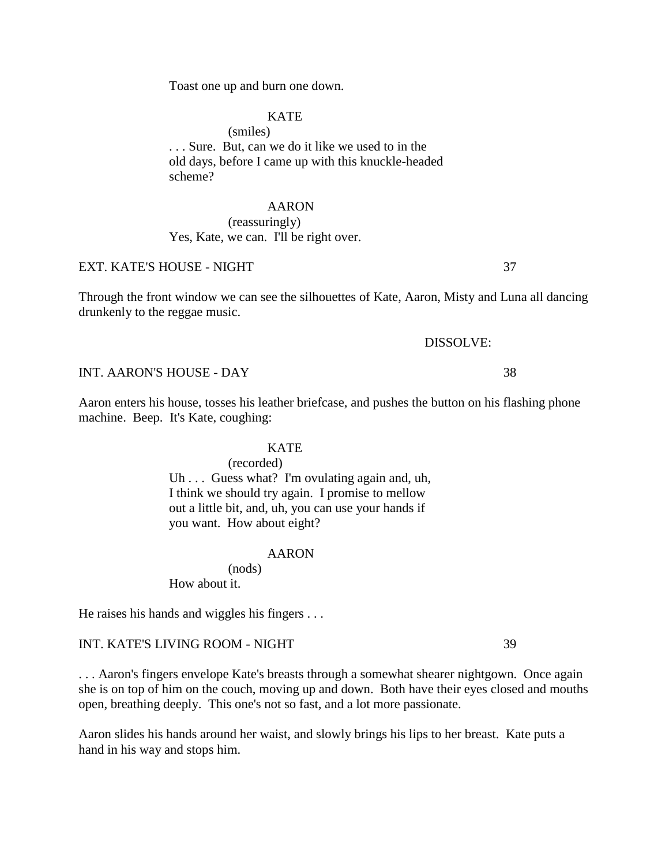Toast one up and burn one down.

# **KATE**

(smiles) . . . Sure. But, can we do it like we used to in the old days, before I came up with this knuckle-headed scheme?

### AARON

# (reassuringly) Yes, Kate, we can. I'll be right over.

# EXT. KATE'S HOUSE - NIGHT 37

Through the front window we can see the silhouettes of Kate, Aaron, Misty and Luna all dancing drunkenly to the reggae music.

# DISSOLVE:

Aaron enters his house, tosses his leather briefcase, and pushes the button on his flashing phone machine. Beep. It's Kate, coughing:

#### **KATE**

(recorded)

Uh . . . Guess what? I'm ovulating again and, uh, I think we should try again. I promise to mellow out a little bit, and, uh, you can use your hands if you want. How about eight?

#### AARON

(nods)

How about it.

He raises his hands and wiggles his fingers . . .

INT. KATE'S LIVING ROOM - NIGHT 39

. . . Aaron's fingers envelope Kate's breasts through a somewhat shearer nightgown. Once again she is on top of him on the couch, moving up and down. Both have their eyes closed and mouths open, breathing deeply. This one's not so fast, and a lot more passionate.

Aaron slides his hands around her waist, and slowly brings his lips to her breast. Kate puts a hand in his way and stops him.

#### INT. AARON'S HOUSE - DAY 38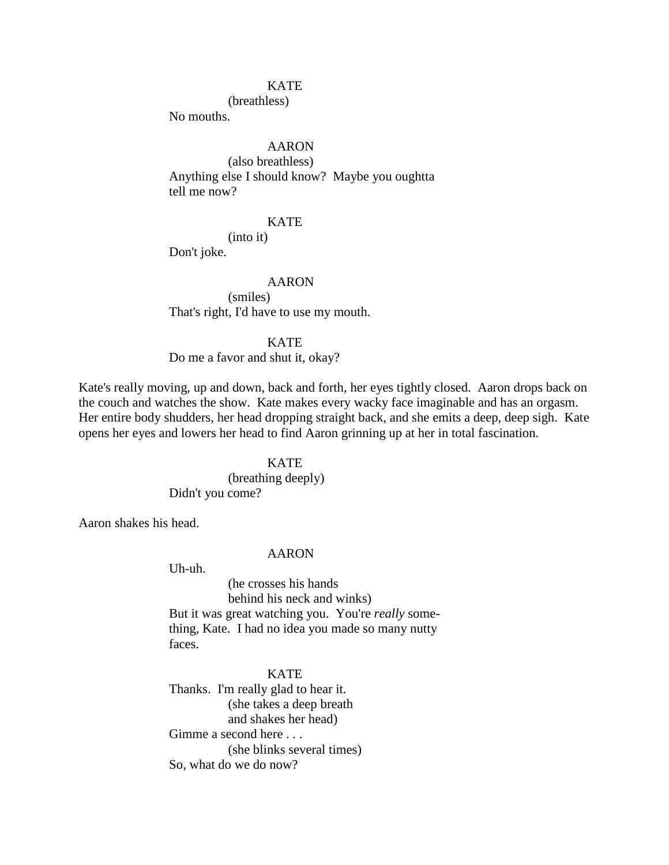### **KATE**

(breathless)

No mouths.

# AARON

(also breathless) Anything else I should know? Maybe you oughtta tell me now?

# KATE

(into it)

Don't joke.

### AARON

(smiles) That's right, I'd have to use my mouth.

# **KATE**

Do me a favor and shut it, okay?

Kate's really moving, up and down, back and forth, her eyes tightly closed. Aaron drops back on the couch and watches the show. Kate makes every wacky face imaginable and has an orgasm. Her entire body shudders, her head dropping straight back, and she emits a deep, deep sigh. Kate opens her eyes and lowers her head to find Aaron grinning up at her in total fascination.

# **KATE**

(breathing deeply) Didn't you come?

Aaron shakes his head.

#### AARON

Uh-uh.

(he crosses his hands behind his neck and winks) But it was great watching you. You're *really* something, Kate. I had no idea you made so many nutty faces.

# **KATE**

Thanks. I'm really glad to hear it. (she takes a deep breath and shakes her head) Gimme a second here . . . (she blinks several times) So, what do we do now?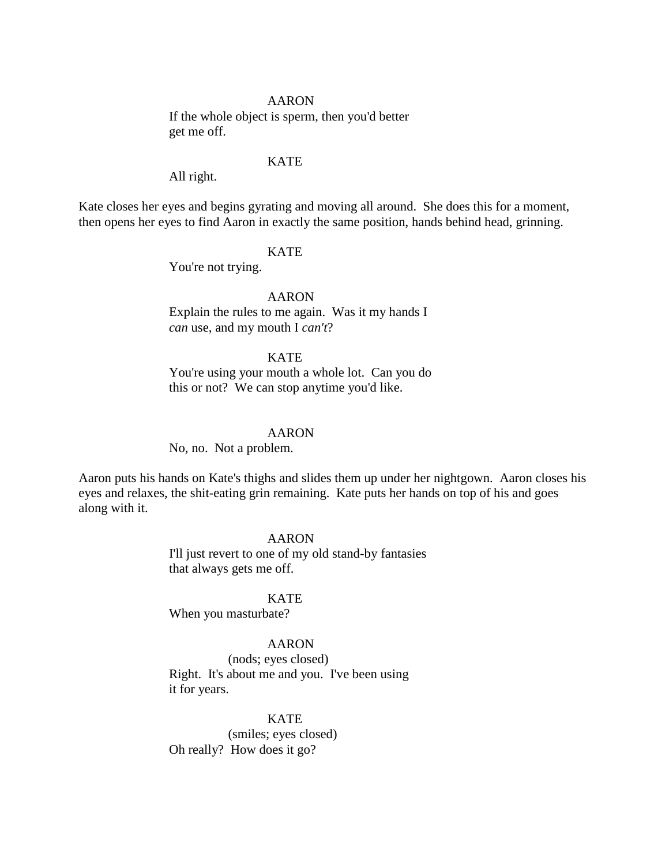#### AARON

If the whole object is sperm, then you'd better get me off.

### **KATE**

All right.

Kate closes her eyes and begins gyrating and moving all around. She does this for a moment, then opens her eyes to find Aaron in exactly the same position, hands behind head, grinning.

# KATE

You're not trying.

AARON Explain the rules to me again. Was it my hands I *can* use, and my mouth I *can't*?

### **KATE**

You're using your mouth a whole lot. Can you do this or not? We can stop anytime you'd like.

#### AARON

No, no. Not a problem.

Aaron puts his hands on Kate's thighs and slides them up under her nightgown. Aaron closes his eyes and relaxes, the shit-eating grin remaining. Kate puts her hands on top of his and goes along with it.

### AARON

I'll just revert to one of my old stand-by fantasies that always gets me off.

# KATE

When you masturbate?

#### AARON

(nods; eyes closed) Right. It's about me and you. I've been using it for years.

#### **KATE**

(smiles; eyes closed) Oh really? How does it go?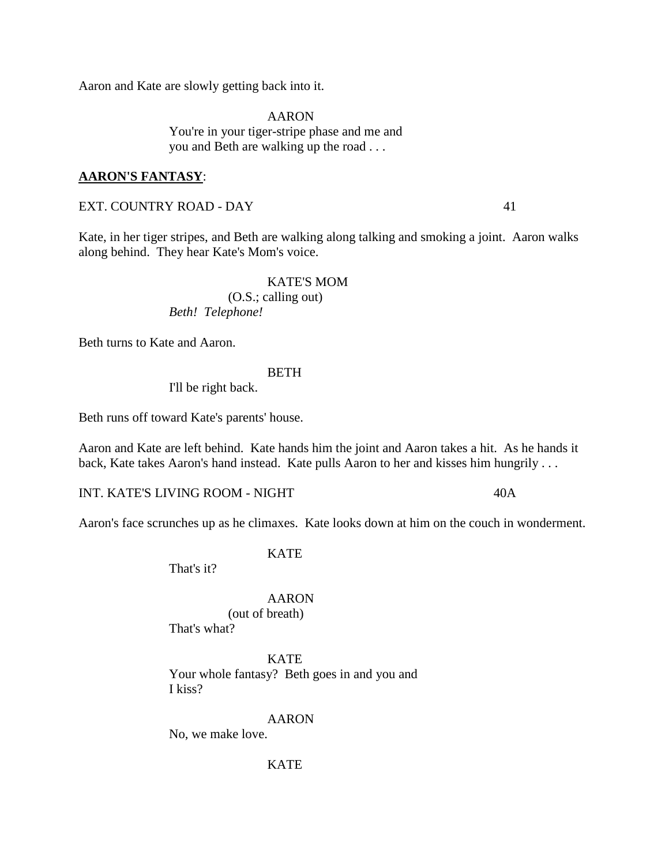Aaron and Kate are slowly getting back into it.

AARON You're in your tiger-stripe phase and me and you and Beth are walking up the road . . .

# **AARON'S FANTASY**:

EXT. COUNTRY ROAD - DAY 41

Kate, in her tiger stripes, and Beth are walking along talking and smoking a joint. Aaron walks along behind. They hear Kate's Mom's voice.

# KATE'S MOM (O.S.; calling out)

*Beth! Telephone!*

Beth turns to Kate and Aaron.

#### **BETH**

I'll be right back.

Beth runs off toward Kate's parents' house.

Aaron and Kate are left behind. Kate hands him the joint and Aaron takes a hit. As he hands it back, Kate takes Aaron's hand instead. Kate pulls Aaron to her and kisses him hungrily . . .

INT. KATE'S LIVING ROOM - NIGHT 40A

Aaron's face scrunches up as he climaxes. Kate looks down at him on the couch in wonderment.

**KATE** 

That's it?

### AARON

(out of breath)

That's what?

KATE Your whole fantasy? Beth goes in and you and I kiss?

#### AARON

No, we make love.

**KATE**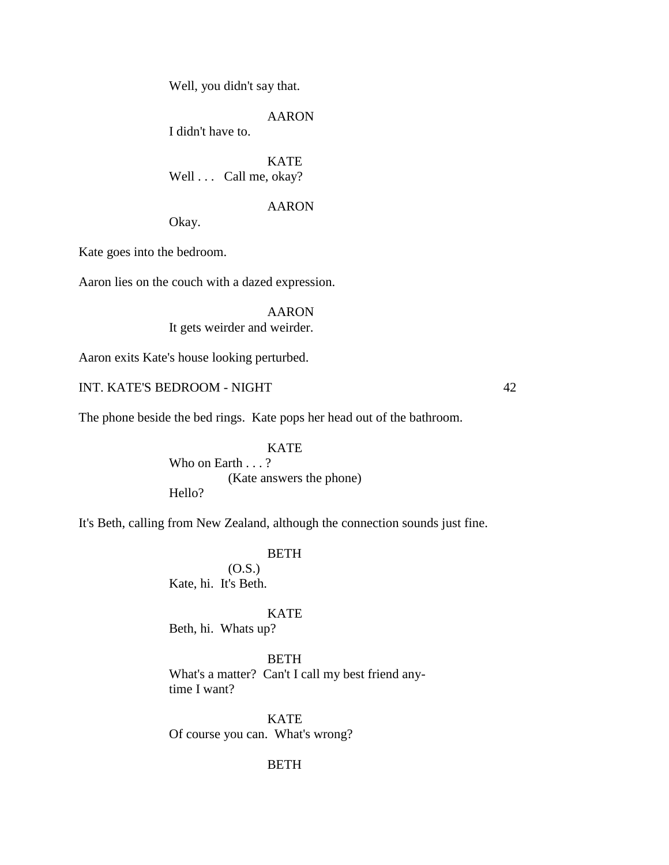Well, you didn't say that.

AARON

I didn't have to.

**KATE** Well . . . Call me, okay?

AARON

Okay.

Kate goes into the bedroom.

Aaron lies on the couch with a dazed expression.

AARON It gets weirder and weirder.

Aaron exits Kate's house looking perturbed.

INT. KATE'S BEDROOM - NIGHT 42

The phone beside the bed rings. Kate pops her head out of the bathroom.

**KATE** Who on Earth . . . ? (Kate answers the phone) Hello?

It's Beth, calling from New Zealand, although the connection sounds just fine.

BETH

 $(0.S.)$ Kate, hi. It's Beth.

KATE

Beth, hi. Whats up?

BETH What's a matter? Can't I call my best friend anytime I want?

**KATE** Of course you can. What's wrong?

# BETH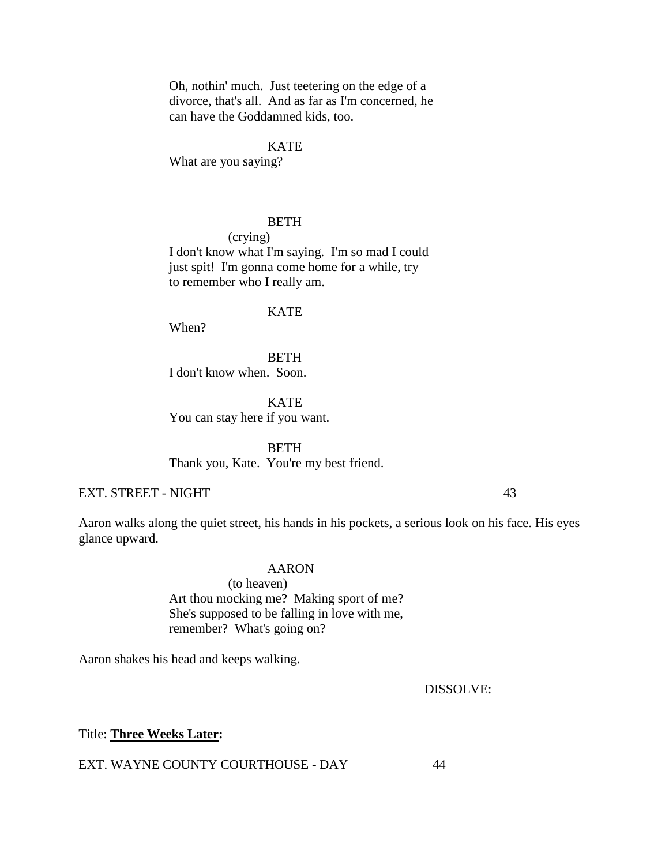Oh, nothin' much. Just teetering on the edge of a divorce, that's all. And as far as I'm concerned, he can have the Goddamned kids, too.

# **KATE**

What are you saying?

#### BETH

(crying) I don't know what I'm saying. I'm so mad I could just spit! I'm gonna come home for a while, try to remember who I really am.

### **KATE**

When?

BETH I don't know when. Soon.

KATE You can stay here if you want.

**BETH** Thank you, Kate. You're my best friend.

EXT. STREET - NIGHT 43

Aaron walks along the quiet street, his hands in his pockets, a serious look on his face. His eyes glance upward.

# AARON

(to heaven) Art thou mocking me? Making sport of me? She's supposed to be falling in love with me, remember? What's going on?

Aaron shakes his head and keeps walking.

DISSOLVE:

Title: **Three Weeks Later:**

EXT. WAYNE COUNTY COURTHOUSE - DAY 44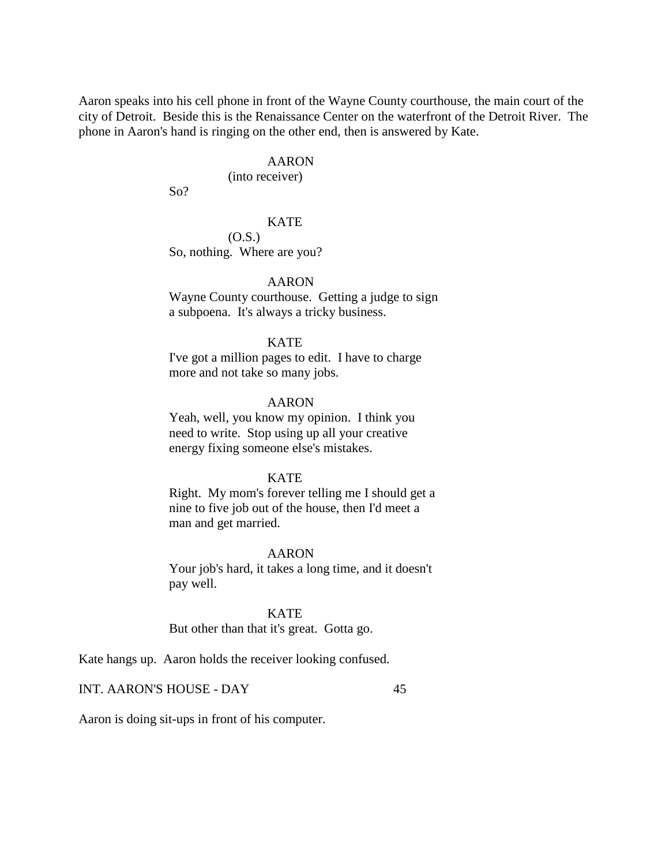Aaron speaks into his cell phone in front of the Wayne County courthouse, the main court of the city of Detroit. Beside this is the Renaissance Center on the waterfront of the Detroit River. The phone in Aaron's hand is ringing on the other end, then is answered by Kate.

# AARON

(into receiver)

So?

# KATE

(O.S.)

So, nothing. Where are you?

# AARON

Wayne County courthouse. Getting a judge to sign a subpoena. It's always a tricky business.

# **KATE**

I've got a million pages to edit. I have to charge more and not take so many jobs.

# AARON

Yeah, well, you know my opinion. I think you need to write. Stop using up all your creative energy fixing someone else's mistakes.

#### KATE

Right. My mom's forever telling me I should get a nine to five job out of the house, then I'd meet a man and get married.

### AARON

Your job's hard, it takes a long time, and it doesn't pay well.

KATE But other than that it's great. Gotta go.

Kate hangs up. Aaron holds the receiver looking confused.

INT. AARON'S HOUSE - DAY 45

Aaron is doing sit-ups in front of his computer.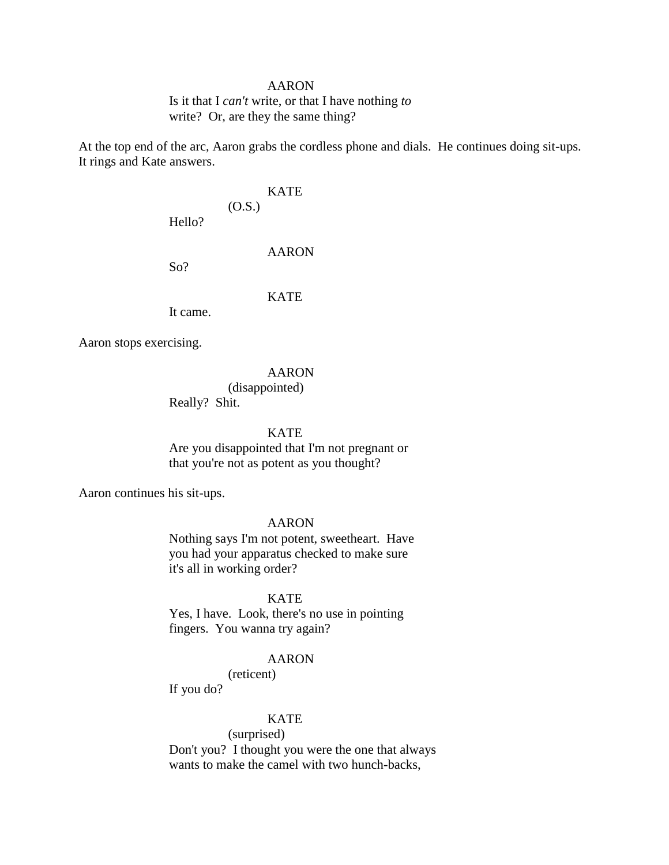#### AARON

Is it that I *can't* write, or that I have nothing *to* write? Or, are they the same thing?

At the top end of the arc, Aaron grabs the cordless phone and dials. He continues doing sit-ups. It rings and Kate answers.

# KATE (O.S.)

Hello?

AARON

So?

#### **KATE**

It came.

Aaron stops exercising.

# AARON

# (disappointed)

Really? Shit.

### KATE

Are you disappointed that I'm not pregnant or that you're not as potent as you thought?

Aaron continues his sit-ups.

# AARON

Nothing says I'm not potent, sweetheart. Have you had your apparatus checked to make sure it's all in working order?

# KATE

Yes, I have. Look, there's no use in pointing fingers. You wanna try again?

#### AARON

# (reticent)

If you do?

# **KATE**

# (surprised)

Don't you? I thought you were the one that always wants to make the camel with two hunch-backs,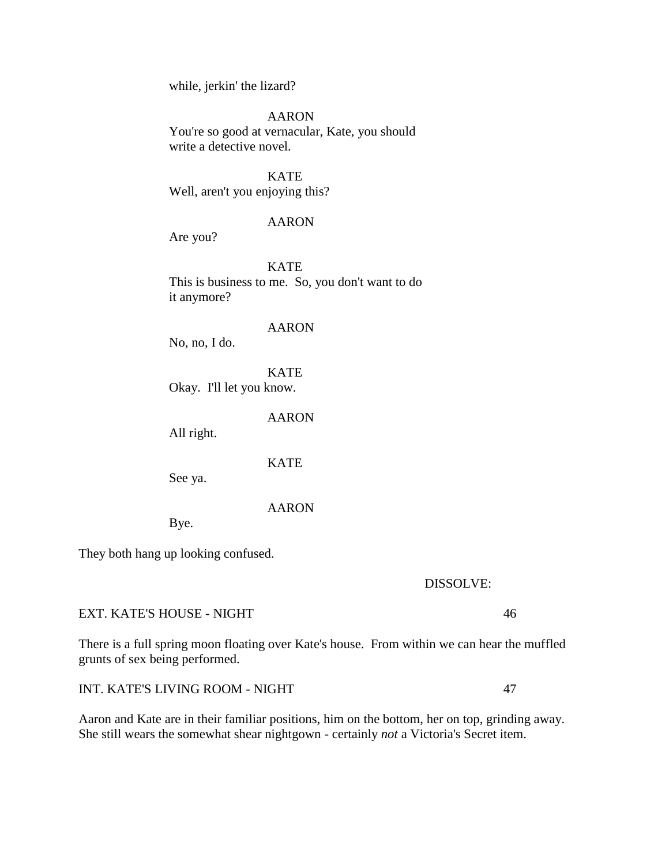while, jerkin' the lizard?

AARON

You're so good at vernacular, Kate, you should write a detective novel.

**KATE** Well, aren't you enjoying this?

# AARON

Are you?

**KATE** This is business to me. So, you don't want to do it anymore?

AARON

No, no, I do.

**KATE** Okay. I'll let you know.

AARON

All right.

**KATE** 

See ya.

### AARON

Bye.

They both hang up looking confused.

DISSOLVE:

EXT. KATE'S HOUSE - NIGHT 46

There is a full spring moon floating over Kate's house. From within we can hear the muffled grunts of sex being performed.

INT. KATE'S LIVING ROOM - NIGHT 47

Aaron and Kate are in their familiar positions, him on the bottom, her on top, grinding away. She still wears the somewhat shear nightgown - certainly *not* a Victoria's Secret item.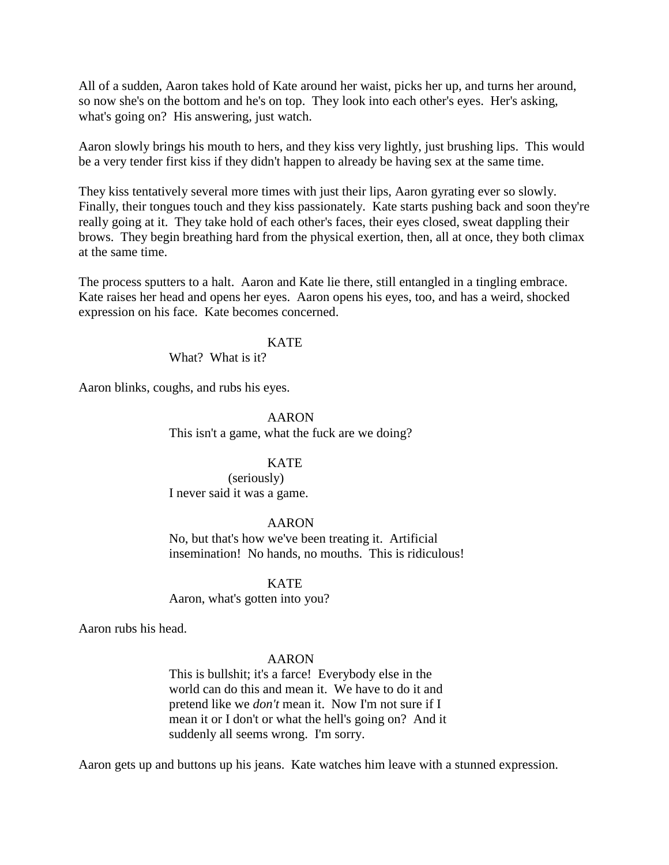All of a sudden, Aaron takes hold of Kate around her waist, picks her up, and turns her around, so now she's on the bottom and he's on top. They look into each other's eyes. Her's asking, what's going on? His answering, just watch.

Aaron slowly brings his mouth to hers, and they kiss very lightly, just brushing lips. This would be a very tender first kiss if they didn't happen to already be having sex at the same time.

They kiss tentatively several more times with just their lips, Aaron gyrating ever so slowly. Finally, their tongues touch and they kiss passionately. Kate starts pushing back and soon they're really going at it. They take hold of each other's faces, their eyes closed, sweat dappling their brows. They begin breathing hard from the physical exertion, then, all at once, they both climax at the same time.

The process sputters to a halt. Aaron and Kate lie there, still entangled in a tingling embrace. Kate raises her head and opens her eyes. Aaron opens his eyes, too, and has a weird, shocked expression on his face. Kate becomes concerned.

### **KATE**

What? What is it?

Aaron blinks, coughs, and rubs his eyes.

AARON This isn't a game, what the fuck are we doing?

# **KATE**

(seriously) I never said it was a game.

### AARON

No, but that's how we've been treating it. Artificial insemination! No hands, no mouths. This is ridiculous!

KATE

Aaron, what's gotten into you?

Aaron rubs his head.

# AARON

This is bullshit; it's a farce! Everybody else in the world can do this and mean it. We have to do it and pretend like we *don't* mean it. Now I'm not sure if I mean it or I don't or what the hell's going on? And it suddenly all seems wrong. I'm sorry.

Aaron gets up and buttons up his jeans. Kate watches him leave with a stunned expression.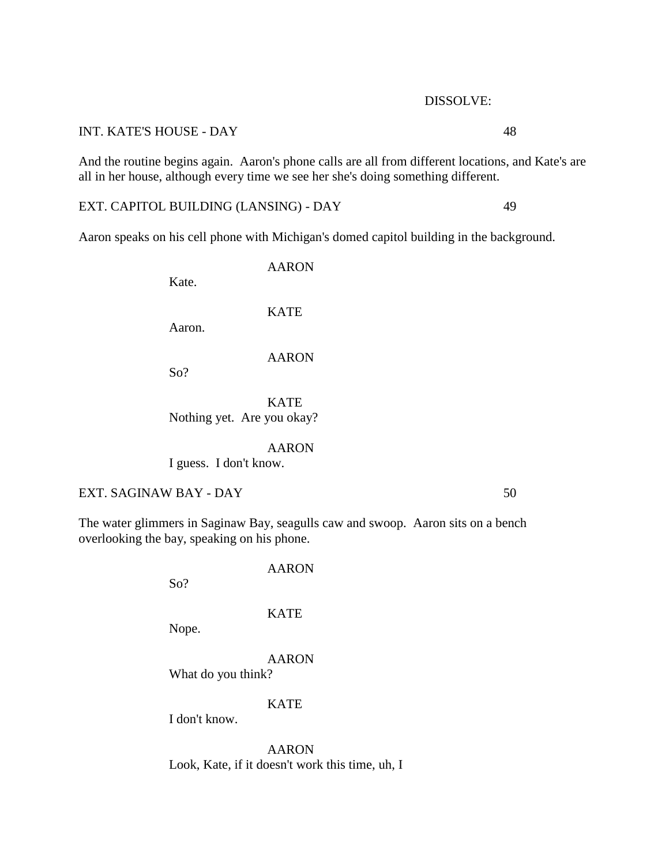# DISSOLVE:

# INT. KATE'S HOUSE - DAY 48

And the routine begins again. Aaron's phone calls are all from different locations, and Kate's are all in her house, although every time we see her she's doing something different.

EXT. CAPITOL BUILDING (LANSING) - DAY 49

Aaron speaks on his cell phone with Michigan's domed capitol building in the background.

Kate.

**KATE** 

AARON

Aaron.

So?

AARON

**KATE** 

Nothing yet. Are you okay?

AARON I guess. I don't know.

EXT. SAGINAW BAY - DAY 50

The water glimmers in Saginaw Bay, seagulls caw and swoop. Aaron sits on a bench overlooking the bay, speaking on his phone.

KATE

AARON

Nope.

So?

AARON

What do you think?

**KATE** 

I don't know.

AARON Look, Kate, if it doesn't work this time, uh, I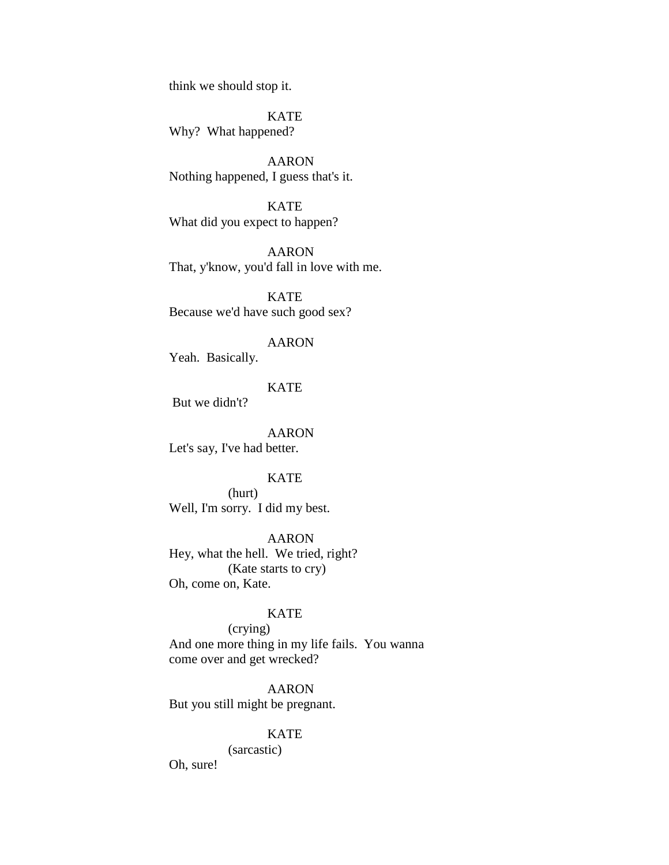think we should stop it.

**KATE** Why? What happened?

AARON Nothing happened, I guess that's it.

KATE What did you expect to happen?

AARON That, y'know, you'd fall in love with me.

KATE Because we'd have such good sex?

# AARON

Yeah. Basically.

# **KATE**

But we didn't?

AARON Let's say, I've had better.

# **KATE**

(hurt) Well, I'm sorry. I did my best.

#### AARON

Hey, what the hell. We tried, right? (Kate starts to cry) Oh, come on, Kate.

### KATE

(crying) And one more thing in my life fails. You wanna come over and get wrecked?

AARON But you still might be pregnant.

### KATE

(sarcastic)

Oh, sure!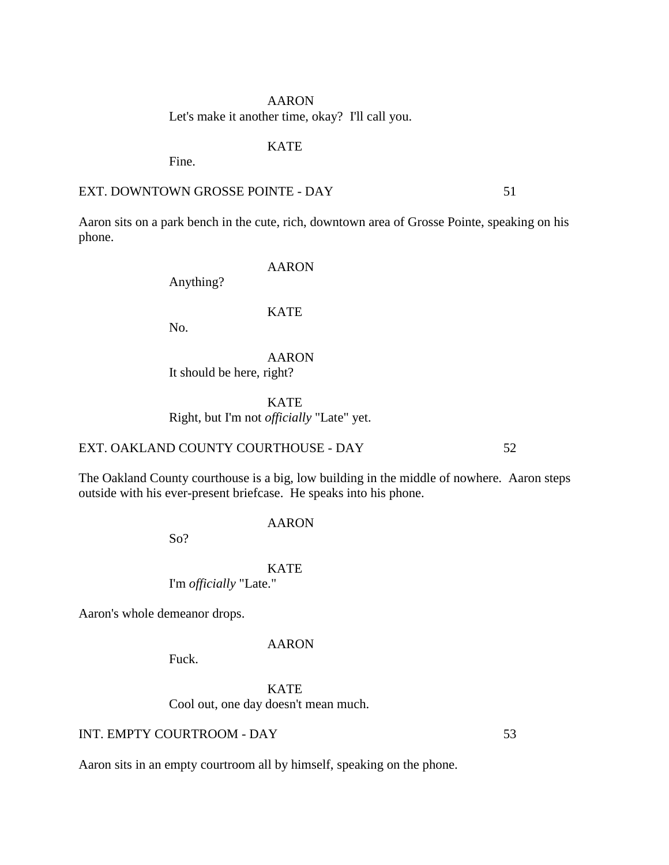# AARON Let's make it another time, okay? I'll call you.

# KATE

Fine.

# EXT. DOWNTOWN GROSSE POINTE - DAY 51

Aaron sits on a park bench in the cute, rich, downtown area of Grosse Pointe, speaking on his phone.

# AARON

Anything?

### KATE

No.

AARON It should be here, right?

KATE Right, but I'm not *officially* "Late" yet.

# EXT. OAKLAND COUNTY COURTHOUSE - DAY 52

The Oakland County courthouse is a big, low building in the middle of nowhere. Aaron steps outside with his ever-present briefcase. He speaks into his phone.

So?

#### **KATE**

AARON

I'm *officially* "Late."

Aaron's whole demeanor drops.

#### AARON

Fuck.

KATE Cool out, one day doesn't mean much.

# INT. EMPTY COURTROOM - DAY 53

Aaron sits in an empty courtroom all by himself, speaking on the phone.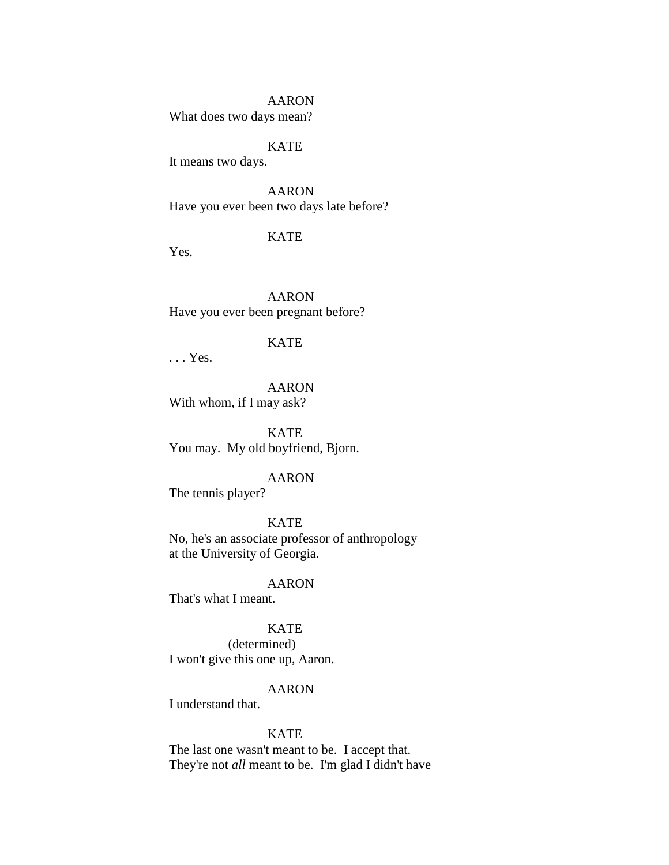### AARON

What does two days mean?

# KATE

It means two days.

AARON Have you ever been two days late before?

# **KATE**

Yes.

AARON Have you ever been pregnant before?

# KATE

. . . Yes.

AARON With whom, if I may ask?

KATE You may. My old boyfriend, Bjorn.

# AARON

The tennis player?

KATE No, he's an associate professor of anthropology at the University of Georgia.

### AARON

That's what I meant.

# **KATE**

(determined) I won't give this one up, Aaron.

### AARON

I understand that.

### KATE

The last one wasn't meant to be. I accept that. They're not *all* meant to be. I'm glad I didn't have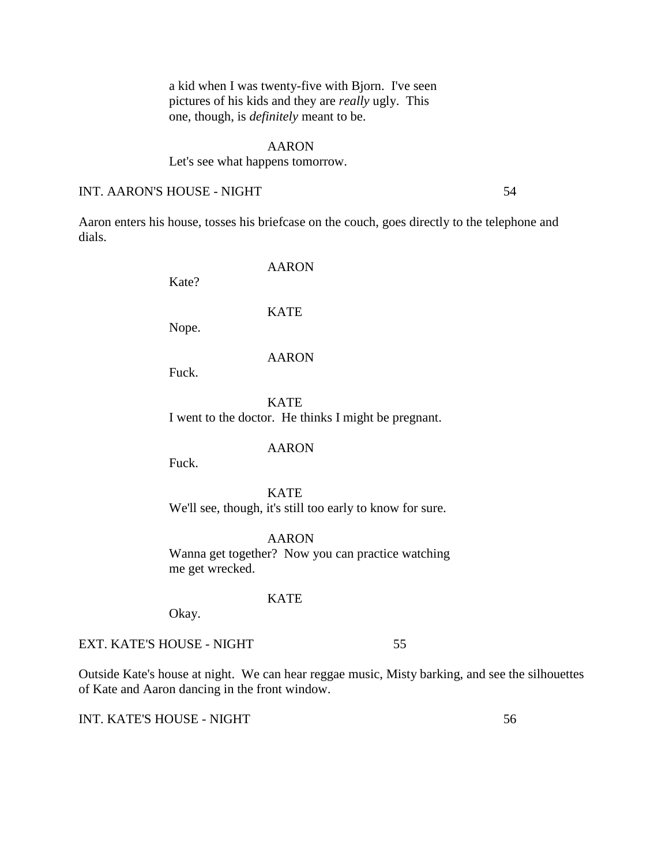a kid when I was twenty-five with Bjorn. I've seen pictures of his kids and they are *really* ugly. This one, though, is *definitely* meant to be.

### AARON

### Let's see what happens tomorrow.

### INT. AARON'S HOUSE - NIGHT 54

Aaron enters his house, tosses his briefcase on the couch, goes directly to the telephone and dials.

AARON

Nope.

Kate?

AARON

**KATE** 

Fuck.

KATE I went to the doctor. He thinks I might be pregnant.

AARON

Fuck.

**KATE** We'll see, though, it's still too early to know for sure.

AARON Wanna get together? Now you can practice watching me get wrecked.

KATE

Okay.

EXT. KATE'S HOUSE - NIGHT 55

Outside Kate's house at night. We can hear reggae music, Misty barking, and see the silhouettes of Kate and Aaron dancing in the front window.

INT. KATE'S HOUSE - NIGHT 56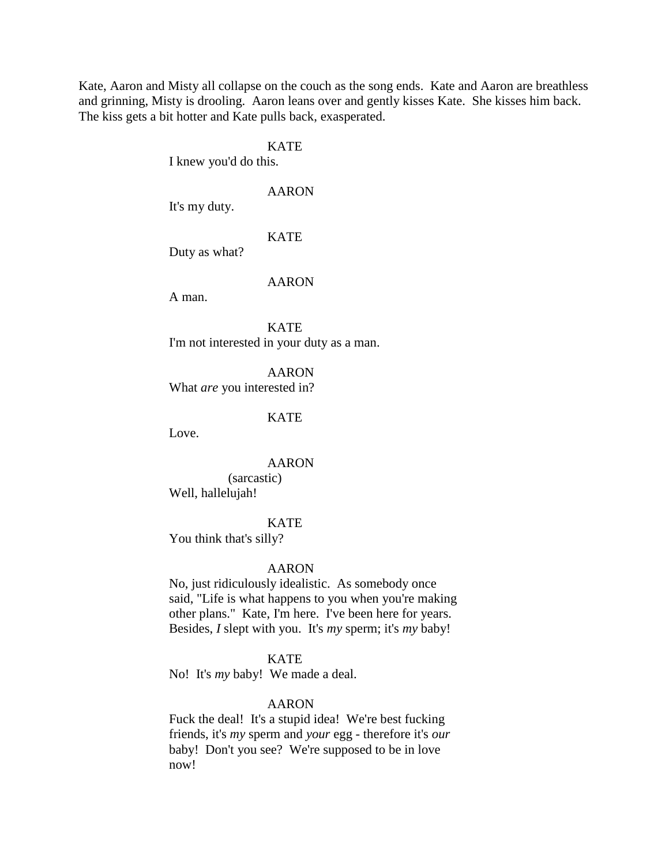Kate, Aaron and Misty all collapse on the couch as the song ends. Kate and Aaron are breathless and grinning, Misty is drooling. Aaron leans over and gently kisses Kate. She kisses him back. The kiss gets a bit hotter and Kate pulls back, exasperated.

# KATE

I knew you'd do this.

# AARON

It's my duty.

# **KATE**

Duty as what?

### AARON

A man.

KATE I'm not interested in your duty as a man.

AARON What *are* you interested in?

# **KATE**

Love.

# AARON

(sarcastic) Well, hallelujah!

# KATE

You think that's silly?

### AARON

No, just ridiculously idealistic. As somebody once said, "Life is what happens to you when you're making other plans." Kate, I'm here. I've been here for years. Besides, *I* slept with you. It's *my* sperm; it's *my* baby!

### KATE

No! It's *my* baby! We made a deal.

#### AARON

Fuck the deal! It's a stupid idea! We're best fucking friends, it's *my* sperm and *your* egg - therefore it's *our*  baby! Don't you see? We're supposed to be in love now!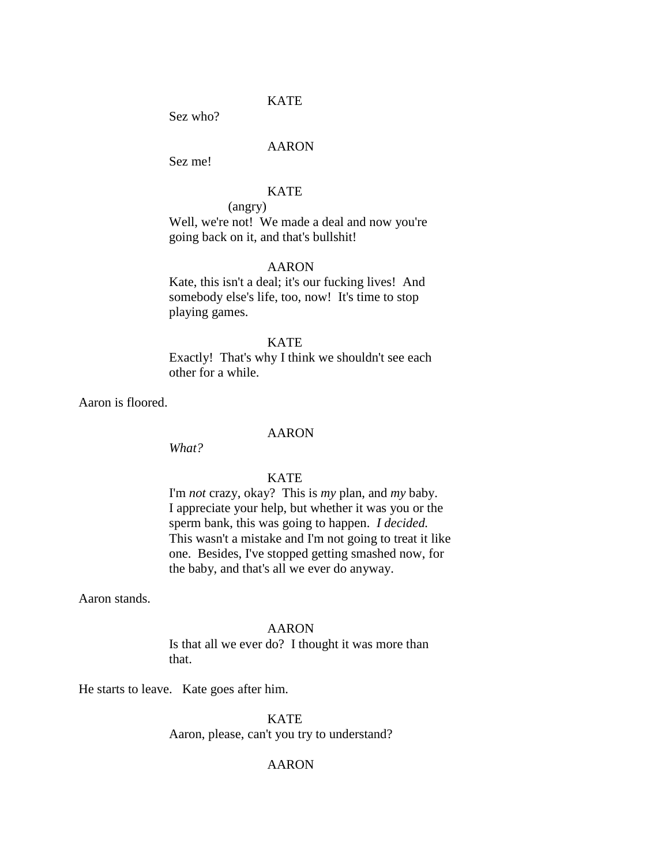### KATE

Sez who?

# AARON

Sez me!

# KATE

(angry)

Well, we're not! We made a deal and now you're going back on it, and that's bullshit!

# AARON

Kate, this isn't a deal; it's our fucking lives! And somebody else's life, too, now! It's time to stop playing games.

# **KATE**

Exactly! That's why I think we shouldn't see each other for a while.

Aaron is floored.

# AARON

*What?*

# **KATE**

I'm *not* crazy, okay? This is *my* plan, and *my* baby. I appreciate your help, but whether it was you or the sperm bank, this was going to happen. *I decided.* This wasn't a mistake and I'm not going to treat it like one. Besides, I've stopped getting smashed now, for the baby, and that's all we ever do anyway.

Aaron stands.

#### AARON

Is that all we ever do? I thought it was more than that.

He starts to leave. Kate goes after him.

**KATE** 

Aaron, please, can't you try to understand?

# AARON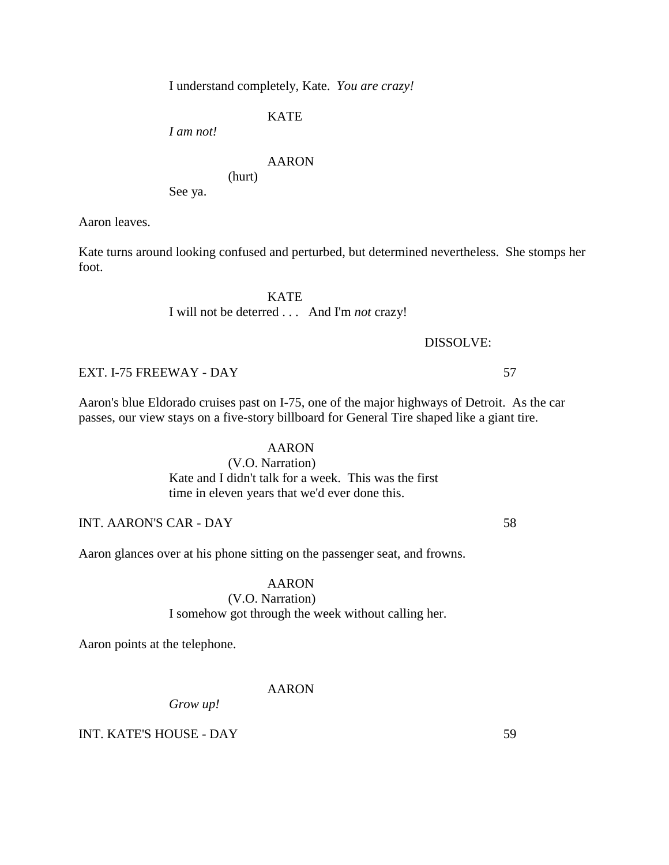I understand completely, Kate. *You are crazy!*

**KATE** 

*I am not!*

# AARON

(hurt)

See ya.

Aaron leaves.

Kate turns around looking confused and perturbed, but determined nevertheless. She stomps her foot.

> **KATE** I will not be deterred . . . And I'm *not* crazy!

# DISSOLVE:

EXT. I-75 FREEWAY - DAY 57

Aaron's blue Eldorado cruises past on I-75, one of the major highways of Detroit. As the car passes, our view stays on a five-story billboard for General Tire shaped like a giant tire.

# AARON

# (V.O. Narration)

Kate and I didn't talk for a week. This was the first time in eleven years that we'd ever done this.

INT. AARON'S CAR - DAY 58

Aaron glances over at his phone sitting on the passenger seat, and frowns.

# AARON

# (V.O. Narration) I somehow got through the week without calling her.

Aaron points at the telephone.

### AARON

*Grow up!*

INT. KATE'S HOUSE - DAY 59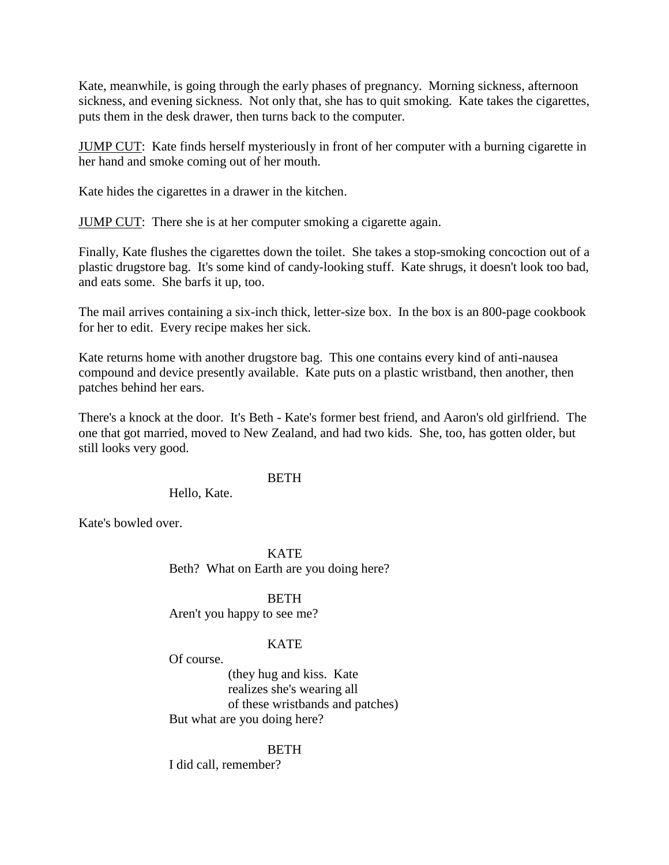Kate, meanwhile, is going through the early phases of pregnancy. Morning sickness, afternoon sickness, and evening sickness. Not only that, she has to quit smoking. Kate takes the cigarettes, puts them in the desk drawer, then turns back to the computer.

JUMP CUT: Kate finds herself mysteriously in front of her computer with a burning cigarette in her hand and smoke coming out of her mouth.

Kate hides the cigarettes in a drawer in the kitchen.

JUMP CUT: There she is at her computer smoking a cigarette again.

Finally, Kate flushes the cigarettes down the toilet. She takes a stop-smoking concoction out of a plastic drugstore bag. It's some kind of candy-looking stuff. Kate shrugs, it doesn't look too bad, and eats some. She barfs it up, too.

The mail arrives containing a six-inch thick, letter-size box. In the box is an 800-page cookbook for her to edit. Every recipe makes her sick.

Kate returns home with another drugstore bag. This one contains every kind of anti-nausea compound and device presently available. Kate puts on a plastic wristband, then another, then patches behind her ears.

There's a knock at the door. It's Beth - Kate's former best friend, and Aaron's old girlfriend. The one that got married, moved to New Zealand, and had two kids. She, too, has gotten older, but still looks very good.

# **BETH**

# Hello, Kate.

Kate's bowled over.

KATE Beth? What on Earth are you doing here?

# BETH

Aren't you happy to see me?

# **KATE**

Of course.

(they hug and kiss. Kate realizes she's wearing all of these wristbands and patches) But what are you doing here?

# BETH

I did call, remember?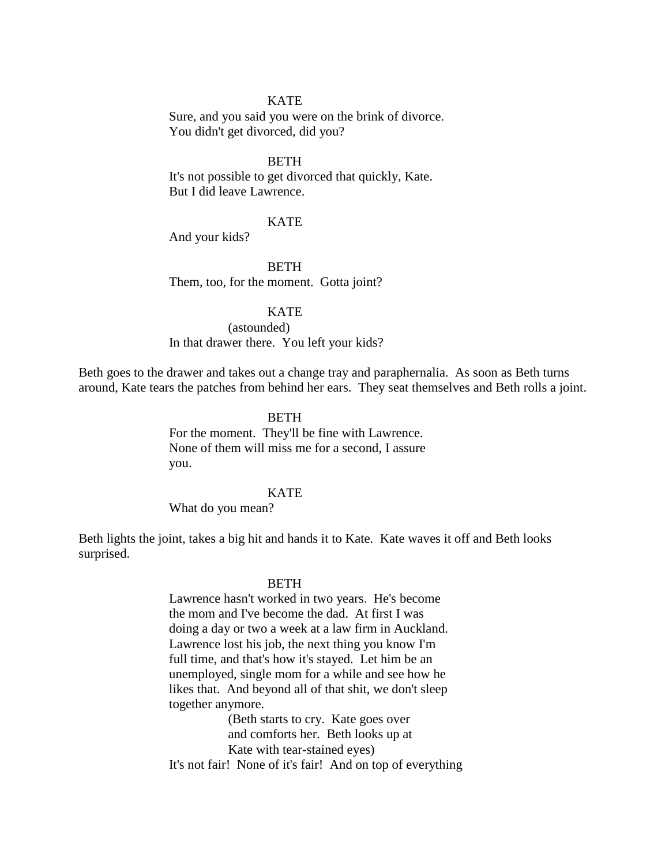### **KATE**

Sure, and you said you were on the brink of divorce. You didn't get divorced, did you?

# BETH

It's not possible to get divorced that quickly, Kate. But I did leave Lawrence.

# **KATE**

And your kids?

**BETH** Them, too, for the moment. Gotta joint?

### **KATE**

(astounded) In that drawer there. You left your kids?

Beth goes to the drawer and takes out a change tray and paraphernalia. As soon as Beth turns around, Kate tears the patches from behind her ears. They seat themselves and Beth rolls a joint.

### **BETH**

For the moment. They'll be fine with Lawrence. None of them will miss me for a second, I assure you.

# **KATE**

What do you mean?

Beth lights the joint, takes a big hit and hands it to Kate. Kate waves it off and Beth looks surprised.

#### BETH

Lawrence hasn't worked in two years. He's become the mom and I've become the dad. At first I was doing a day or two a week at a law firm in Auckland. Lawrence lost his job, the next thing you know I'm full time, and that's how it's stayed. Let him be an unemployed, single mom for a while and see how he likes that. And beyond all of that shit, we don't sleep together anymore.

(Beth starts to cry. Kate goes over and comforts her. Beth looks up at Kate with tear-stained eyes)

It's not fair! None of it's fair! And on top of everything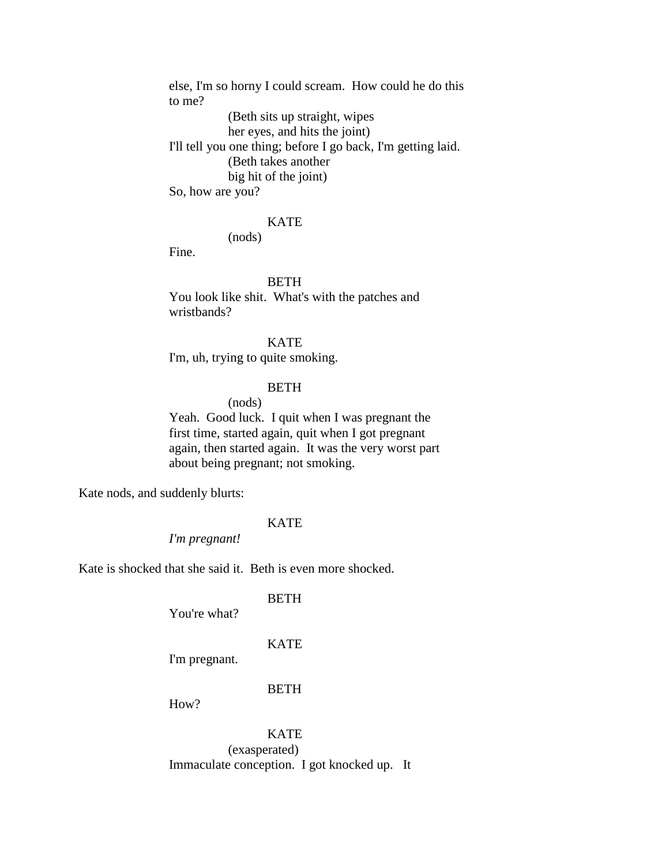else, I'm so horny I could scream. How could he do this to me? (Beth sits up straight, wipes her eyes, and hits the joint) I'll tell you one thing; before I go back, I'm getting laid. (Beth takes another big hit of the joint) So, how are you?

# KATE

(nods)

Fine.

# BETH

You look like shit. What's with the patches and wristbands?

# **KATE**

I'm, uh, trying to quite smoking.

# **BETH**

(nods)

Yeah. Good luck. I quit when I was pregnant the first time, started again, quit when I got pregnant again, then started again. It was the very worst part about being pregnant; not smoking.

Kate nods, and suddenly blurts:

# **KATE**

*I'm pregnant!*

Kate is shocked that she said it. Beth is even more shocked.

#### BETH

You're what?

# **KATE**

I'm pregnant.

#### BETH

How?

KATE (exasperated) Immaculate conception. I got knocked up. It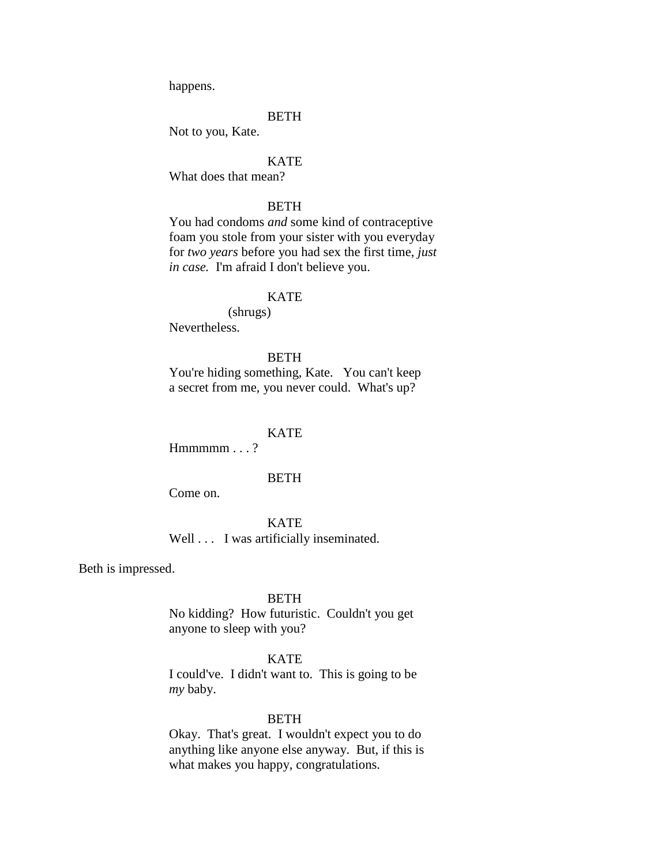happens.

### **BETH**

Not to you, Kate.

# **KATE**

What does that mean?

# **BETH**

You had condoms *and* some kind of contraceptive foam you stole from your sister with you everyday for *two years* before you had sex the first time, *just in case.* I'm afraid I don't believe you.

### **KATE**

(shrugs) Nevertheless.

# **BETH**

You're hiding something, Kate. You can't keep a secret from me, you never could. What's up?

#### KATE

 $Hmmmmm...$ ?

### BETH

Come on.

**KATE** Well . . . I was artificially inseminated.

Beth is impressed.

### BETH

No kidding? How futuristic. Couldn't you get anyone to sleep with you?

### KATE

I could've. I didn't want to. This is going to be *my* baby.

#### **BETH**

Okay. That's great. I wouldn't expect you to do anything like anyone else anyway. But, if this is what makes you happy, congratulations.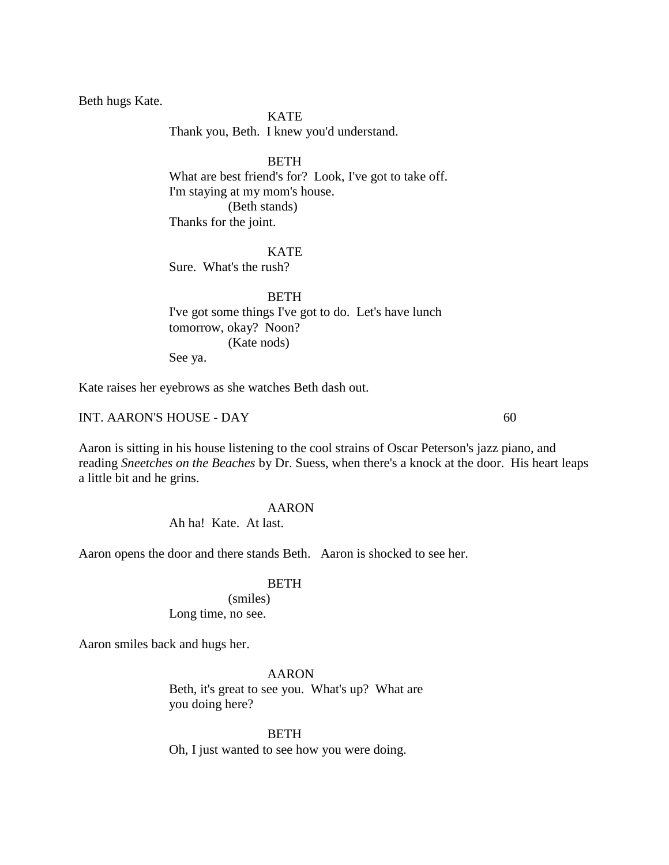Beth hugs Kate.

### **KATE**

Thank you, Beth. I knew you'd understand.

# **BETH**

What are best friend's for? Look, I've got to take off. I'm staying at my mom's house. (Beth stands) Thanks for the joint.

### **KATE**

Sure. What's the rush?

**BETH** I've got some things I've got to do. Let's have lunch tomorrow, okay? Noon? (Kate nods) See ya.

Kate raises her eyebrows as she watches Beth dash out.

# INT. AARON'S HOUSE - DAY 60

Aaron is sitting in his house listening to the cool strains of Oscar Peterson's jazz piano, and reading *Sneetches on the Beaches* by Dr. Suess, when there's a knock at the door. His heart leaps a little bit and he grins.

### AARON

Ah ha! Kate. At last.

Aaron opens the door and there stands Beth. Aaron is shocked to see her.

### BETH

(smiles) Long time, no see.

Aaron smiles back and hugs her.

AARON

Beth, it's great to see you. What's up? What are you doing here?

BETH Oh, I just wanted to see how you were doing.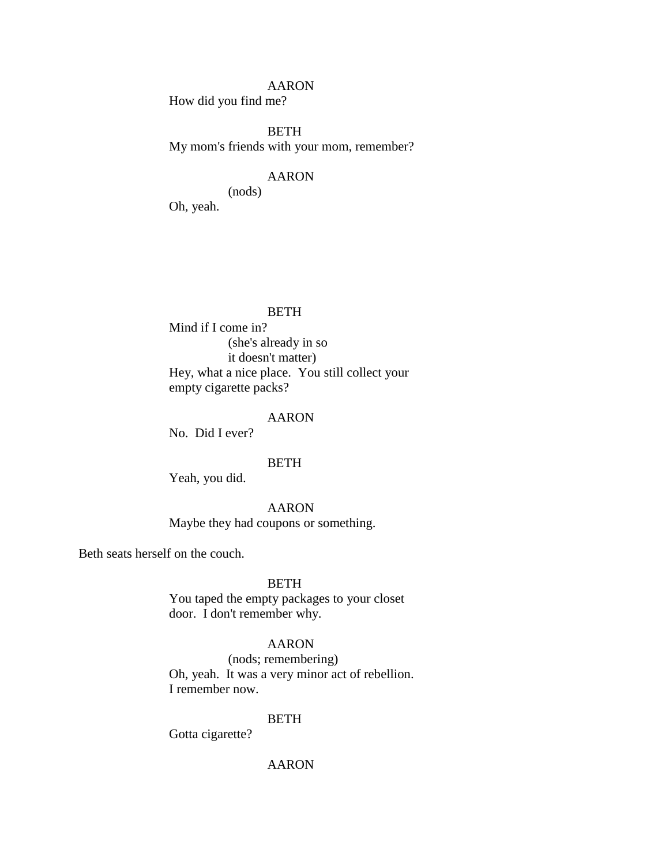# AARON

How did you find me?

BETH My mom's friends with your mom, remember?

# AARON

(nods)

Oh, yeah.

### **BETH**

Mind if I come in? (she's already in so it doesn't matter) Hey, what a nice place. You still collect your empty cigarette packs?

### AARON

No. Did I ever?

### BETH

Yeah, you did.

# AARON

Maybe they had coupons or something.

Beth seats herself on the couch.

### BETH

You taped the empty packages to your closet door. I don't remember why.

### AARON

(nods; remembering) Oh, yeah. It was a very minor act of rebellion. I remember now.

#### **BETH**

Gotta cigarette?

# AARON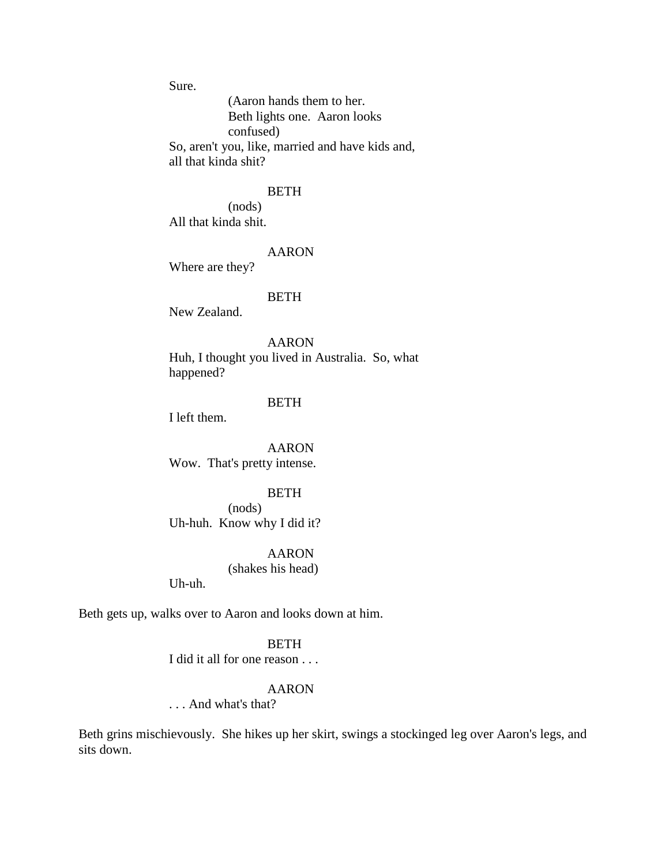Sure.

(Aaron hands them to her. Beth lights one. Aaron looks confused) So, aren't you, like, married and have kids and, all that kinda shit?

#### BETH

(nods) All that kinda shit.

# AARON

Where are they?

#### BETH

New Zealand.

AARON

Huh, I thought you lived in Australia. So, what happened?

# BETH

I left them.

AARON Wow. That's pretty intense.

# **BETH**

(nods) Uh-huh. Know why I did it?

# AARON

(shakes his head)

Uh-uh.

Beth gets up, walks over to Aaron and looks down at him.

### **BETH**

I did it all for one reason . . .

### AARON

. . . And what's that?

Beth grins mischievously. She hikes up her skirt, swings a stockinged leg over Aaron's legs, and sits down.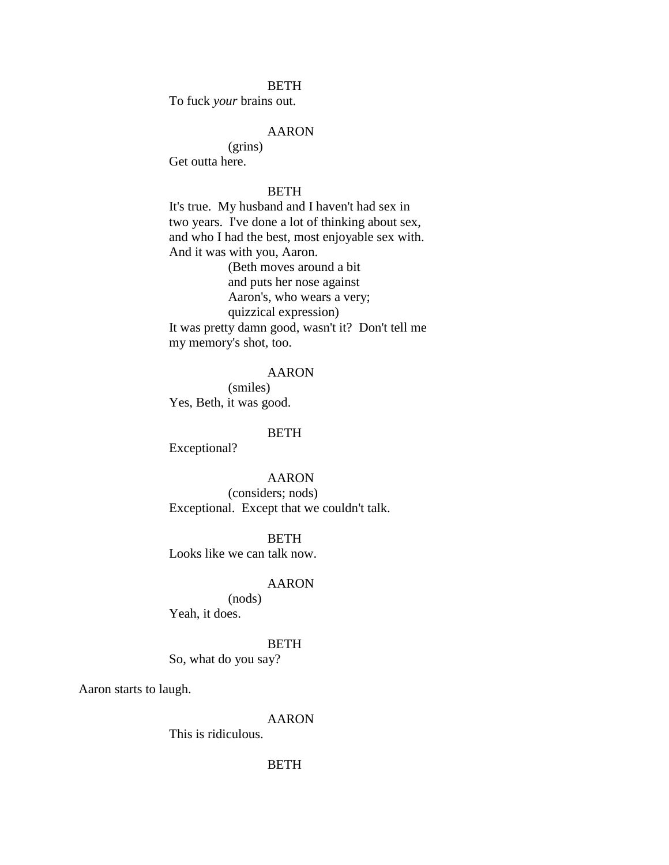#### **BETH**

To fuck *your* brains out.

# AARON

(grins) Get outta here.

### BETH

It's true. My husband and I haven't had sex in two years. I've done a lot of thinking about sex, and who I had the best, most enjoyable sex with. And it was with you, Aaron.

(Beth moves around a bit and puts her nose against Aaron's, who wears a very; quizzical expression)

It was pretty damn good, wasn't it? Don't tell me my memory's shot, too.

# AARON

(smiles) Yes, Beth, it was good.

### BETH

Exceptional?

AARON

(considers; nods) Exceptional. Except that we couldn't talk.

**BETH** 

Looks like we can talk now.

#### AARON

(nods)

Yeah, it does.

### **BETH**

So, what do you say?

Aaron starts to laugh.

AARON

This is ridiculous.

# BETH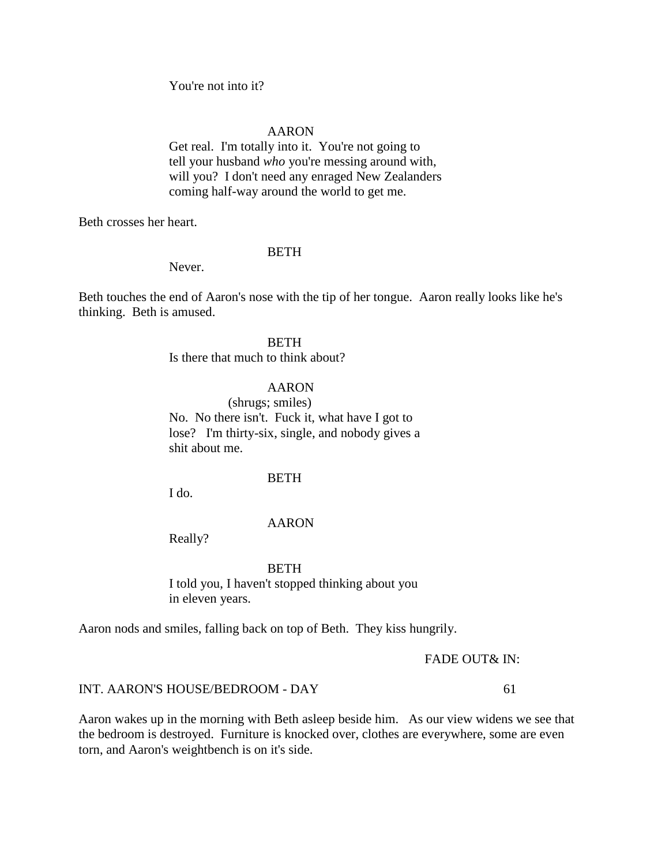You're not into it?

# AARON

Get real. I'm totally into it. You're not going to tell your husband *who* you're messing around with, will you? I don't need any enraged New Zealanders coming half-way around the world to get me.

Beth crosses her heart.

# **BETH**

Never.

Beth touches the end of Aaron's nose with the tip of her tongue. Aaron really looks like he's thinking. Beth is amused.

# **BETH**

Is there that much to think about?

# AARON

(shrugs; smiles) No. No there isn't. Fuck it, what have I got to lose? I'm thirty-six, single, and nobody gives a shit about me.

#### BETH

I do.

# AARON

Really?

#### **BETH**

I told you, I haven't stopped thinking about you in eleven years.

Aaron nods and smiles, falling back on top of Beth. They kiss hungrily.

FADE OUT& IN:

#### INT. AARON'S HOUSE/BEDROOM - DAY 61

Aaron wakes up in the morning with Beth asleep beside him. As our view widens we see that the bedroom is destroyed. Furniture is knocked over, clothes are everywhere, some are even torn, and Aaron's weightbench is on it's side.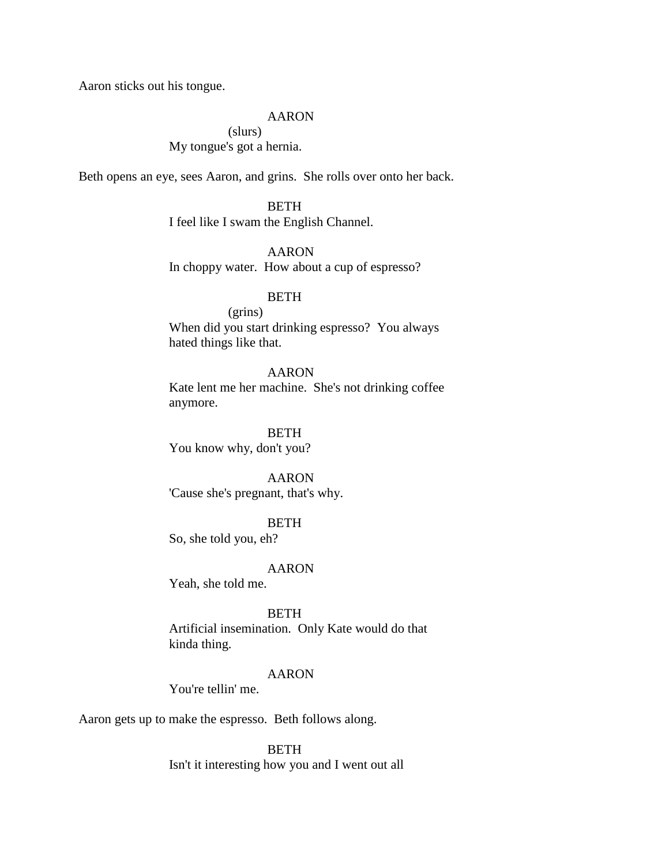Aaron sticks out his tongue.

### AARON

(slurs) My tongue's got a hernia.

Beth opens an eye, sees Aaron, and grins. She rolls over onto her back.

BETH I feel like I swam the English Channel.

AARON In choppy water. How about a cup of espresso?

# BETH

(grins) When did you start drinking espresso? You always hated things like that.

# AARON

Kate lent me her machine. She's not drinking coffee anymore.

BETH You know why, don't you?

AARON 'Cause she's pregnant, that's why.

# BETH

So, she told you, eh?

### AARON

Yeah, she told me.

BETH

Artificial insemination. Only Kate would do that kinda thing.

# AARON

You're tellin' me.

Aaron gets up to make the espresso. Beth follows along.

**BETH** Isn't it interesting how you and I went out all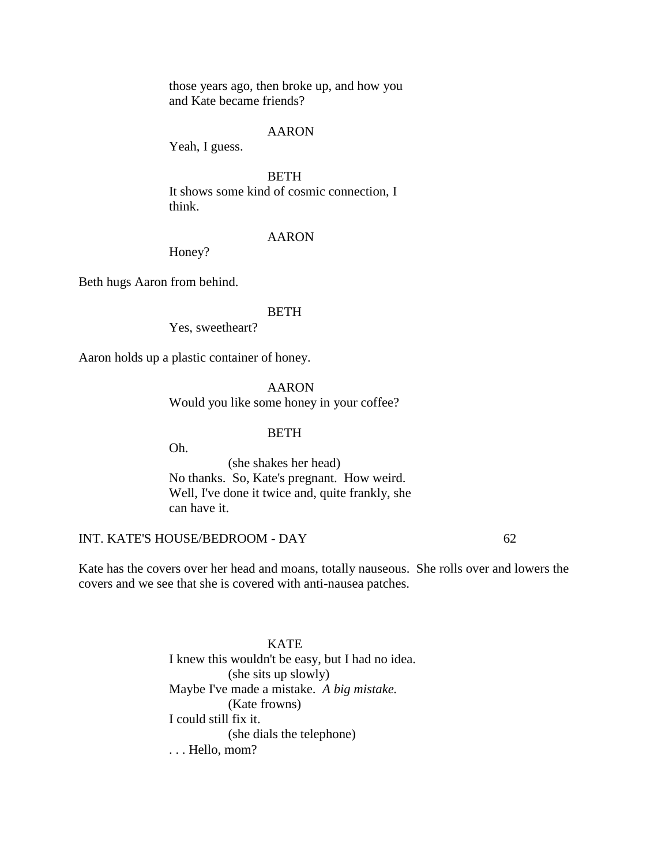those years ago, then broke up, and how you and Kate became friends?

### AARON

Yeah, I guess.

**BETH** It shows some kind of cosmic connection, I think.

#### AARON

Honey?

Beth hugs Aaron from behind.

### **BETH**

Yes, sweetheart?

Aaron holds up a plastic container of honey.

AARON Would you like some honey in your coffee?

### BETH

Oh.

(she shakes her head) No thanks. So, Kate's pregnant. How weird. Well, I've done it twice and, quite frankly, she can have it.

# INT. KATE'S HOUSE/BEDROOM - DAY 62

Kate has the covers over her head and moans, totally nauseous. She rolls over and lowers the covers and we see that she is covered with anti-nausea patches.

> **KATE** I knew this wouldn't be easy, but I had no idea. (she sits up slowly) Maybe I've made a mistake. *A big mistake.* (Kate frowns) I could still fix it. (she dials the telephone) . . . Hello, mom?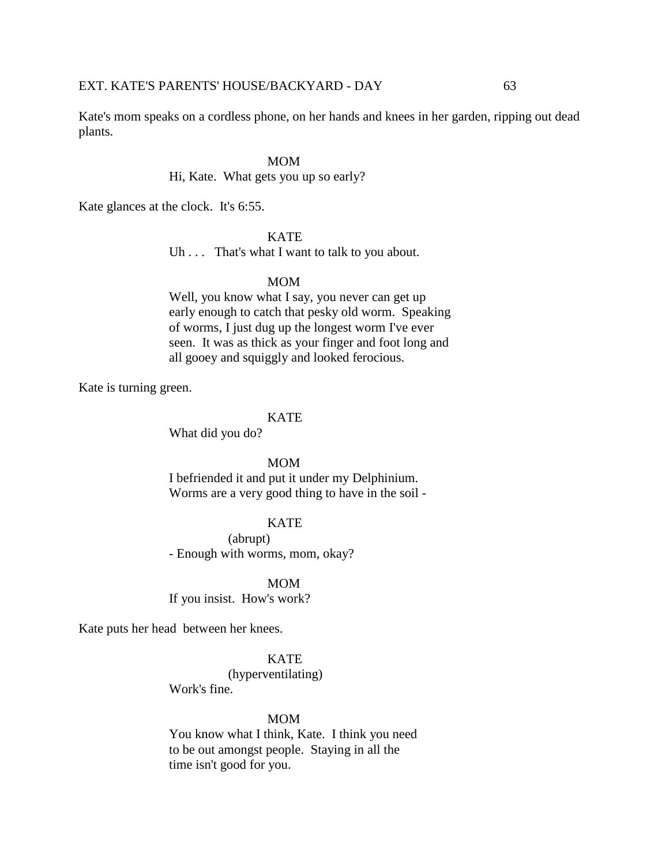Kate's mom speaks on a cordless phone, on her hands and knees in her garden, ripping out dead plants.

#### MOM

Hi, Kate. What gets you up so early?

Kate glances at the clock. It's 6:55.

**KATE** 

Uh . . . That's what I want to talk to you about.

# MOM

Well, you know what I say, you never can get up early enough to catch that pesky old worm. Speaking of worms, I just dug up the longest worm I've ever seen. It was as thick as your finger and foot long and all gooey and squiggly and looked ferocious.

Kate is turning green.

#### **KATE**

What did you do?

#### MOM

I befriended it and put it under my Delphinium. Worms are a very good thing to have in the soil -

### KATE

(abrupt) - Enough with worms, mom, okay?

MOM

If you insist. How's work?

Kate puts her head between her knees.

# KATE

(hyperventilating)

Work's fine.

#### MOM

You know what I think, Kate. I think you need to be out amongst people. Staying in all the time isn't good for you.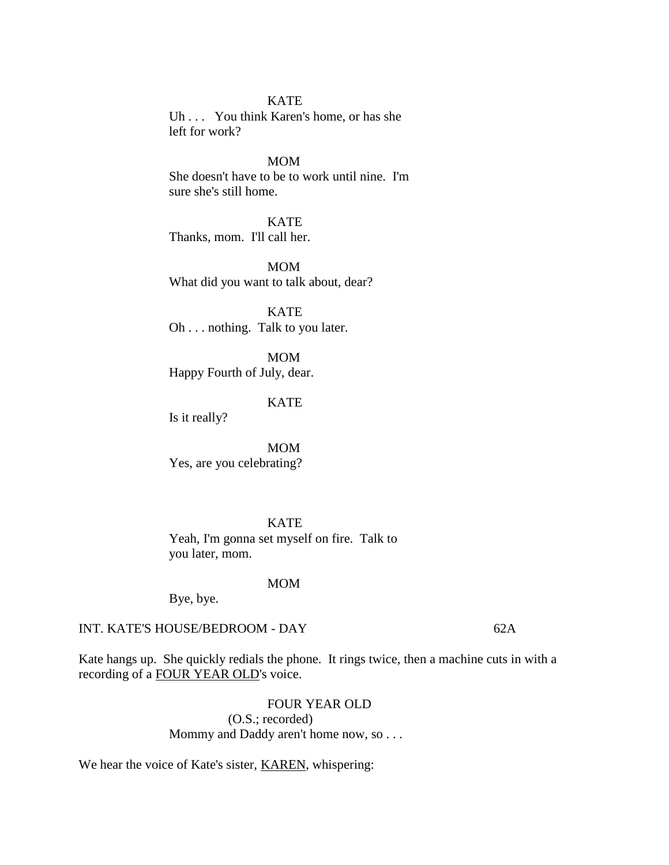#### KATE

Uh . . . You think Karen's home, or has she left for work?

# MOM

She doesn't have to be to work until nine. I'm sure she's still home.

KATE Thanks, mom. I'll call her.

MOM What did you want to talk about, dear?

**KATE** Oh . . . nothing. Talk to you later.

MOM Happy Fourth of July, dear.

# KATE

Is it really?

MOM Yes, are you celebrating?

KATE Yeah, I'm gonna set myself on fire. Talk to you later, mom.

#### MOM

Bye, bye.

# INT. KATE'S HOUSE/BEDROOM - DAY 62A

Kate hangs up. She quickly redials the phone. It rings twice, then a machine cuts in with a recording of a FOUR YEAR OLD's voice.

> FOUR YEAR OLD (O.S.; recorded) Mommy and Daddy aren't home now, so . . .

We hear the voice of Kate's sister, **KAREN**, whispering: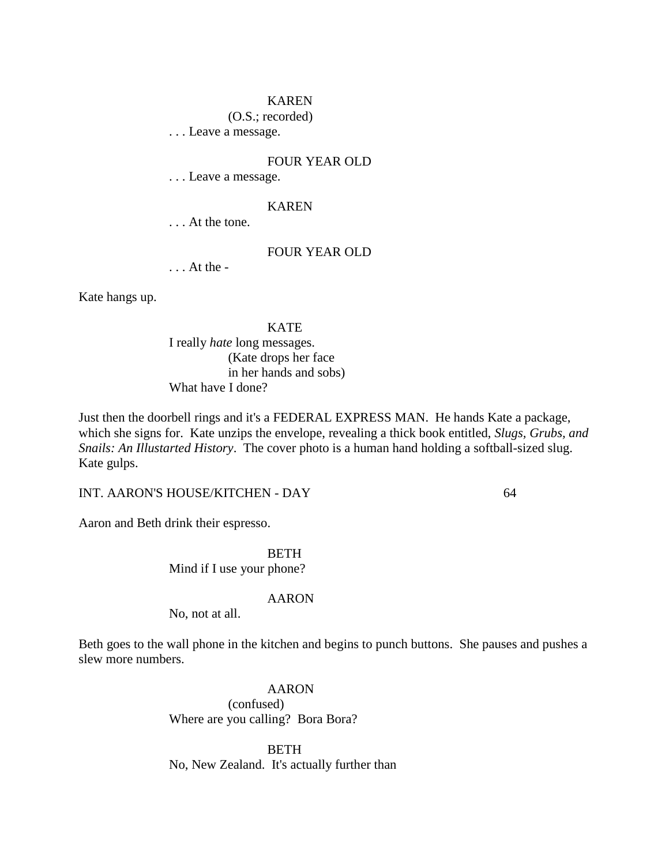### KAREN

(O.S.; recorded)

. . . Leave a message.

# FOUR YEAR OLD

. . . Leave a message.

### KAREN

. . . At the tone.

# FOUR YEAR OLD

. . . At the -

Kate hangs up.

KATE I really *hate* long messages. (Kate drops her face in her hands and sobs) What have I done?

Just then the doorbell rings and it's a FEDERAL EXPRESS MAN. He hands Kate a package, which she signs for. Kate unzips the envelope, revealing a thick book entitled, *Slugs, Grubs, and Snails: An Illustarted History*. The cover photo is a human hand holding a softball-sized slug. Kate gulps.

INT. AARON'S HOUSE/KITCHEN - DAY 64

Aaron and Beth drink their espresso.

BETH Mind if I use your phone?

#### AARON

No, not at all.

Beth goes to the wall phone in the kitchen and begins to punch buttons. She pauses and pushes a slew more numbers.

> AARON (confused) Where are you calling? Bora Bora?

BETH No, New Zealand. It's actually further than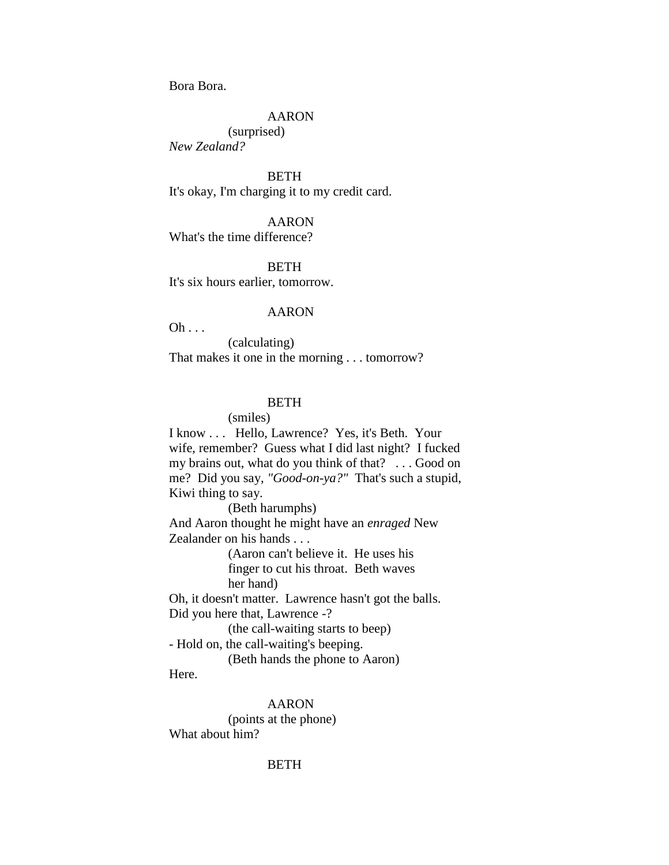Bora Bora.

# AARON

(surprised) *New Zealand?*

**BETH** It's okay, I'm charging it to my credit card.

#### AARON

What's the time difference?

**BETH** 

It's six hours earlier, tomorrow.

#### AARON

 $Oh \ldots$ 

(calculating) That makes it one in the morning . . . tomorrow?

# **BETH**

(smiles)

I know . . . Hello, Lawrence? Yes, it's Beth. Your wife, remember? Guess what I did last night? I fucked my brains out, what do you think of that? . . . Good on me? Did you say, *"Good-on-ya?"* That's such a stupid, Kiwi thing to say.

(Beth harumphs)

And Aaron thought he might have an *enraged* New Zealander on his hands . . .

> (Aaron can't believe it. He uses his finger to cut his throat. Beth waves her hand)

Oh, it doesn't matter. Lawrence hasn't got the balls. Did you here that, Lawrence -?

(the call-waiting starts to beep)

- Hold on, the call-waiting's beeping.

(Beth hands the phone to Aaron)

Here.

AARON

(points at the phone) What about him?

## BETH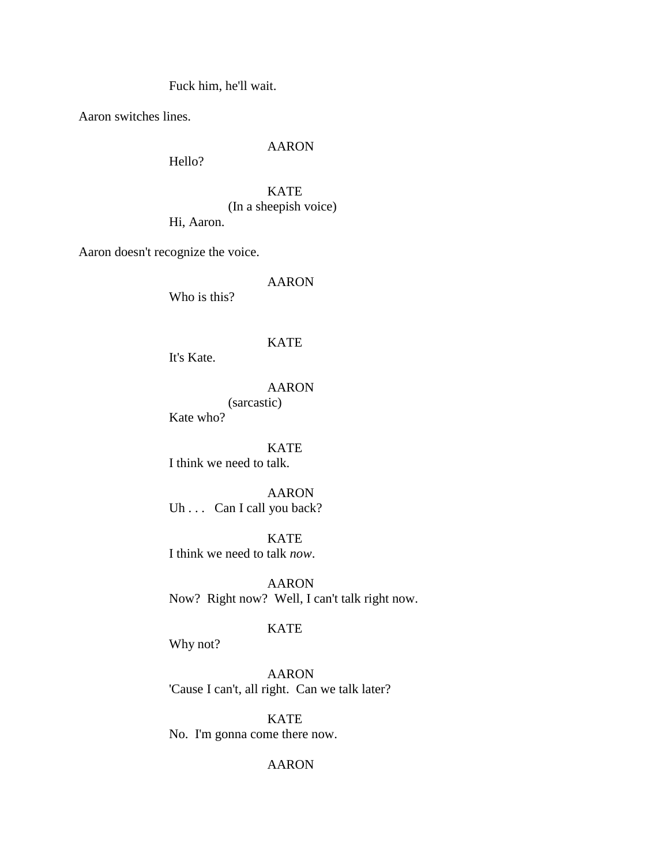Fuck him, he'll wait.

Aaron switches lines.

# AARON

Hello?

KATE (In a sheepish voice) Hi, Aaron.

Aaron doesn't recognize the voice.

# AARON

Who is this?

# KATE

It's Kate.

# AARON

(sarcastic) Kate who?

KATE I think we need to talk.

AARON Uh . . . Can I call you back?

KATE I think we need to talk *now*.

AARON Now? Right now? Well, I can't talk right now.

# KATE

Why not?

AARON 'Cause I can't, all right. Can we talk later?

KATE No. I'm gonna come there now.

# AARON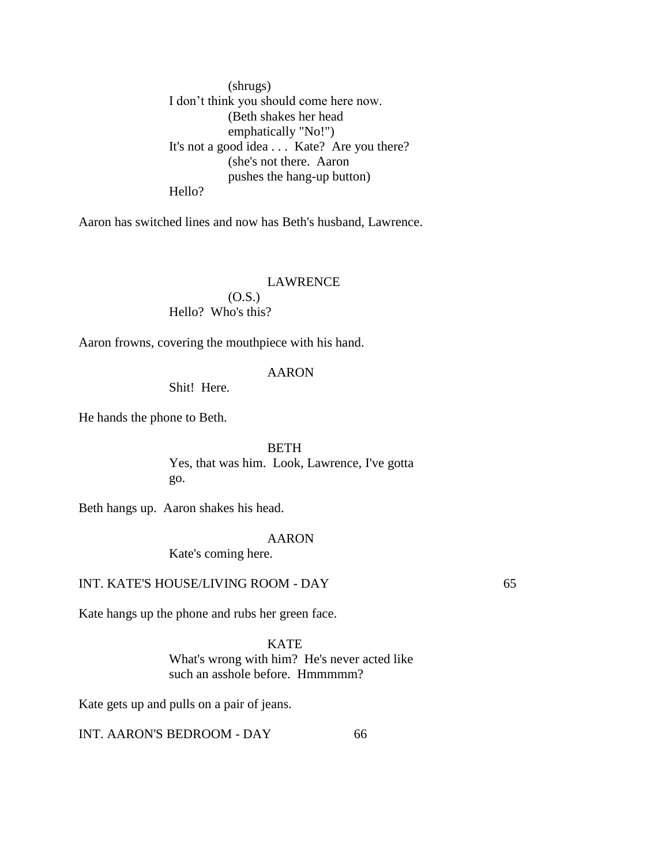(shrugs) I don't think you should come here now. (Beth shakes her head emphatically "No!") It's not a good idea . . . Kate? Are you there? (she's not there. Aaron pushes the hang-up button) Hello?

Aaron has switched lines and now has Beth's husband, Lawrence.

# LAWRENCE  $(O.S.)$ Hello? Who's this?

Aaron frowns, covering the mouthpiece with his hand.

# AARON

Shit! Here.

He hands the phone to Beth.

BETH Yes, that was him. Look, Lawrence, I've gotta go.

Beth hangs up. Aaron shakes his head.

## AARON

Kate's coming here.

# INT. KATE'S HOUSE/LIVING ROOM - DAY 65

Kate hangs up the phone and rubs her green face.

**KATE** What's wrong with him? He's never acted like such an asshole before. Hmmmmm?

Kate gets up and pulls on a pair of jeans.

INT. AARON'S BEDROOM - DAY 66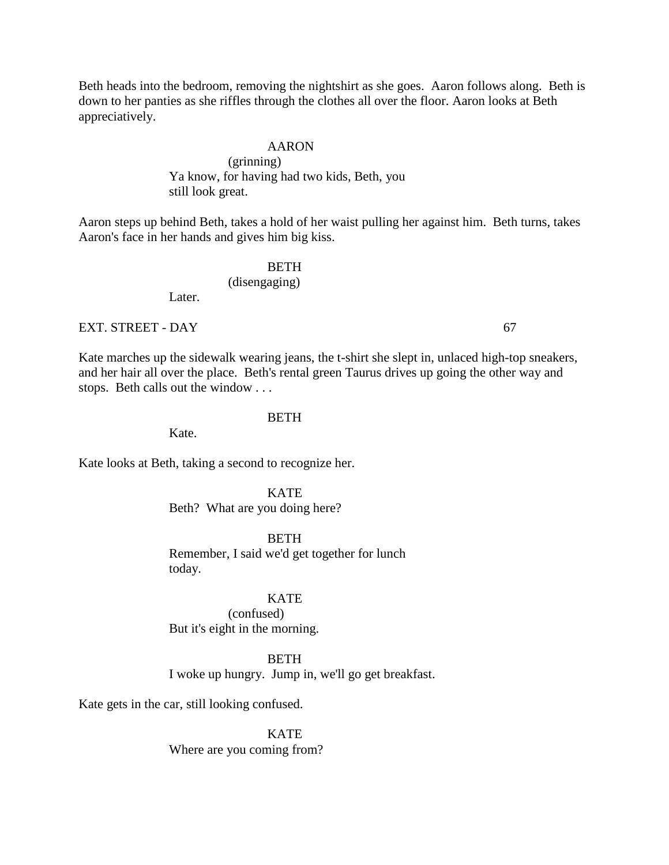Beth heads into the bedroom, removing the nightshirt as she goes. Aaron follows along. Beth is down to her panties as she riffles through the clothes all over the floor. Aaron looks at Beth appreciatively.

# AARON

# (grinning) Ya know, for having had two kids, Beth, you still look great.

Aaron steps up behind Beth, takes a hold of her waist pulling her against him. Beth turns, takes Aaron's face in her hands and gives him big kiss.

## BETH

(disengaging)

Later.

EXT. STREET - DAY 67

Kate marches up the sidewalk wearing jeans, the t-shirt she slept in, unlaced high-top sneakers, and her hair all over the place. Beth's rental green Taurus drives up going the other way and stops. Beth calls out the window . . .

## BETH

Kate.

Kate looks at Beth, taking a second to recognize her.

**KATE** Beth? What are you doing here?

**BETH** Remember, I said we'd get together for lunch today.

## **KATE**

(confused) But it's eight in the morning.

#### BETH

I woke up hungry. Jump in, we'll go get breakfast.

Kate gets in the car, still looking confused.

KATE Where are you coming from?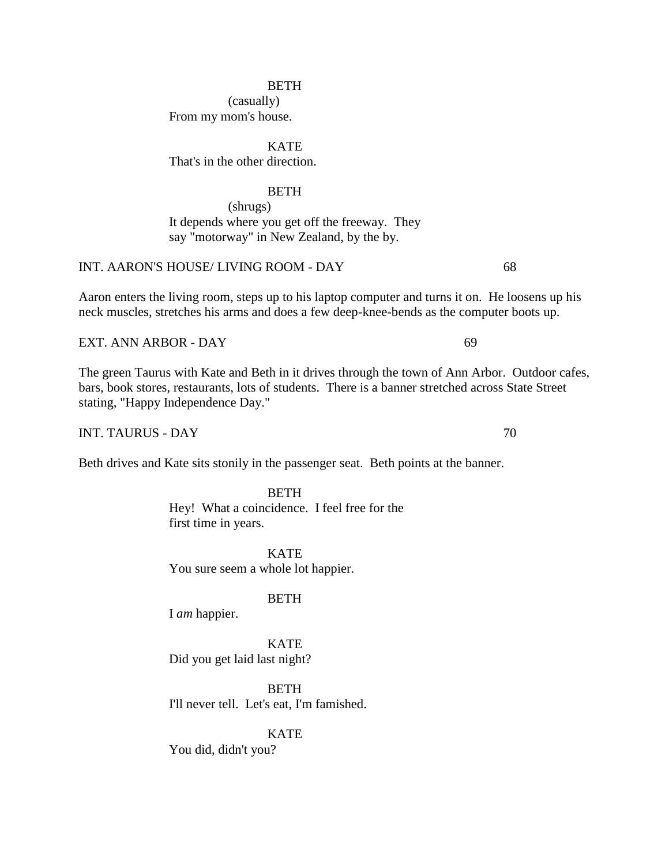(casually) From my mom's house.

**KATE** That's in the other direction.

# BETH

(shrugs) It depends where you get off the freeway. They say "motorway" in New Zealand, by the by.

# INT. AARON'S HOUSE/ LIVING ROOM - DAY 68

Aaron enters the living room, steps up to his laptop computer and turns it on. He loosens up his neck muscles, stretches his arms and does a few deep-knee-bends as the computer boots up.

EXT. ANN ARBOR - DAY 69

The green Taurus with Kate and Beth in it drives through the town of Ann Arbor. Outdoor cafes, bars, book stores, restaurants, lots of students. There is a banner stretched across State Street stating, "Happy Independence Day."

INT. TAURUS - DAY 70

Beth drives and Kate sits stonily in the passenger seat. Beth points at the banner.

**BETH** Hey! What a coincidence. I feel free for the first time in years.

**KATE** You sure seem a whole lot happier.

# BETH

I *am* happier.

**KATE** Did you get laid last night?

BETH I'll never tell. Let's eat, I'm famished.

KATE

You did, didn't you?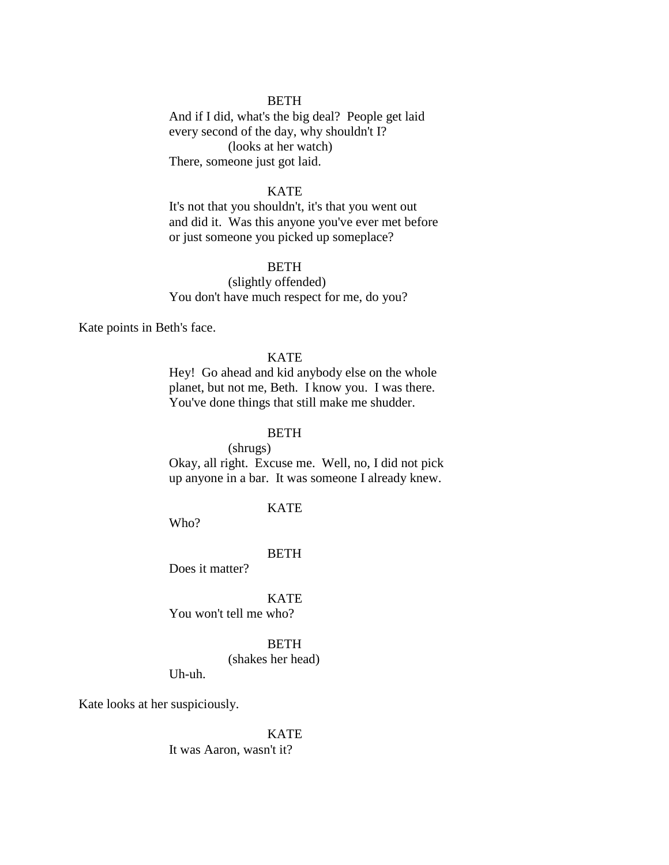And if I did, what's the big deal? People get laid every second of the day, why shouldn't I? (looks at her watch) There, someone just got laid.

### KATE

It's not that you shouldn't, it's that you went out and did it. Was this anyone you've ever met before or just someone you picked up someplace?

BETH

(slightly offended) You don't have much respect for me, do you?

Kate points in Beth's face.

### **KATE**

Hey! Go ahead and kid anybody else on the whole planet, but not me, Beth. I know you. I was there. You've done things that still make me shudder.

#### BETH

(shrugs)

Okay, all right. Excuse me. Well, no, I did not pick up anyone in a bar. It was someone I already knew.

### KATE

Who?

Uh-uh.

#### BETH

Does it matter?

KATE You won't tell me who?

**BETH** 

(shakes her head)

Kate looks at her suspiciously.

KATE It was Aaron, wasn't it?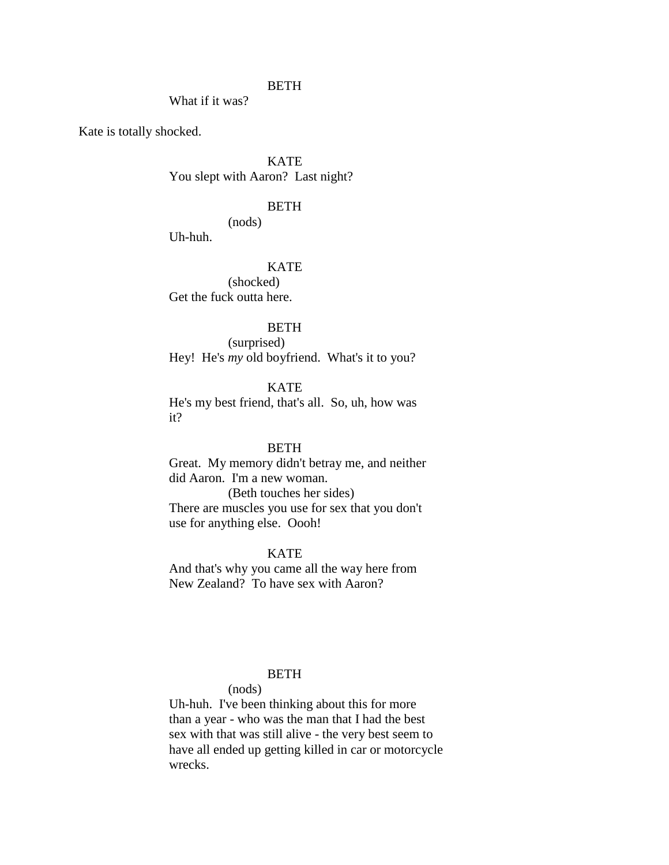What if it was?

Kate is totally shocked.

**KATE** You slept with Aaron? Last night?

## BETH

(nods)

Uh-huh.

# **KATE**

(shocked) Get the fuck outta here.

# **BETH**

(surprised) Hey! He's *my* old boyfriend. What's it to you?

# **KATE**

He's my best friend, that's all. So, uh, how was it?

#### BETH

Great. My memory didn't betray me, and neither did Aaron. I'm a new woman. (Beth touches her sides) There are muscles you use for sex that you don't

use for anything else. Oooh!

#### KATE

And that's why you came all the way here from New Zealand? To have sex with Aaron?

# **BETH**

#### (nods)

Uh-huh. I've been thinking about this for more than a year - who was the man that I had the best sex with that was still alive - the very best seem to have all ended up getting killed in car or motorcycle wrecks.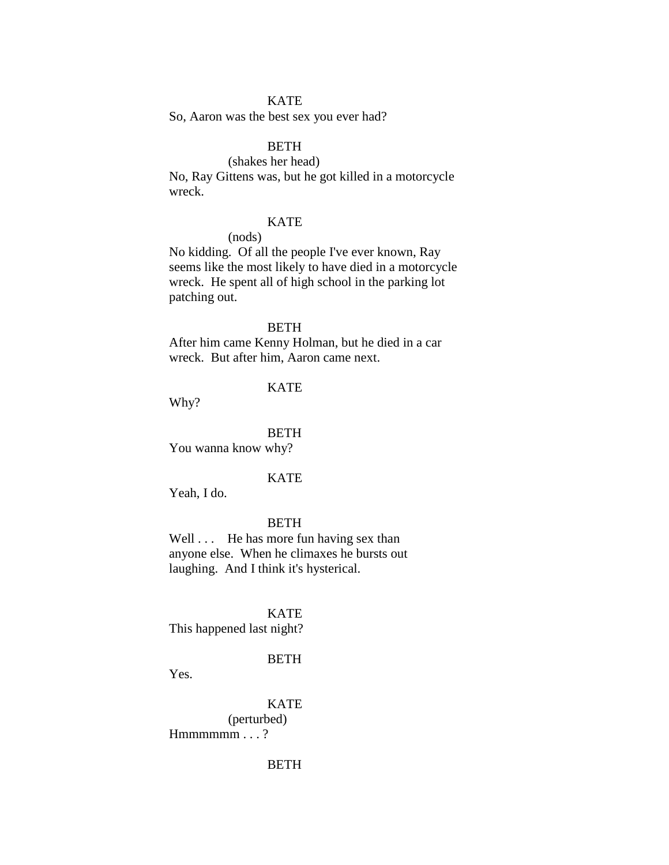## KATE

So, Aaron was the best sex you ever had?

# **BETH**

(shakes her head) No, Ray Gittens was, but he got killed in a motorcycle wreck.

## KATE

(nods)

No kidding. Of all the people I've ever known, Ray seems like the most likely to have died in a motorcycle wreck. He spent all of high school in the parking lot patching out.

# **BETH**

After him came Kenny Holman, but he died in a car wreck. But after him, Aaron came next.

# **KATE**

Why?

#### BETH

You wanna know why?

#### KATE

Yeah, I do.

# **BETH**

Well . . . He has more fun having sex than anyone else. When he climaxes he bursts out laughing. And I think it's hysterical.

#### KATE

This happened last night?

#### BETH

Yes.

KATE (perturbed) Hmmmmm . . . ?

# BETH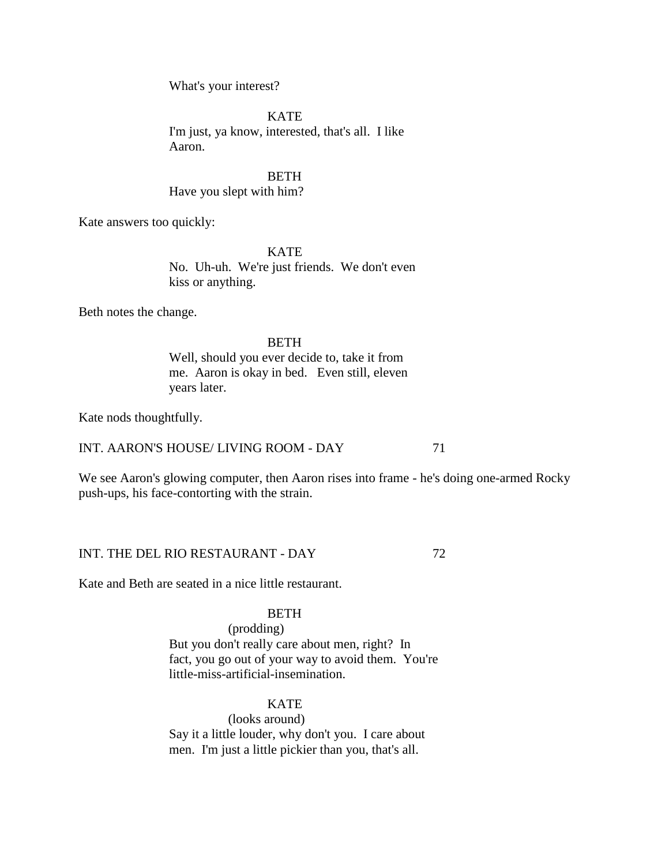What's your interest?

**KATE** I'm just, ya know, interested, that's all. I like Aaron.

**BETH** Have you slept with him?

Kate answers too quickly:

**KATE** No. Uh-uh. We're just friends. We don't even kiss or anything.

Beth notes the change.

## BETH

Well, should you ever decide to, take it from me. Aaron is okay in bed. Even still, eleven years later.

Kate nods thoughtfully.

INT. AARON'S HOUSE/ LIVING ROOM - DAY 71

We see Aaron's glowing computer, then Aaron rises into frame - he's doing one-armed Rocky push-ups, his face-contorting with the strain.

INT. THE DEL RIO RESTAURANT - DAY 72

Kate and Beth are seated in a nice little restaurant.

#### BETH

(prodding) But you don't really care about men, right? In fact, you go out of your way to avoid them. You're little-miss-artificial-insemination.

# KATE

(looks around) Say it a little louder, why don't you. I care about men. I'm just a little pickier than you, that's all.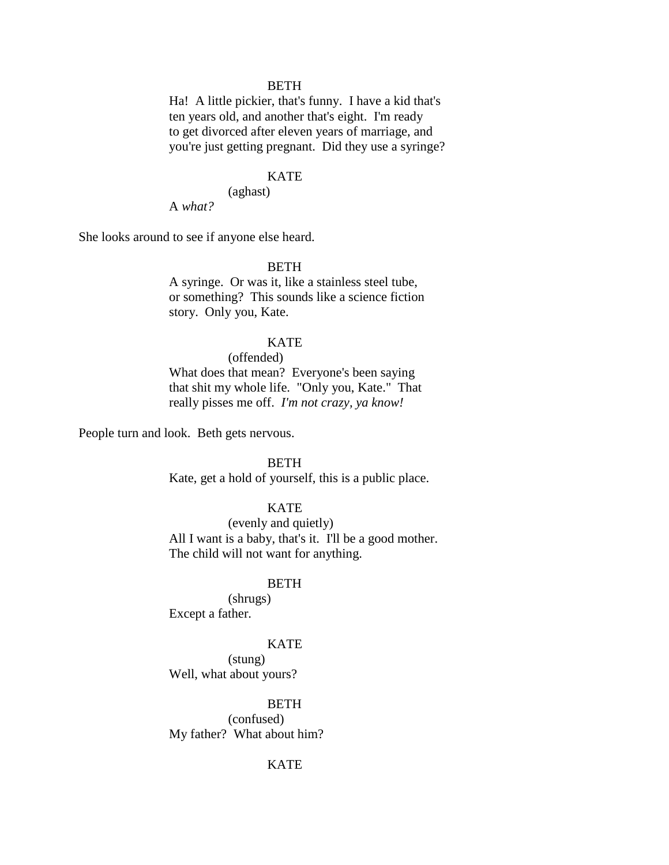Ha! A little pickier, that's funny. I have a kid that's ten years old, and another that's eight. I'm ready to get divorced after eleven years of marriage, and you're just getting pregnant. Did they use a syringe?

### KATE

(aghast)

A *what?*

She looks around to see if anyone else heard.

# **BETH**

A syringe. Or was it, like a stainless steel tube, or something? This sounds like a science fiction story. Only you, Kate.

# **KATE**

(offended)

What does that mean? Everyone's been saying that shit my whole life. "Only you, Kate." That really pisses me off. *I'm not crazy, ya know!*

People turn and look. Beth gets nervous.

BETH

Kate, get a hold of yourself, this is a public place.

# KATE

(evenly and quietly) All I want is a baby, that's it. I'll be a good mother. The child will not want for anything.

## BETH

(shrugs) Except a father.

# **KATE**

(stung) Well, what about yours?

## **BETH**

(confused) My father? What about him?

# **KATE**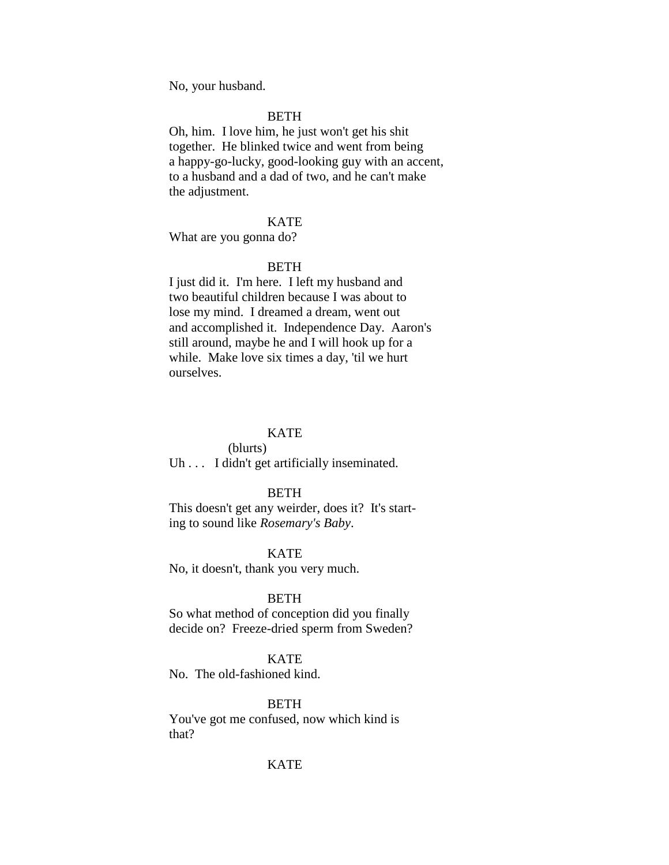No, your husband.

# **BETH**

Oh, him. I love him, he just won't get his shit together. He blinked twice and went from being a happy-go-lucky, good-looking guy with an accent, to a husband and a dad of two, and he can't make the adjustment.

## KATE

What are you gonna do?

#### **BETH**

I just did it. I'm here. I left my husband and two beautiful children because I was about to lose my mind. I dreamed a dream, went out and accomplished it. Independence Day. Aaron's still around, maybe he and I will hook up for a while. Make love six times a day, 'til we hurt ourselves.

#### **KATE**

## (blurts) Uh . . . I didn't get artificially inseminated.

#### **BETH**

This doesn't get any weirder, does it? It's starting to sound like *Rosemary's Baby*.

## KATE

No, it doesn't, thank you very much.

### BETH

So what method of conception did you finally decide on? Freeze-dried sperm from Sweden?

#### KATE

No. The old-fashioned kind.

#### BETH

You've got me confused, now which kind is that?

## KATE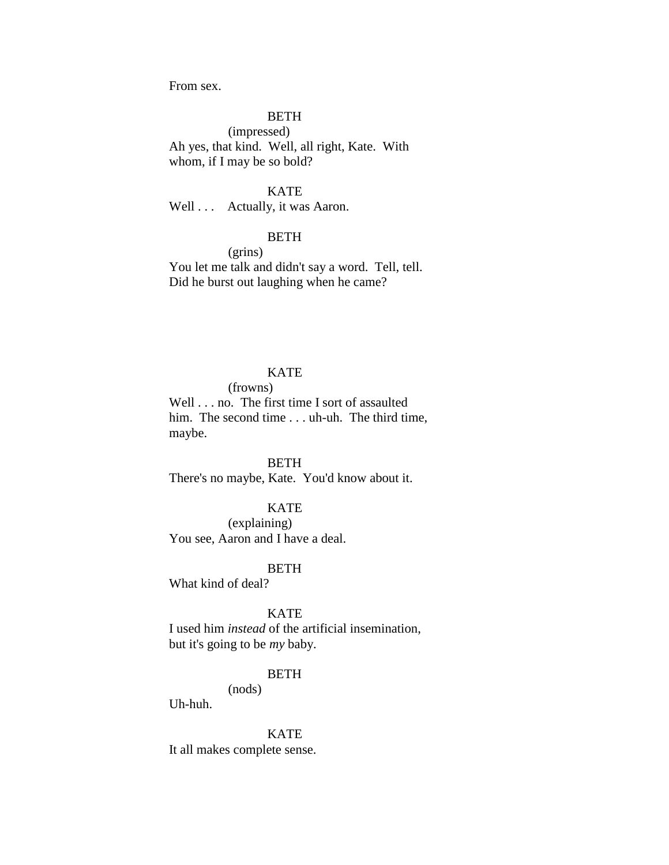From sex.

# **BETH**

(impressed) Ah yes, that kind. Well, all right, Kate. With whom, if I may be so bold?

#### KATE

Well . . . Actually, it was Aaron.

# **BETH**

(grins) You let me talk and didn't say a word. Tell, tell. Did he burst out laughing when he came?

## **KATE**

(frowns)

Well . . . no. The first time I sort of assaulted him. The second time . . . uh-uh. The third time, maybe.

**BETH** There's no maybe, Kate. You'd know about it.

## KATE

(explaining) You see, Aaron and I have a deal.

#### **BETH**

What kind of deal?

KATE

I used him *instead* of the artificial insemination, but it's going to be *my* baby.

# BETH

(nods)

Uh-huh.

KATE

It all makes complete sense.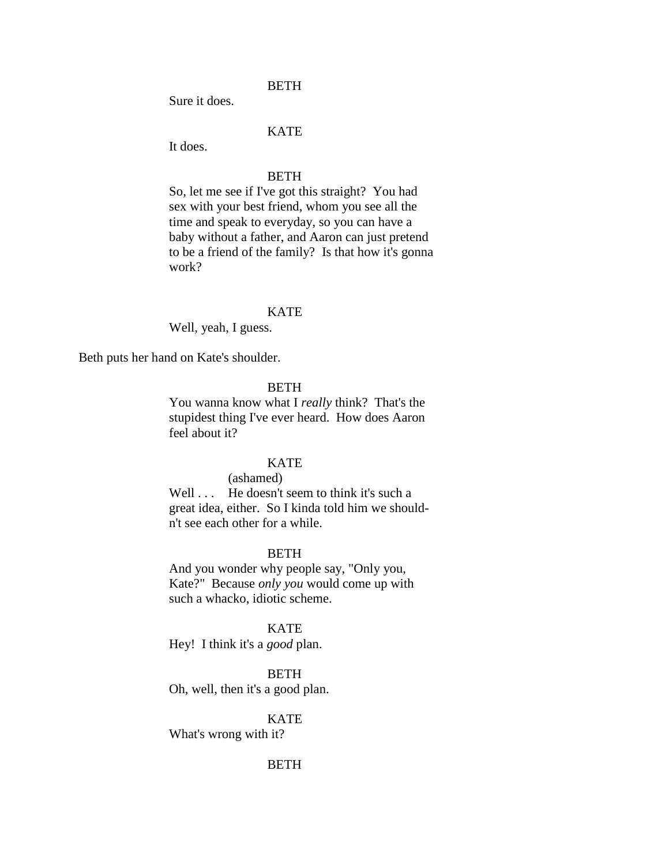Sure it does.

# KATE

It does.

#### **BETH**

So, let me see if I've got this straight? You had sex with your best friend, whom you see all the time and speak to everyday, so you can have a baby without a father, and Aaron can just pretend to be a friend of the family? Is that how it's gonna work?

### **KATE**

Well, yeah, I guess.

Beth puts her hand on Kate's shoulder.

## **BETH**

You wanna know what I *really* think? That's the stupidest thing I've ever heard. How does Aaron feel about it?

## **KATE**

#### (ashamed)

Well . . . He doesn't seem to think it's such a great idea, either. So I kinda told him we shouldn't see each other for a while.

## **BETH**

And you wonder why people say, "Only you, Kate?" Because *only you* would come up with such a whacko, idiotic scheme.

**KATE** 

Hey! I think it's a *good* plan.

**BETH** 

Oh, well, then it's a good plan.

#### **KATE**

What's wrong with it?

# **BETH**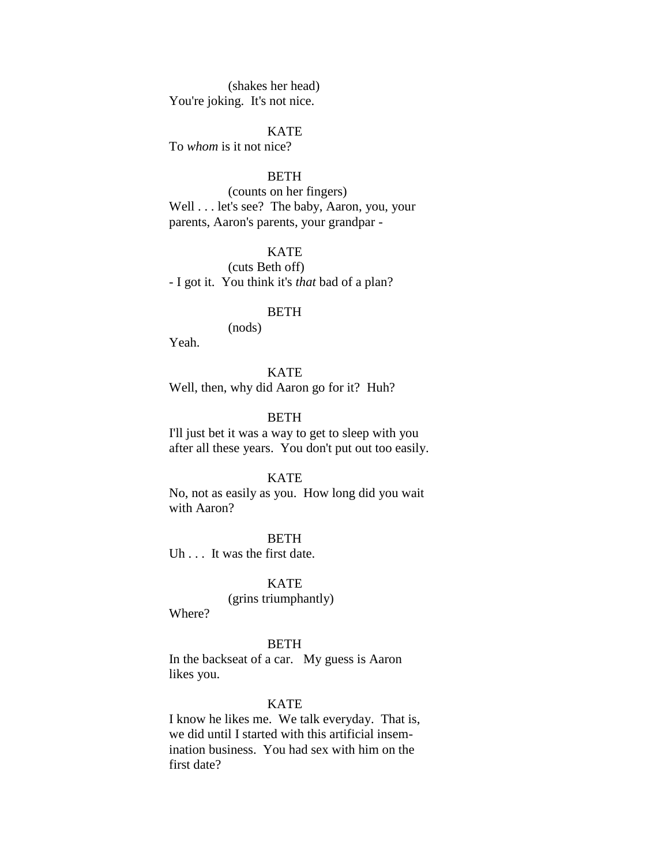(shakes her head) You're joking. It's not nice.

KATE

To *whom* is it not nice?

#### **BETH**

(counts on her fingers) Well . . . let's see? The baby, Aaron, you, your parents, Aaron's parents, your grandpar -

# **KATE**

(cuts Beth off) - I got it. You think it's *that* bad of a plan?

#### **BETH**

(nods)

Yeah.

# **KATE**

Well, then, why did Aaron go for it? Huh?

# BETH

I'll just bet it was a way to get to sleep with you after all these years. You don't put out too easily.

#### KATE

No, not as easily as you. How long did you wait with Aaron?

**BETH** Uh . . . It was the first date.

# KATE

(grins triumphantly)

Where?

#### **BETH**

In the backseat of a car. My guess is Aaron likes you.

#### KATE

I know he likes me. We talk everyday. That is, we did until I started with this artificial insemination business. You had sex with him on the first date?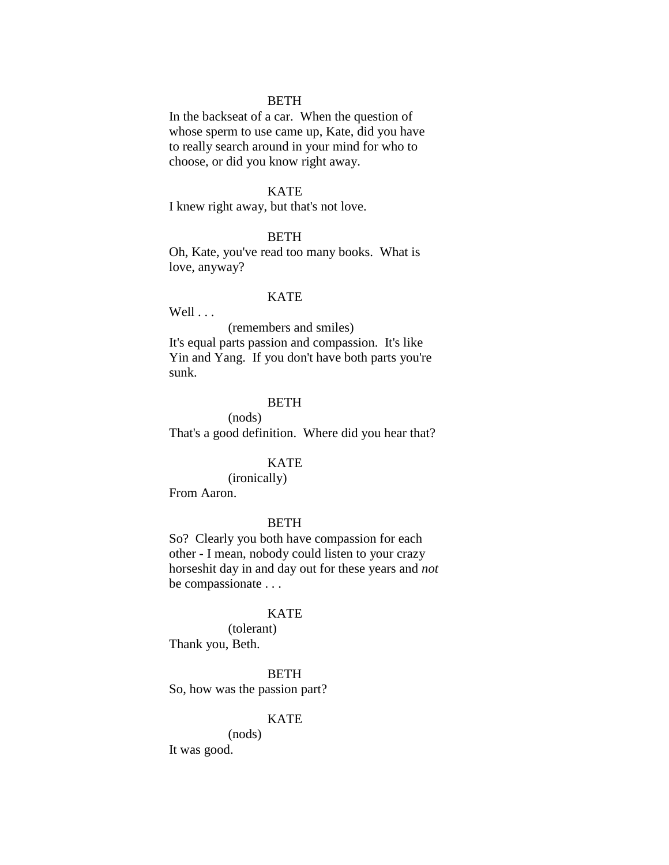In the backseat of a car. When the question of whose sperm to use came up, Kate, did you have to really search around in your mind for who to choose, or did you know right away.

### KATE

I knew right away, but that's not love.

# **BETH**

Oh, Kate, you've read too many books. What is love, anyway?

#### **KATE**

 $Well \ldots$ 

(remembers and smiles) It's equal parts passion and compassion. It's like Yin and Yang. If you don't have both parts you're sunk.

# BETH

(nods) That's a good definition. Where did you hear that?

# **KATE**

(ironically)

From Aaron.

## BETH

So? Clearly you both have compassion for each other - I mean, nobody could listen to your crazy horseshit day in and day out for these years and *not*  be compassionate . . .

### KATE

(tolerant) Thank you, Beth.

## **BETH**

So, how was the passion part?

### **KATE**

(nods) It was good.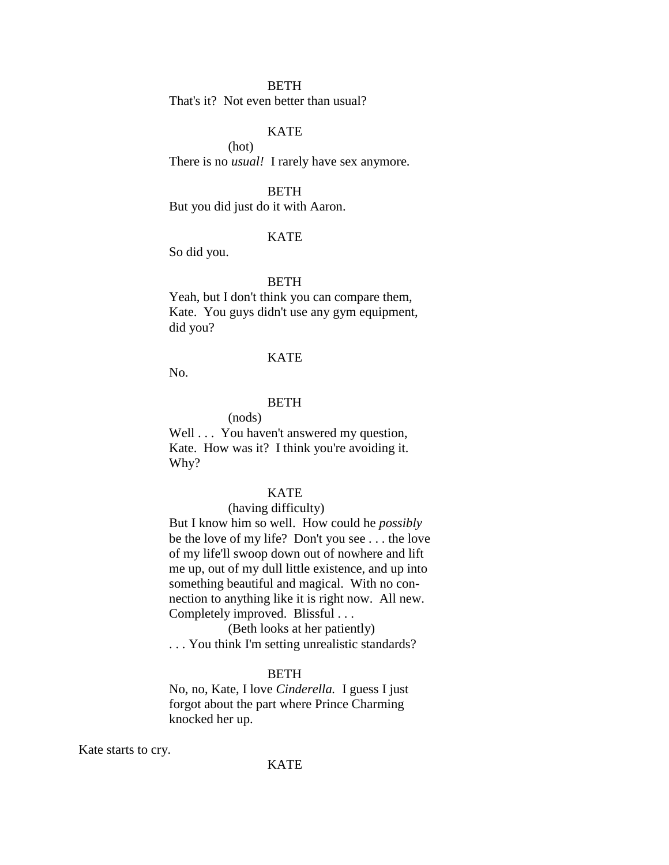That's it? Not even better than usual?

# KATE

(hot) There is no *usual!* I rarely have sex anymore.

### BETH

But you did just do it with Aaron.

## **KATE**

So did you.

## BETH

Yeah, but I don't think you can compare them, Kate. You guys didn't use any gym equipment, did you?

### KATE

No.

# BETH

(nods)

Well . . . You haven't answered my question, Kate. How was it? I think you're avoiding it. Why?

# **KATE**

#### (having difficulty)

But I know him so well. How could he *possibly* be the love of my life? Don't you see . . . the love of my life'll swoop down out of nowhere and lift me up, out of my dull little existence, and up into something beautiful and magical. With no connection to anything like it is right now. All new. Completely improved. Blissful . . .

(Beth looks at her patiently) . . . You think I'm setting unrealistic standards?

# **BETH**

No, no, Kate, I love *Cinderella.* I guess I just forgot about the part where Prince Charming knocked her up.

Kate starts to cry.

#### KATE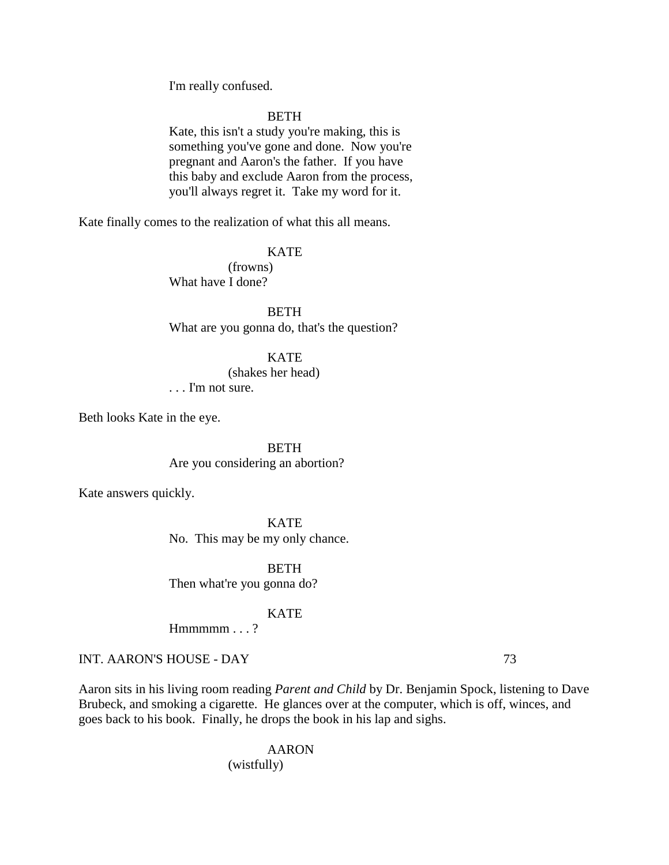I'm really confused.

# **BETH**

Kate, this isn't a study you're making, this is something you've gone and done. Now you're pregnant and Aaron's the father. If you have this baby and exclude Aaron from the process, you'll always regret it. Take my word for it.

Kate finally comes to the realization of what this all means.

# KATE

(frowns) What have I done?

**BETH** What are you gonna do, that's the question?

#### KATE

(shakes her head)

. . . I'm not sure.

Beth looks Kate in the eye.

**BETH** Are you considering an abortion?

Kate answers quickly.

KATE No. This may be my only chance.

BETH Then what're you gonna do?

#### KATE

 $H$ mmmm $\ldots$  ?

# INT. AARON'S HOUSE - DAY 73

Aaron sits in his living room reading *Parent and Child* by Dr. Benjamin Spock, listening to Dave Brubeck, and smoking a cigarette. He glances over at the computer, which is off, winces, and goes back to his book. Finally, he drops the book in his lap and sighs.

## AARON

# (wistfully)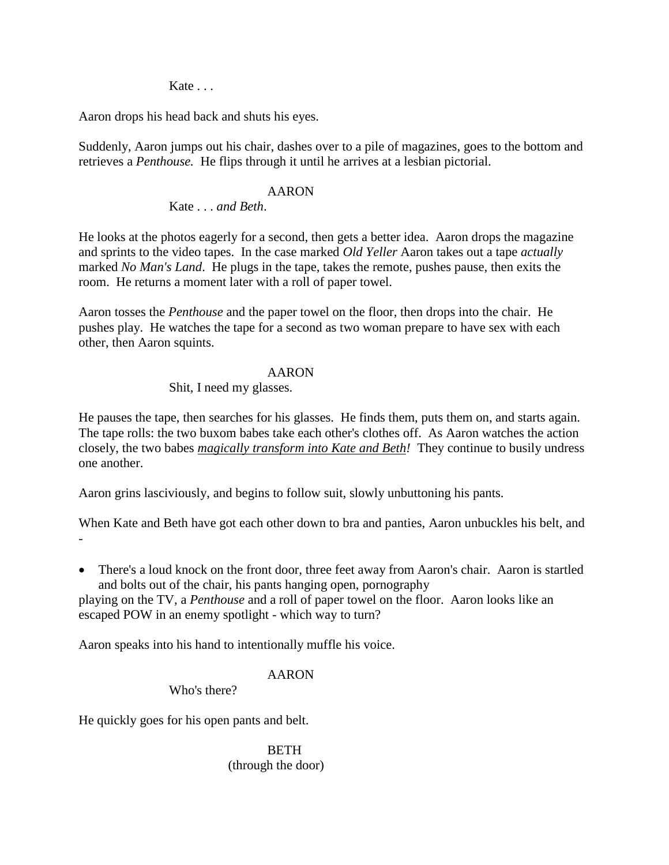Kate . . .

Aaron drops his head back and shuts his eyes.

Suddenly, Aaron jumps out his chair, dashes over to a pile of magazines, goes to the bottom and retrieves a *Penthouse.* He flips through it until he arrives at a lesbian pictorial.

# AARON

Kate . . . *and Beth*.

He looks at the photos eagerly for a second, then gets a better idea. Aaron drops the magazine and sprints to the video tapes. In the case marked *Old Yeller* Aaron takes out a tape *actually* marked *No Man's Land*. He plugs in the tape, takes the remote, pushes pause, then exits the room. He returns a moment later with a roll of paper towel.

Aaron tosses the *Penthouse* and the paper towel on the floor, then drops into the chair. He pushes play. He watches the tape for a second as two woman prepare to have sex with each other, then Aaron squints.

# AARON

# Shit, I need my glasses.

He pauses the tape, then searches for his glasses. He finds them, puts them on, and starts again. The tape rolls: the two buxom babes take each other's clothes off. As Aaron watches the action closely, the two babes *magically transform into Kate and Beth!* They continue to busily undress one another.

Aaron grins lasciviously, and begins to follow suit, slowly unbuttoning his pants.

When Kate and Beth have got each other down to bra and panties, Aaron unbuckles his belt, and -

• There's a loud knock on the front door, three feet away from Aaron's chair. Aaron is startled and bolts out of the chair, his pants hanging open, pornography

playing on the TV, a *Penthouse* and a roll of paper towel on the floor. Aaron looks like an escaped POW in an enemy spotlight - which way to turn?

Aaron speaks into his hand to intentionally muffle his voice.

# AARON

Who's there?

He quickly goes for his open pants and belt.

**BETH** (through the door)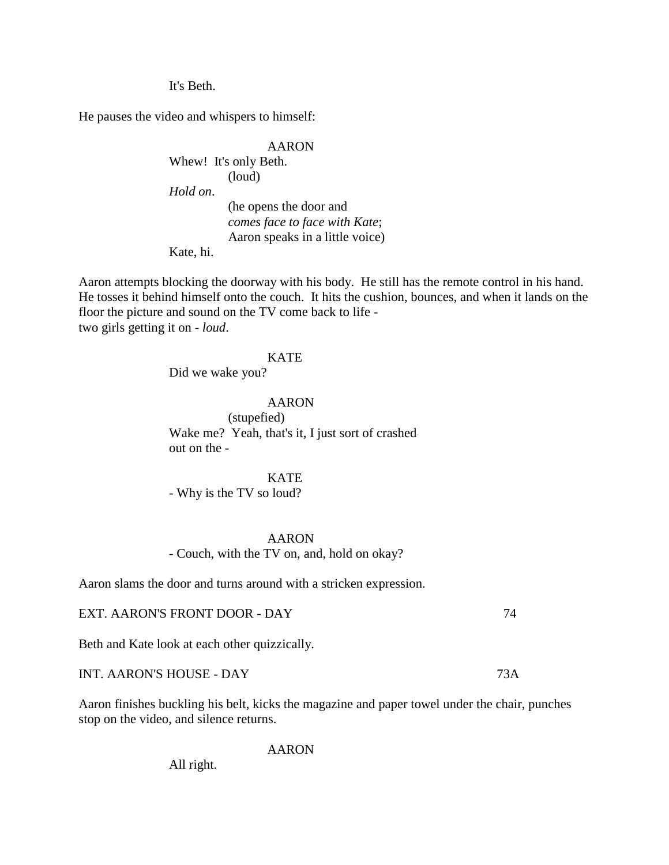It's Beth.

He pauses the video and whispers to himself:

AARON Whew! It's only Beth. (loud) *Hold on*. (he opens the door and *comes face to face with Kate*; Aaron speaks in a little voice)

Kate, hi.

Aaron attempts blocking the doorway with his body. He still has the remote control in his hand. He tosses it behind himself onto the couch. It hits the cushion, bounces, and when it lands on the floor the picture and sound on the TV come back to life two girls getting it on - *loud*.

### KATE

Did we wake you?

AARON (stupefied) Wake me? Yeah, that's it, I just sort of crashed out on the -

## KATE

- Why is the TV so loud?

#### AARON

- Couch, with the TV on, and, hold on okay?

Aaron slams the door and turns around with a stricken expression.

## EXT. AARON'S FRONT DOOR - DAY 74

Beth and Kate look at each other quizzically.

INT. AARON'S HOUSE - DAY 73A

Aaron finishes buckling his belt, kicks the magazine and paper towel under the chair, punches stop on the video, and silence returns.

AARON

All right.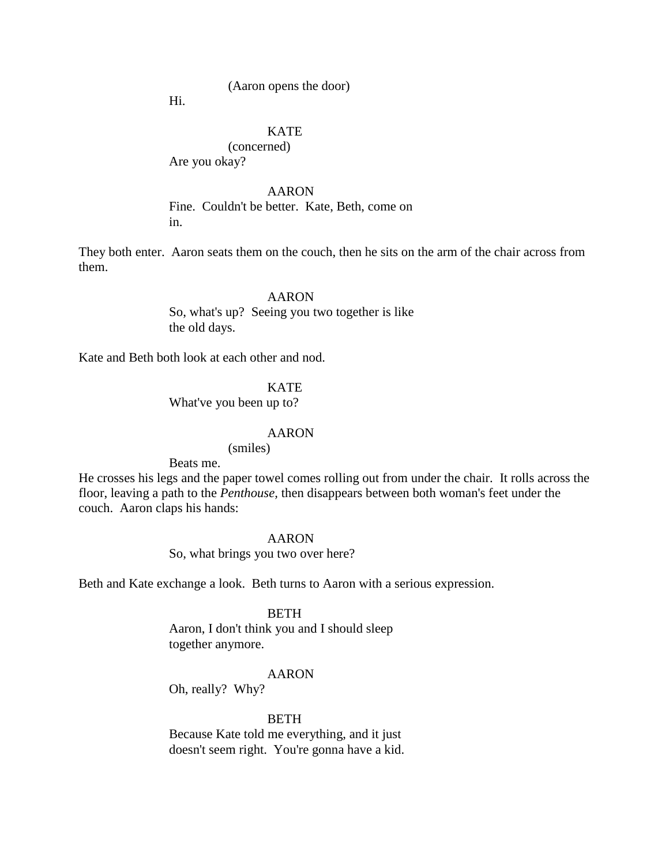## (Aaron opens the door)

Hi.

# KATE

(concerned)

Are you okay?

## AARON

Fine. Couldn't be better. Kate, Beth, come on in.

They both enter. Aaron seats them on the couch, then he sits on the arm of the chair across from them.

> AARON So, what's up? Seeing you two together is like the old days.

Kate and Beth both look at each other and nod.

## **KATE**

What've you been up to?

#### AARON

(smiles)

Beats me.

He crosses his legs and the paper towel comes rolling out from under the chair. It rolls across the floor, leaving a path to the *Penthouse,* then disappears between both woman's feet under the couch. Aaron claps his hands:

#### AARON

So, what brings you two over here?

Beth and Kate exchange a look. Beth turns to Aaron with a serious expression.

#### BETH

Aaron, I don't think you and I should sleep together anymore.

# AARON

Oh, really? Why?

#### **BETH**

Because Kate told me everything, and it just doesn't seem right. You're gonna have a kid.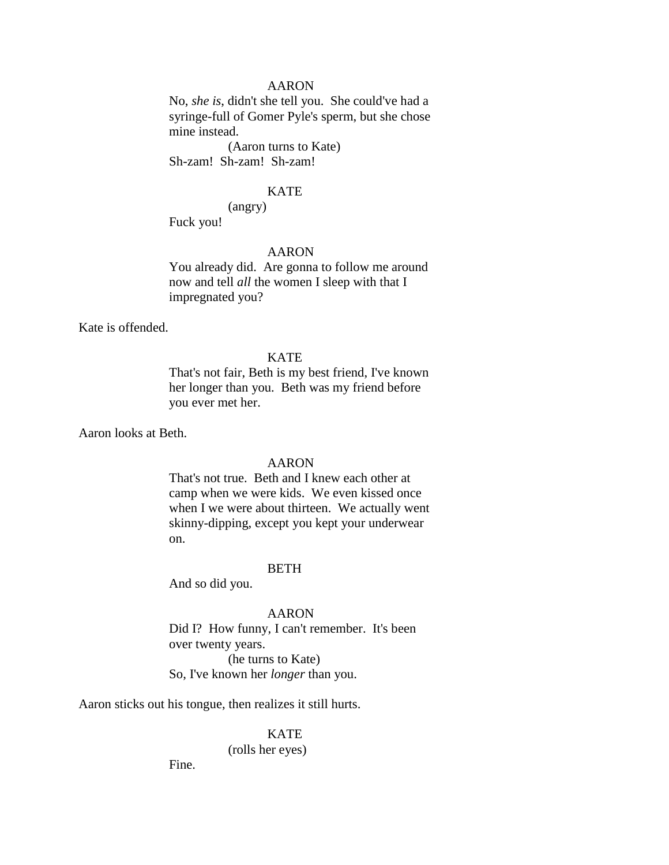# AARON

No, *she is*, didn't she tell you. She could've had a syringe-full of Gomer Pyle's sperm, but she chose mine instead.

(Aaron turns to Kate) Sh-zam! Sh-zam! Sh-zam!

### KATE

(angry)

Fuck you!

# AARON

You already did. Are gonna to follow me around now and tell *all* the women I sleep with that I impregnated you?

Kate is offended.

#### **KATE**

That's not fair, Beth is my best friend, I've known her longer than you. Beth was my friend before you ever met her.

Aaron looks at Beth.

# AARON

That's not true. Beth and I knew each other at camp when we were kids. We even kissed once when I we were about thirteen. We actually went skinny-dipping, except you kept your underwear on.

#### **BETH**

And so did you.

AARON

Did I? How funny, I can't remember. It's been over twenty years. (he turns to Kate) So, I've known her *longer* than you.

Aaron sticks out his tongue, then realizes it still hurts.

KATE (rolls her eyes)

Fine.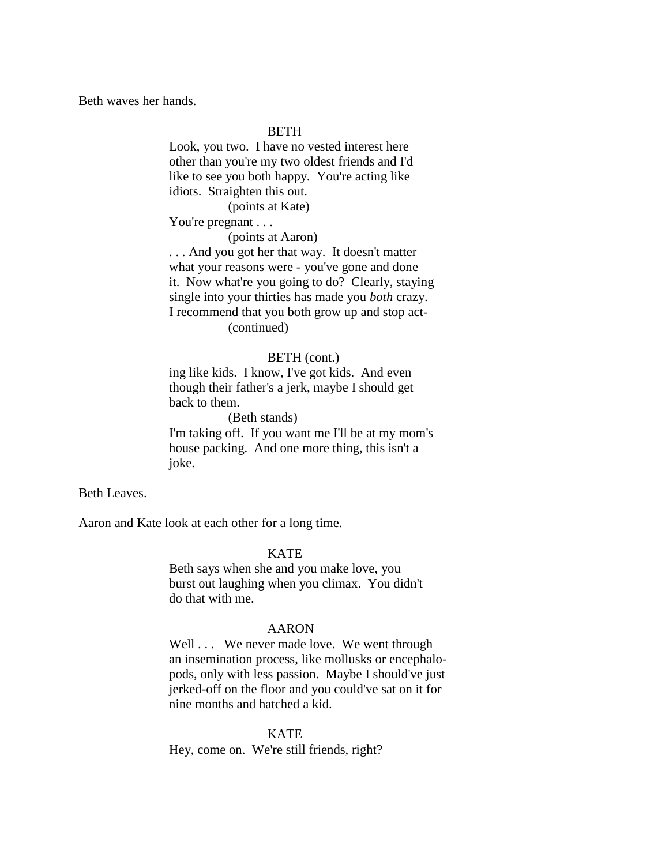Beth waves her hands.

## BETH

Look, you two. I have no vested interest here other than you're my two oldest friends and I'd like to see you both happy. You're acting like idiots. Straighten this out.

(points at Kate)

You're pregnant . . .

(points at Aaron)

. . . And you got her that way. It doesn't matter what your reasons were - you've gone and done it. Now what're you going to do? Clearly, staying single into your thirties has made you *both* crazy. I recommend that you both grow up and stop act- (continued)

#### BETH (cont.)

ing like kids. I know, I've got kids. And even though their father's a jerk, maybe I should get back to them.

(Beth stands)

I'm taking off. If you want me I'll be at my mom's house packing. And one more thing, this isn't a joke.

Beth Leaves.

Aaron and Kate look at each other for a long time.

#### KATE

Beth says when she and you make love, you burst out laughing when you climax. You didn't do that with me.

#### AARON

Well . . . We never made love. We went through an insemination process, like mollusks or encephalopods, only with less passion. Maybe I should've just jerked-off on the floor and you could've sat on it for nine months and hatched a kid.

KATE Hey, come on. We're still friends, right?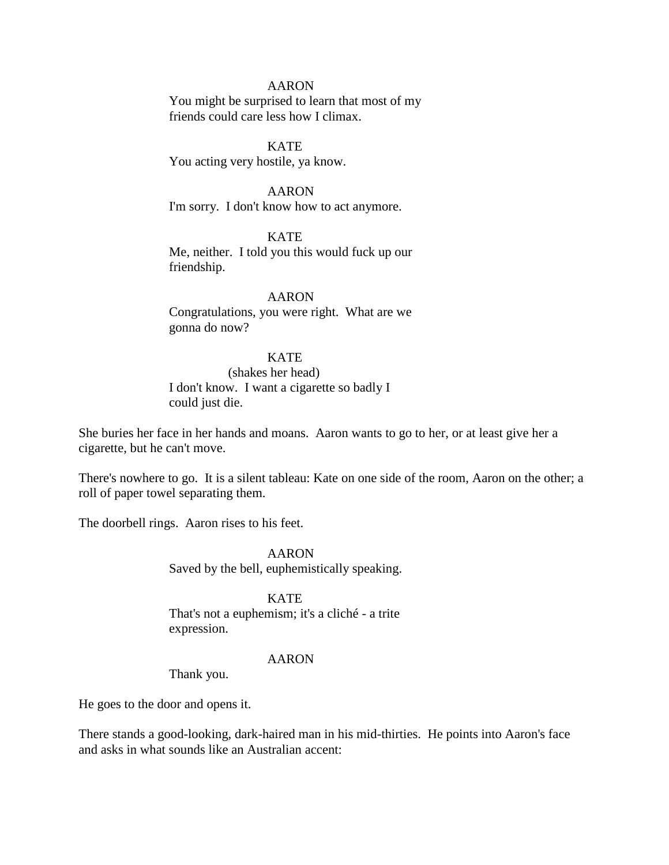## AARON

You might be surprised to learn that most of my friends could care less how I climax.

**KATE** You acting very hostile, ya know.

AARON

I'm sorry. I don't know how to act anymore.

**KATE** Me, neither. I told you this would fuck up our friendship.

AARON Congratulations, you were right. What are we gonna do now?

KATE

(shakes her head) I don't know. I want a cigarette so badly I could just die.

She buries her face in her hands and moans. Aaron wants to go to her, or at least give her a cigarette, but he can't move.

There's nowhere to go. It is a silent tableau: Kate on one side of the room, Aaron on the other; a roll of paper towel separating them.

The doorbell rings. Aaron rises to his feet.

AARON Saved by the bell, euphemistically speaking.

KATE That's not a euphemism; it's a cliché - a trite expression.

#### AARON

Thank you.

He goes to the door and opens it.

There stands a good-looking, dark-haired man in his mid-thirties. He points into Aaron's face and asks in what sounds like an Australian accent: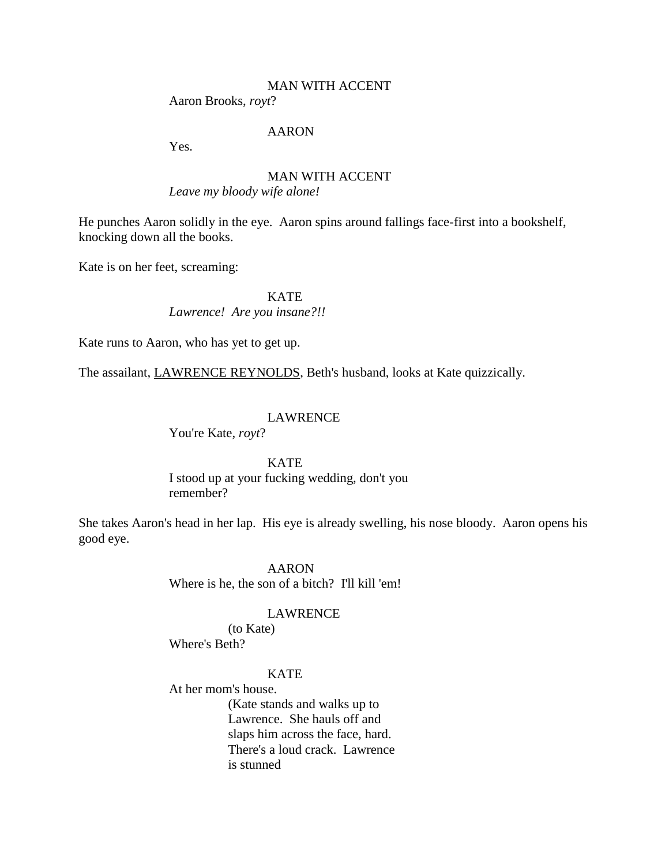# MAN WITH ACCENT

Aaron Brooks, *royt*?

# AARON

Yes.

# MAN WITH ACCENT *Leave my bloody wife alone!*

He punches Aaron solidly in the eye. Aaron spins around fallings face-first into a bookshelf, knocking down all the books.

Kate is on her feet, screaming:

KATE

*Lawrence! Are you insane?!!*

Kate runs to Aaron, who has yet to get up.

The assailant, LAWRENCE REYNOLDS, Beth's husband, looks at Kate quizzically.

## LAWRENCE

You're Kate, *royt*?

#### **KATE**

I stood up at your fucking wedding, don't you remember?

She takes Aaron's head in her lap. His eye is already swelling, his nose bloody. Aaron opens his good eye.

#### AARON

Where is he, the son of a bitch? I'll kill 'em!

### LAWRENCE

(to Kate) Where's Beth?

# **KATE**

At her mom's house.

(Kate stands and walks up to Lawrence. She hauls off and slaps him across the face, hard. There's a loud crack. Lawrence is stunned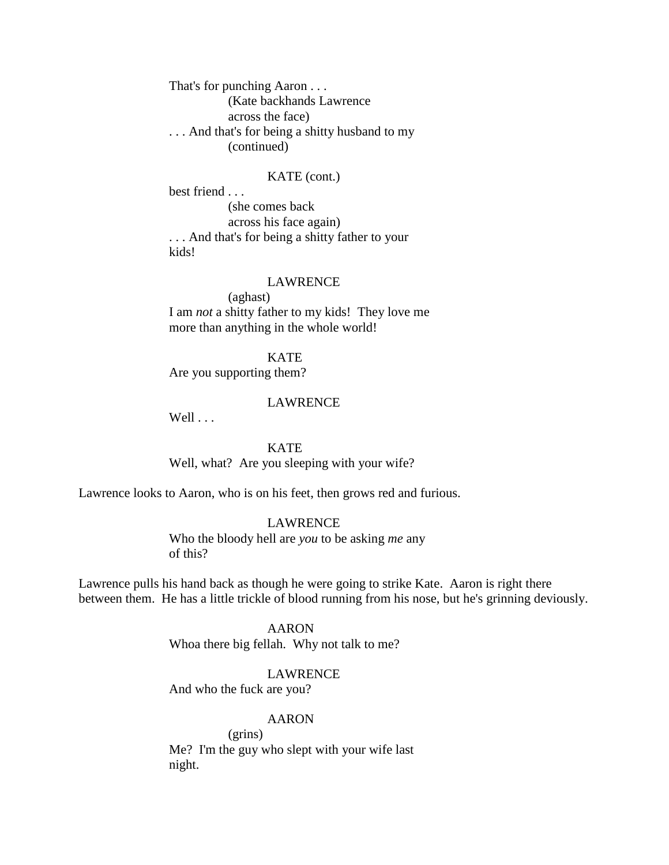That's for punching Aaron . . . (Kate backhands Lawrence across the face) . . . And that's for being a shitty husband to my (continued)

### KATE (cont.)

best friend . . . (she comes back across his face again) . . . And that's for being a shitty father to your kids!

#### LAWRENCE

(aghast) I am *not* a shitty father to my kids! They love me more than anything in the whole world!

KATE Are you supporting them?

## LAWRENCE

 $Well \ldots$ 

**KATE** Well, what? Are you sleeping with your wife?

Lawrence looks to Aaron, who is on his feet, then grows red and furious.

### LAWRENCE

Who the bloody hell are *you* to be asking *me* any of this?

Lawrence pulls his hand back as though he were going to strike Kate. Aaron is right there between them. He has a little trickle of blood running from his nose, but he's grinning deviously.

> AARON Whoa there big fellah. Why not talk to me?

> > LAWRENCE

And who the fuck are you?

### AARON

(grins) Me? I'm the guy who slept with your wife last night.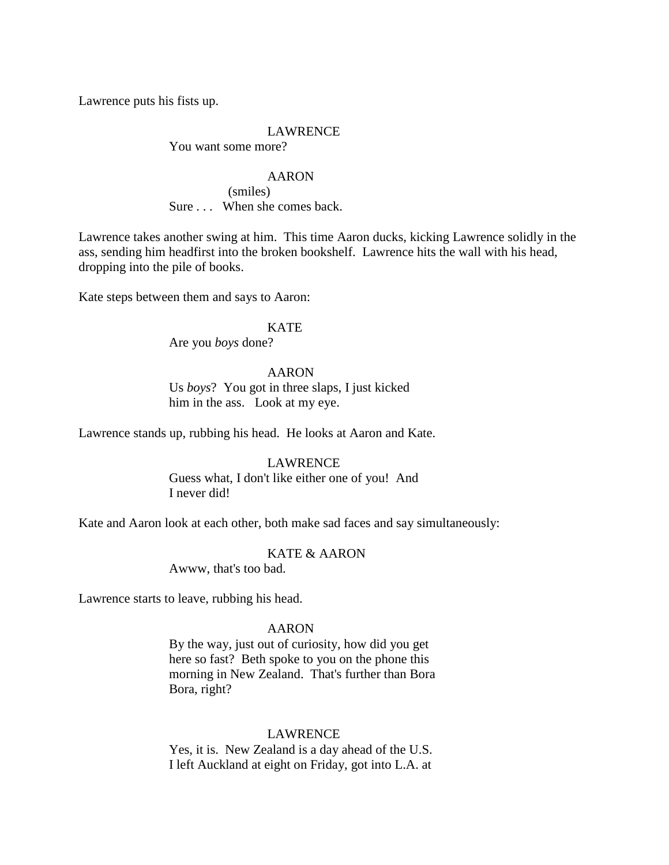Lawrence puts his fists up.

# LAWRENCE

You want some more?

#### AARON

(smiles) Sure . . . When she comes back.

Lawrence takes another swing at him. This time Aaron ducks, kicking Lawrence solidly in the ass, sending him headfirst into the broken bookshelf. Lawrence hits the wall with his head, dropping into the pile of books.

Kate steps between them and says to Aaron:

### KATE

Are you *boys* done?

# AARON

Us *boys*? You got in three slaps, I just kicked him in the ass. Look at my eye.

Lawrence stands up, rubbing his head. He looks at Aaron and Kate.

# LAWRENCE

Guess what, I don't like either one of you! And I never did!

Kate and Aaron look at each other, both make sad faces and say simultaneously:

# KATE & AARON

Awww, that's too bad.

Lawrence starts to leave, rubbing his head.

### AARON

By the way, just out of curiosity, how did you get here so fast? Beth spoke to you on the phone this morning in New Zealand. That's further than Bora Bora, right?

# LAWRENCE

Yes, it is. New Zealand is a day ahead of the U.S. I left Auckland at eight on Friday, got into L.A. at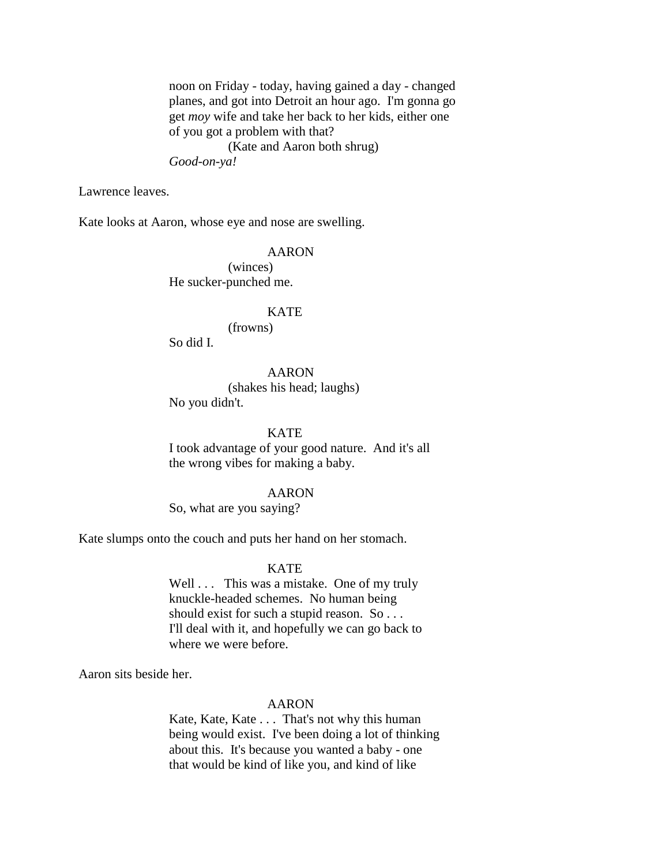noon on Friday - today, having gained a day - changed planes, and got into Detroit an hour ago. I'm gonna go get *moy* wife and take her back to her kids, either one of you got a problem with that? (Kate and Aaron both shrug) *Good-on-ya!*

Lawrence leaves.

Kate looks at Aaron, whose eye and nose are swelling.

# AARON

(winces) He sucker-punched me.

### **KATE**

(frowns)

So did I.

# AARON

(shakes his head; laughs)

No you didn't.

## **KATE**

I took advantage of your good nature. And it's all the wrong vibes for making a baby.

### AARON

So, what are you saying?

Kate slumps onto the couch and puts her hand on her stomach.

#### **KATE**

Well . . . This was a mistake. One of my truly knuckle-headed schemes. No human being should exist for such a stupid reason. So . . . I'll deal with it, and hopefully we can go back to where we were before.

Aaron sits beside her.

#### AARON

Kate, Kate, Kate . . . That's not why this human being would exist. I've been doing a lot of thinking about this. It's because you wanted a baby - one that would be kind of like you, and kind of like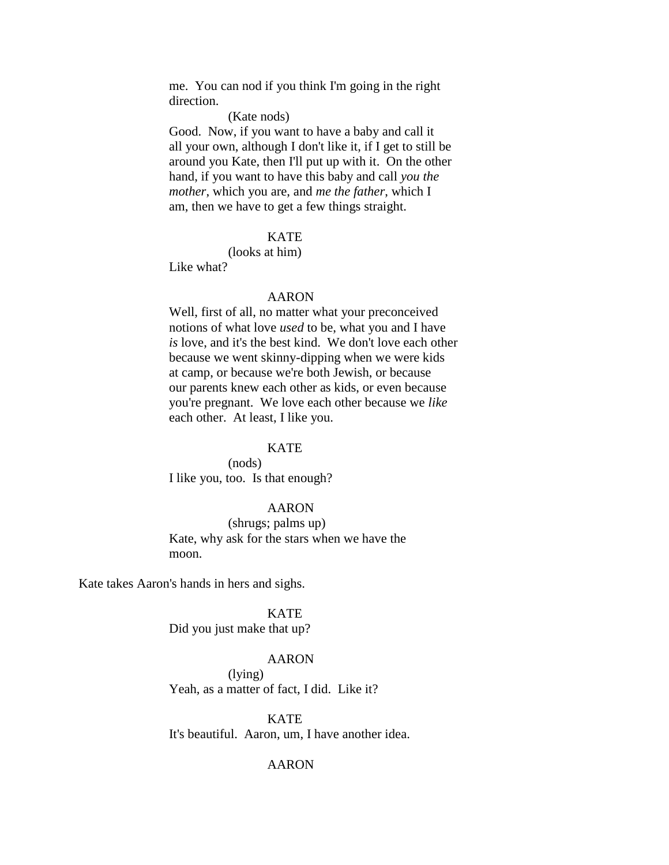me. You can nod if you think I'm going in the right direction.

(Kate nods)

Good. Now, if you want to have a baby and call it all your own, although I don't like it, if I get to still be around you Kate, then I'll put up with it. On the other hand, if you want to have this baby and call *you the mother*, which you are, and *me the father*, which I am, then we have to get a few things straight.

# **KATE**

(looks at him)

Like what?

#### AARON

Well, first of all, no matter what your preconceived notions of what love *used* to be, what you and I have *is* love, and it's the best kind. We don't love each other because we went skinny-dipping when we were kids at camp, or because we're both Jewish, or because our parents knew each other as kids, or even because you're pregnant. We love each other because we *like* each other. At least, I like you.

#### **KATE**

(nods) I like you, too. Is that enough?

## AARON

(shrugs; palms up) Kate, why ask for the stars when we have the moon.

Kate takes Aaron's hands in hers and sighs.

KATE

Did you just make that up?

# AARON

(lying) Yeah, as a matter of fact, I did. Like it?

**KATE** It's beautiful. Aaron, um, I have another idea.

### AARON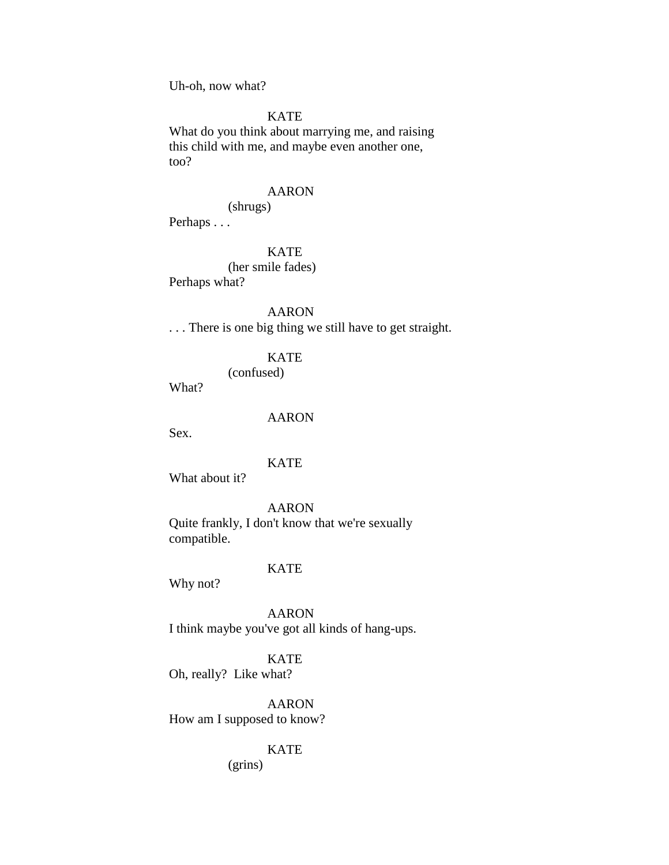Uh-oh, now what?

# **KATE**

What do you think about marrying me, and raising this child with me, and maybe even another one, too?

#### AARON

(shrugs)

Perhaps . . .

### KATE

(her smile fades) Perhaps what?

## AARON

. . . There is one big thing we still have to get straight.

## KATE

(confused)

What?

# AARON

Sex.

## KATE

What about it?

### AARON

Quite frankly, I don't know that we're sexually compatible.

#### **KATE**

Why not?

AARON I think maybe you've got all kinds of hang-ups.

KATE

Oh, really? Like what?

AARON How am I supposed to know?

### KATE

(grins)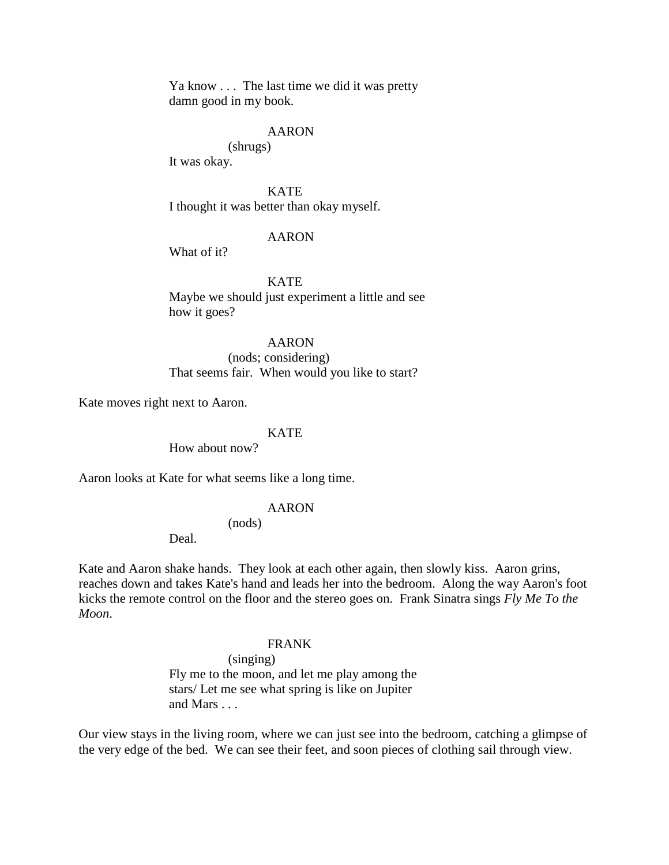Ya know . . . The last time we did it was pretty damn good in my book.

## AARON

(shrugs)

It was okay.

**KATE** 

I thought it was better than okay myself.

## AARON

What of it?

KATE

Maybe we should just experiment a little and see how it goes?

# AARON

(nods; considering) That seems fair. When would you like to start?

Kate moves right next to Aaron.

# **KATE**

How about now?

Aaron looks at Kate for what seems like a long time.

### AARON

# (nods)

Deal.

Kate and Aaron shake hands. They look at each other again, then slowly kiss. Aaron grins, reaches down and takes Kate's hand and leads her into the bedroom. Along the way Aaron's foot kicks the remote control on the floor and the stereo goes on. Frank Sinatra sings *Fly Me To the Moon*.

#### FRANK

(singing) Fly me to the moon, and let me play among the stars/ Let me see what spring is like on Jupiter and Mars . . .

Our view stays in the living room, where we can just see into the bedroom, catching a glimpse of the very edge of the bed. We can see their feet, and soon pieces of clothing sail through view.